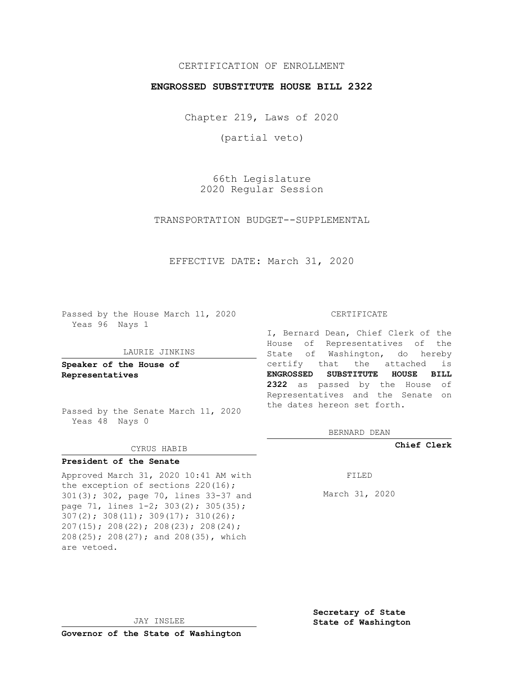### CERTIFICATION OF ENROLLMENT

#### **ENGROSSED SUBSTITUTE HOUSE BILL 2322**

Chapter 219, Laws of 2020

(partial veto)

66th Legislature 2020 Regular Session

TRANSPORTATION BUDGET--SUPPLEMENTAL

EFFECTIVE DATE: March 31, 2020

Passed by the House March 11, 2020 Yeas 96 Nays 1

#### LAURIE JINKINS

**Speaker of the House of Representatives**

Passed by the Senate March 11, 2020 Yeas 48 Nays 0

#### CYRUS HABIB

## **President of the Senate**

Approved March 31, 2020 10:41 AM with the exception of sections 220(16); 301(3); 302, page 70, lines 33-37 and page 71, lines  $1-2$ ;  $303(2)$ ;  $305(35)$ ; 307(2); 308(11); 309(17); 310(26); 207(15); 208(22); 208(23); 208(24); 208(25); 208(27); and 208(35), which are vetoed.

#### CERTIFICATE

I, Bernard Dean, Chief Clerk of the House of Representatives of the State of Washington, do hereby certify that the attached is **ENGROSSED SUBSTITUTE HOUSE BILL 2322** as passed by the House of Representatives and the Senate on the dates hereon set forth.

BERNARD DEAN

**Chief Clerk**

FILED

March 31, 2020

JAY INSLEE

**Governor of the State of Washington**

**Secretary of State State of Washington**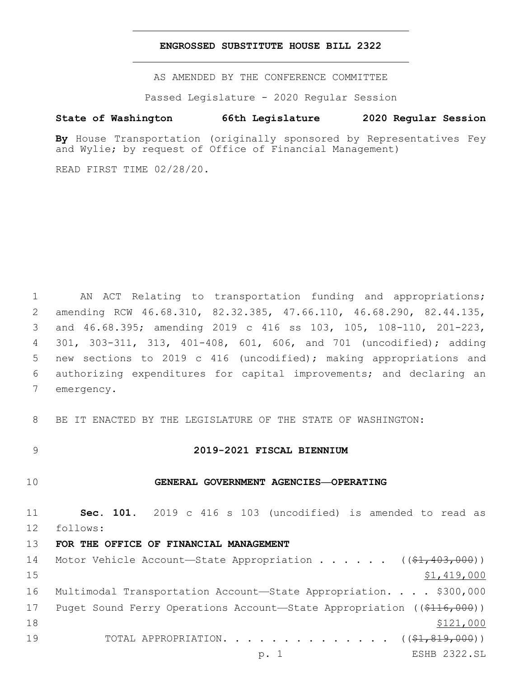#### **ENGROSSED SUBSTITUTE HOUSE BILL 2322**

AS AMENDED BY THE CONFERENCE COMMITTEE

Passed Legislature - 2020 Regular Session

#### **State of Washington 66th Legislature 2020 Regular Session**

**By** House Transportation (originally sponsored by Representatives Fey and Wylie; by request of Office of Financial Management)

READ FIRST TIME 02/28/20.

1 AN ACT Relating to transportation funding and appropriations; amending RCW 46.68.310, 82.32.385, 47.66.110, 46.68.290, 82.44.135, and 46.68.395; amending 2019 c 416 ss 103, 105, 108-110, 201-223, 301, 303-311, 313, 401-408, 601, 606, and 701 (uncodified); adding new sections to 2019 c 416 (uncodified); making appropriations and authorizing expenditures for capital improvements; and declaring an 7 emergency.

8 BE IT ENACTED BY THE LEGISLATURE OF THE STATE OF WASHINGTON:

#### 9 **2019-2021 FISCAL BIENNIUM**

#### 10 **GENERAL GOVERNMENT AGENCIES—OPERATING**

11 **Sec. 101.** 2019 c 416 s 103 (uncodified) is amended to read as 12 follows:

13 **FOR THE OFFICE OF FINANCIAL MANAGEMENT**

14 Motor Vehicle Account—State Appropriation . . . . . ((\$1,403,000))  $15$  \$1,419,000 16 Multimodal Transportation Account—State Appropriation. . . . \$300,000 17 Puget Sound Ferry Operations Account—State Appropriation ((\$116,000)) 18 \$121,000 19 TOTAL APPROPRIATION. . . . . . . . . . . . . ((\$1,819,000)) p. 1 ESHB 2322.SL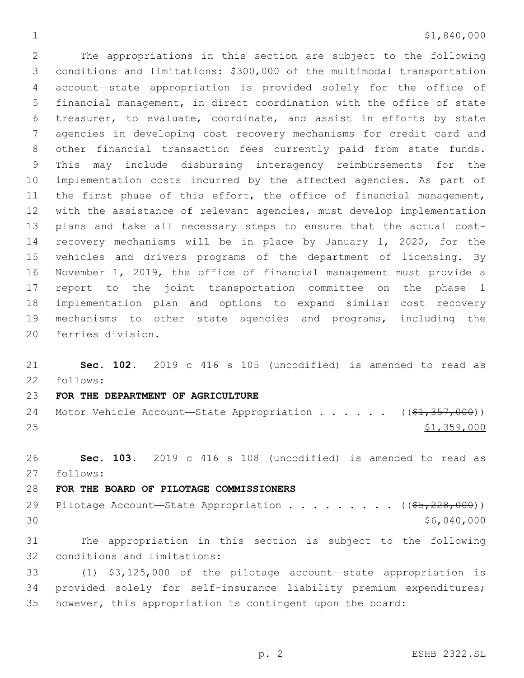#### $\frac{1}{21,840,000}$

 The appropriations in this section are subject to the following conditions and limitations: \$300,000 of the multimodal transportation account—state appropriation is provided solely for the office of financial management, in direct coordination with the office of state treasurer, to evaluate, coordinate, and assist in efforts by state agencies in developing cost recovery mechanisms for credit card and other financial transaction fees currently paid from state funds. This may include disbursing interagency reimbursements for the implementation costs incurred by the affected agencies. As part of 11 the first phase of this effort, the office of financial management, with the assistance of relevant agencies, must develop implementation plans and take all necessary steps to ensure that the actual cost- recovery mechanisms will be in place by January 1, 2020, for the vehicles and drivers programs of the department of licensing. By November 1, 2019, the office of financial management must provide a report to the joint transportation committee on the phase 1 implementation plan and options to expand similar cost recovery mechanisms to other state agencies and programs, including the 20 ferries division.

 **Sec. 102.** 2019 c 416 s 105 (uncodified) is amended to read as follows:

## **FOR THE DEPARTMENT OF AGRICULTURE**

24 Motor Vehicle Account—State Appropriation . . . . .  $($   $($ \$1,357,000)) \$1,359,000

 **Sec. 103.** 2019 c 416 s 108 (uncodified) is amended to read as follows:

## **FOR THE BOARD OF PILOTAGE COMMISSIONERS**

29 Pilotage Account—State Appropriation . . . . . . . .  $($   $($  $$5, 228, 000)$ )  $30 \,$  \$6,040,000

 The appropriation in this section is subject to the following 32 conditions and limitations:

 (1) \$3,125,000 of the pilotage account—state appropriation is provided solely for self-insurance liability premium expenditures; however, this appropriation is contingent upon the board: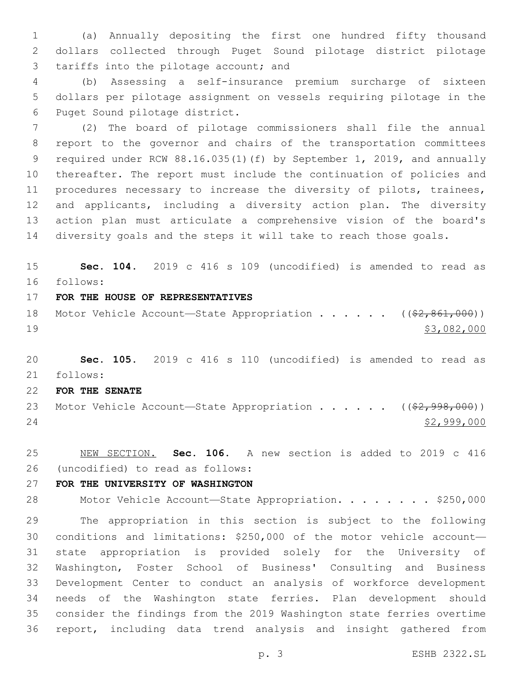(a) Annually depositing the first one hundred fifty thousand dollars collected through Puget Sound pilotage district pilotage 3 tariffs into the pilotage account; and

 (b) Assessing a self-insurance premium surcharge of sixteen dollars per pilotage assignment on vessels requiring pilotage in the 6 Puget Sound pilotage district.

 (2) The board of pilotage commissioners shall file the annual report to the governor and chairs of the transportation committees required under RCW 88.16.035(1)(f) by September 1, 2019, and annually thereafter. The report must include the continuation of policies and procedures necessary to increase the diversity of pilots, trainees, and applicants, including a diversity action plan. The diversity action plan must articulate a comprehensive vision of the board's diversity goals and the steps it will take to reach those goals.

 **Sec. 104.** 2019 c 416 s 109 (uncodified) is amended to read as follows:

- **FOR THE HOUSE OF REPRESENTATIVES**
- 18 Motor Vehicle Account—State Appropriation . . . . . ((\$2,861,000)) \$3,082,000

 **Sec. 105.** 2019 c 416 s 110 (uncodified) is amended to read as follows:

**FOR THE SENATE**

23 Motor Vehicle Account—State Appropriation . . . . . ((\$2,998,000)) \$2,999,000

 NEW SECTION. **Sec. 106.** A new section is added to 2019 c 416 (uncodified) to read as follows:

## **FOR THE UNIVERSITY OF WASHINGTON**

28 Motor Vehicle Account—State Appropriation. . . . . . . \$250,000

 The appropriation in this section is subject to the following conditions and limitations: \$250,000 of the motor vehicle account— state appropriation is provided solely for the University of Washington, Foster School of Business' Consulting and Business Development Center to conduct an analysis of workforce development needs of the Washington state ferries. Plan development should consider the findings from the 2019 Washington state ferries overtime report, including data trend analysis and insight gathered from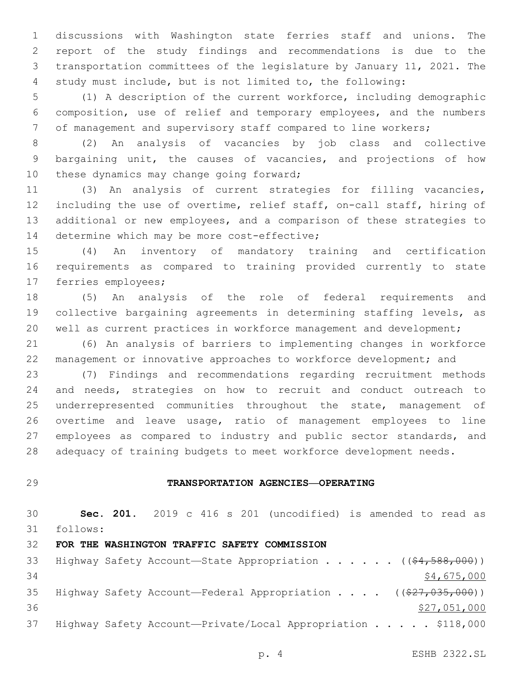discussions with Washington state ferries staff and unions. The report of the study findings and recommendations is due to the transportation committees of the legislature by January 11, 2021. The study must include, but is not limited to, the following:

 (1) A description of the current workforce, including demographic composition, use of relief and temporary employees, and the numbers of management and supervisory staff compared to line workers;

 (2) An analysis of vacancies by job class and collective bargaining unit, the causes of vacancies, and projections of how 10 these dynamics may change going forward;

 (3) An analysis of current strategies for filling vacancies, including the use of overtime, relief staff, on-call staff, hiring of additional or new employees, and a comparison of these strategies to 14 determine which may be more cost-effective;

 (4) An inventory of mandatory training and certification requirements as compared to training provided currently to state 17 ferries employees;

 (5) An analysis of the role of federal requirements and collective bargaining agreements in determining staffing levels, as well as current practices in workforce management and development;

 (6) An analysis of barriers to implementing changes in workforce management or innovative approaches to workforce development; and

 (7) Findings and recommendations regarding recruitment methods and needs, strategies on how to recruit and conduct outreach to 25 underrepresented communities throughout the state, management of overtime and leave usage, ratio of management employees to line 27 employees as compared to industry and public sector standards, and adequacy of training budgets to meet workforce development needs.

## **TRANSPORTATION AGENCIES—OPERATING**

 **Sec. 201.** 2019 c 416 s 201 (uncodified) is amended to read as follows: **FOR THE WASHINGTON TRAFFIC SAFETY COMMISSION** 33 Highway Safety Account—State Appropriation . . . . . ((\$4,588,000))  $$4,675,000$ 35 Highway Safety Account—Federal Appropriation . . . . ((\$27,035,000)) \$27,051,000 37 Highway Safety Account-Private/Local Appropriation . . . . \$118,000

p. 4 ESHB 2322.SL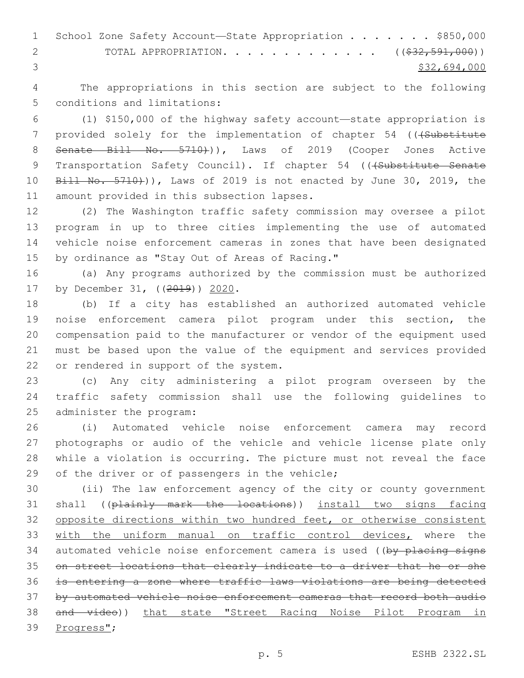1 School Zone Safety Account-State Appropriation . . . . . . \$850,000 2 TOTAL APPROPRIATION. . . . . . . . . . . . . ((\$32,591,000))  $3<sup>3</sup>$  \$32,694,000

4 The appropriations in this section are subject to the following 5 conditions and limitations:

6 (1) \$150,000 of the highway safety account—state appropriation is 7 provided solely for the implementation of chapter 54 ((+Substitute 8 Senate Bill No. 5710)), Laws of 2019 (Cooper Jones Active 9 Transportation Safety Council). If chapter 54 (((Substitute Senate 10 Bill No. 5710))), Laws of 2019 is not enacted by June 30, 2019, the 11 amount provided in this subsection lapses.

 (2) The Washington traffic safety commission may oversee a pilot program in up to three cities implementing the use of automated vehicle noise enforcement cameras in zones that have been designated 15 by ordinance as "Stay Out of Areas of Racing."

16 (a) Any programs authorized by the commission must be authorized 17 by December 31, ((2019)) 2020.

 (b) If a city has established an authorized automated vehicle noise enforcement camera pilot program under this section, the compensation paid to the manufacturer or vendor of the equipment used must be based upon the value of the equipment and services provided 22 or rendered in support of the system.

23 (c) Any city administering a pilot program overseen by the 24 traffic safety commission shall use the following guidelines to 25 administer the program:

 (i) Automated vehicle noise enforcement camera may record photographs or audio of the vehicle and vehicle license plate only while a violation is occurring. The picture must not reveal the face 29 of the driver or of passengers in the vehicle;

 (ii) The law enforcement agency of the city or county government shall ((plainly mark the locations)) install two signs facing opposite directions within two hundred feet, or otherwise consistent with the uniform manual on traffic control devices, where the 34 automated vehicle noise enforcement camera is used ((by placing signs on street locations that clearly indicate to a driver that he or she is entering a zone where traffic laws violations are being detected by automated vehicle noise enforcement cameras that record both audio and video)) that state "Street Racing Noise Pilot Program in 39 Progress";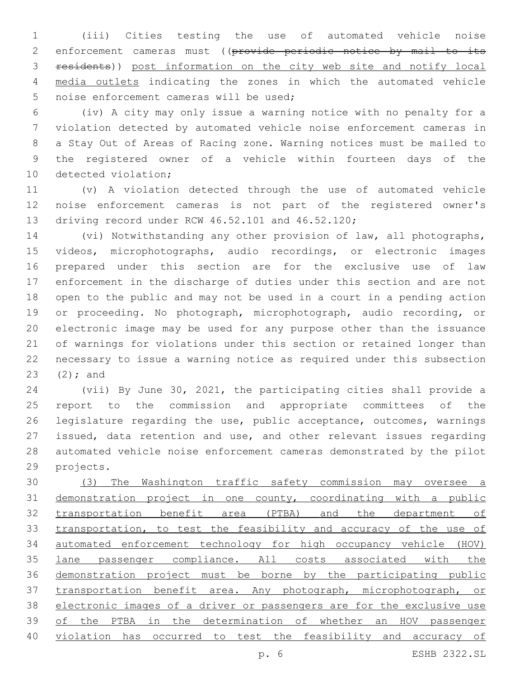(iii) Cities testing the use of automated vehicle noise 2 enforcement cameras must ((provide periodic notice by mail to its residents)) post information on the city web site and notify local media outlets indicating the zones in which the automated vehicle 5 noise enforcement cameras will be used;

 (iv) A city may only issue a warning notice with no penalty for a violation detected by automated vehicle noise enforcement cameras in a Stay Out of Areas of Racing zone. Warning notices must be mailed to the registered owner of a vehicle within fourteen days of the 10 detected violation;

 (v) A violation detected through the use of automated vehicle noise enforcement cameras is not part of the registered owner's 13 driving record under RCW 46.52.101 and 46.52.120;

 (vi) Notwithstanding any other provision of law, all photographs, videos, microphotographs, audio recordings, or electronic images prepared under this section are for the exclusive use of law enforcement in the discharge of duties under this section and are not open to the public and may not be used in a court in a pending action or proceeding. No photograph, microphotograph, audio recording, or electronic image may be used for any purpose other than the issuance of warnings for violations under this section or retained longer than necessary to issue a warning notice as required under this subsection 23  $(2);$  and

 (vii) By June 30, 2021, the participating cities shall provide a report to the commission and appropriate committees of the legislature regarding the use, public acceptance, outcomes, warnings issued, data retention and use, and other relevant issues regarding automated vehicle noise enforcement cameras demonstrated by the pilot 29 projects.

 (3) The Washington traffic safety commission may oversee a demonstration project in one county, coordinating with a public transportation benefit area (PTBA) and the department of transportation, to test the feasibility and accuracy of the use of automated enforcement technology for high occupancy vehicle (HOV) lane passenger compliance. All costs associated with the demonstration project must be borne by the participating public transportation benefit area. Any photograph, microphotograph, or electronic images of a driver or passengers are for the exclusive use of the PTBA in the determination of whether an HOV passenger violation has occurred to test the feasibility and accuracy of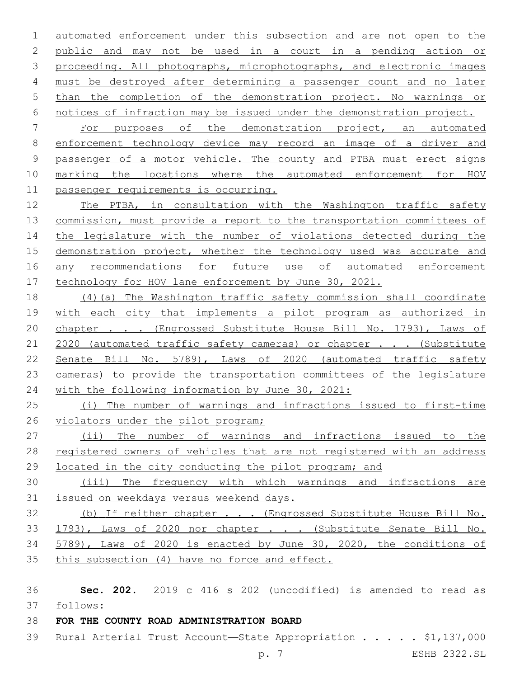automated enforcement under this subsection and are not open to the public and may not be used in a court in a pending action or proceeding. All photographs, microphotographs, and electronic images must be destroyed after determining a passenger count and no later than the completion of the demonstration project. No warnings or notices of infraction may be issued under the demonstration project.

 For purposes of the demonstration project, an automated enforcement technology device may record an image of a driver and passenger of a motor vehicle. The county and PTBA must erect signs marking the locations where the automated enforcement for HOV passenger requirements is occurring.

 The PTBA, in consultation with the Washington traffic safety commission, must provide a report to the transportation committees of 14 the legislature with the number of violations detected during the 15 demonstration project, whether the technology used was accurate and 16 any recommendations for future use of automated enforcement 17 technology for HOV lane enforcement by June 30, 2021.

 (4)(a) The Washington traffic safety commission shall coordinate with each city that implements a pilot program as authorized in 20 chapter . . . (Engrossed Substitute House Bill No. 1793), Laws of 21 2020 (automated traffic safety cameras) or chapter . . . (Substitute Senate Bill No. 5789), Laws of 2020 (automated traffic safety cameras) to provide the transportation committees of the legislature with the following information by June 30, 2021:

 (i) The number of warnings and infractions issued to first-time 26 violators under the pilot program;

 (ii) The number of warnings and infractions issued to the 28 registered owners of vehicles that are not registered with an address located in the city conducting the pilot program; and

 (iii) The frequency with which warnings and infractions are issued on weekdays versus weekend days.

 (b) If neither chapter . . . (Engrossed Substitute House Bill No. 33 1793), Laws of 2020 nor chapter . . . (Substitute Senate Bill No. 5789), Laws of 2020 is enacted by June 30, 2020, the conditions of this subsection (4) have no force and effect.

 **Sec. 202.** 2019 c 416 s 202 (uncodified) is amended to read as follows:

# **FOR THE COUNTY ROAD ADMINISTRATION BOARD**

39 Rural Arterial Trust Account—State Appropriation . . . . \$1,137,000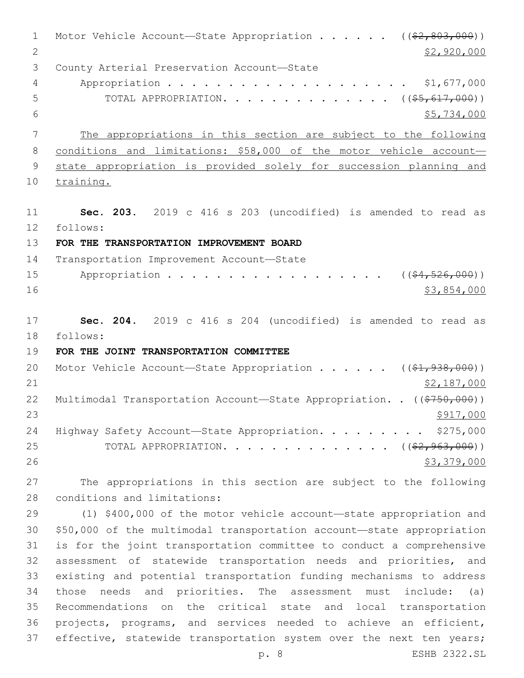1 Motor Vehicle Account—State Appropriation . . . . . ((\$2,803,000)) 2 \$2,920,000 3 County Arterial Preservation Account-State Appropriation . . . . . . . . . . . . . . . . . . . . \$1,677,000 5 TOTAL APPROPRIATION. . . . . . . . . . . . . . ((\$5,617,000))  $$5,734,000$  The appropriations in this section are subject to the following conditions and limitations: \$58,000 of the motor vehicle account— state appropriation is provided solely for succession planning and training. **Sec. 203.** 2019 c 416 s 203 (uncodified) is amended to read as follows: **FOR THE TRANSPORTATION IMPROVEMENT BOARD** 14 Transportation Improvement Account-State 15 Appropriation . . . . . . . . . . . . . . . . (  $(\frac{64}{1000})$ ) \$3,854,000 **Sec. 204.** 2019 c 416 s 204 (uncodified) is amended to read as follows: **FOR THE JOINT TRANSPORTATION COMMITTEE** 20 Motor Vehicle Account—State Appropriation . . . . .  $($   $($ \$1,938,000)) \$2,187,000 22 Multimodal Transportation Account—State Appropriation. . ((\$750,000))  $\frac{$917,000}{2}$ 24 Highway Safety Account-State Appropriation. . . . . . . . \$275,000 25 TOTAL APPROPRIATION. . . . . . . . . . . . . ((\$2,963,000)) \$3,379,000 The appropriations in this section are subject to the following 28 conditions and limitations: (1) \$400,000 of the motor vehicle account—state appropriation and \$50,000 of the multimodal transportation account—state appropriation is for the joint transportation committee to conduct a comprehensive assessment of statewide transportation needs and priorities, and existing and potential transportation funding mechanisms to address those needs and priorities. The assessment must include: (a) Recommendations on the critical state and local transportation projects, programs, and services needed to achieve an efficient,

p. 8 ESHB 2322.SL

37 effective, statewide transportation system over the next ten years;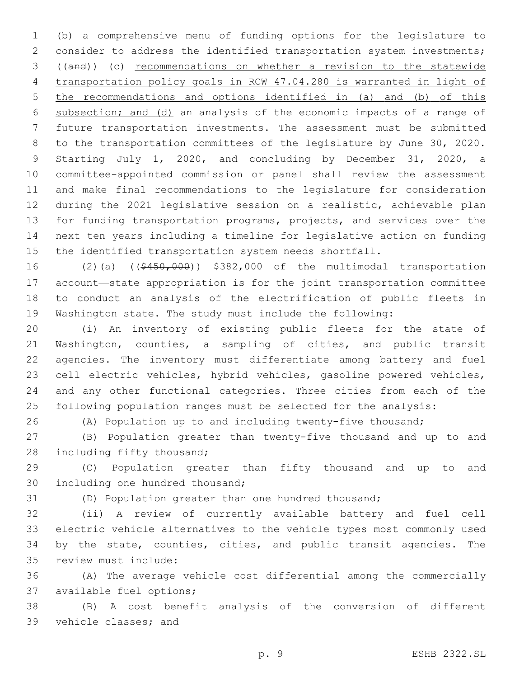(b) a comprehensive menu of funding options for the legislature to consider to address the identified transportation system investments; ((and)) (c) recommendations on whether a revision to the statewide transportation policy goals in RCW 47.04.280 is warranted in light of the recommendations and options identified in (a) and (b) of this subsection; and (d) an analysis of the economic impacts of a range of future transportation investments. The assessment must be submitted to the transportation committees of the legislature by June 30, 2020. Starting July 1, 2020, and concluding by December 31, 2020, a committee-appointed commission or panel shall review the assessment and make final recommendations to the legislature for consideration during the 2021 legislative session on a realistic, achievable plan for funding transportation programs, projects, and services over the next ten years including a timeline for legislative action on funding the identified transportation system needs shortfall.

16 (2)(a) ((\$450,000)) \$382,000 of the multimodal transportation account—state appropriation is for the joint transportation committee to conduct an analysis of the electrification of public fleets in Washington state. The study must include the following:

 (i) An inventory of existing public fleets for the state of Washington, counties, a sampling of cities, and public transit agencies. The inventory must differentiate among battery and fuel cell electric vehicles, hybrid vehicles, gasoline powered vehicles, and any other functional categories. Three cities from each of the following population ranges must be selected for the analysis:

(A) Population up to and including twenty-five thousand;

 (B) Population greater than twenty-five thousand and up to and 28 including fifty thousand;

 (C) Population greater than fifty thousand and up to and 30 including one hundred thousand;

(D) Population greater than one hundred thousand;

 (ii) A review of currently available battery and fuel cell electric vehicle alternatives to the vehicle types most commonly used by the state, counties, cities, and public transit agencies. The 35 review must include:

 (A) The average vehicle cost differential among the commercially 37 available fuel options;

 (B) A cost benefit analysis of the conversion of different 39 vehicle classes; and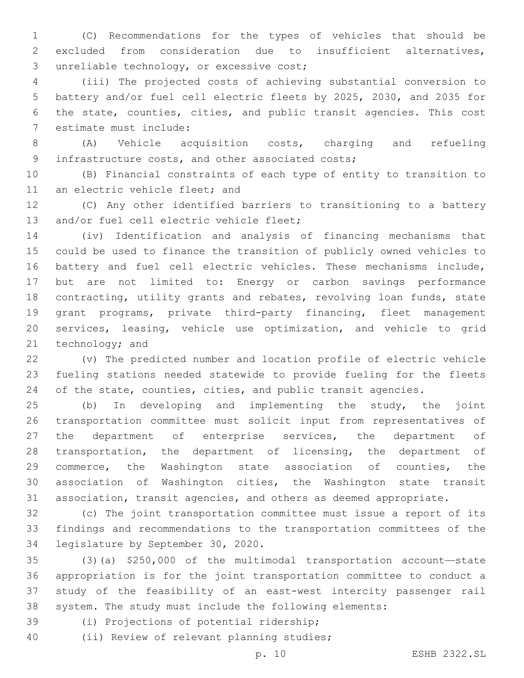(C) Recommendations for the types of vehicles that should be excluded from consideration due to insufficient alternatives, 3 unreliable technology, or excessive cost;

 (iii) The projected costs of achieving substantial conversion to battery and/or fuel cell electric fleets by 2025, 2030, and 2035 for the state, counties, cities, and public transit agencies. This cost 7 estimate must include:

 (A) Vehicle acquisition costs, charging and refueling 9 infrastructure costs, and other associated costs;

 (B) Financial constraints of each type of entity to transition to 11 an electric vehicle fleet; and

 (C) Any other identified barriers to transitioning to a battery 13 and/or fuel cell electric vehicle fleet;

 (iv) Identification and analysis of financing mechanisms that could be used to finance the transition of publicly owned vehicles to battery and fuel cell electric vehicles. These mechanisms include, but are not limited to: Energy or carbon savings performance contracting, utility grants and rebates, revolving loan funds, state grant programs, private third-party financing, fleet management services, leasing, vehicle use optimization, and vehicle to grid 21 technology; and

 (v) The predicted number and location profile of electric vehicle fueling stations needed statewide to provide fueling for the fleets 24 of the state, counties, cities, and public transit agencies.

 (b) In developing and implementing the study, the joint transportation committee must solicit input from representatives of 27 the department of enterprise services, the department of transportation, the department of licensing, the department of commerce, the Washington state association of counties, the association of Washington cities, the Washington state transit association, transit agencies, and others as deemed appropriate.

 (c) The joint transportation committee must issue a report of its findings and recommendations to the transportation committees of the 34 legislature by September 30, 2020.

 (3)(a) \$250,000 of the multimodal transportation account—state appropriation is for the joint transportation committee to conduct a study of the feasibility of an east-west intercity passenger rail system. The study must include the following elements:

(i) Projections of potential ridership;39

40 (ii) Review of relevant planning studies;

p. 10 ESHB 2322.SL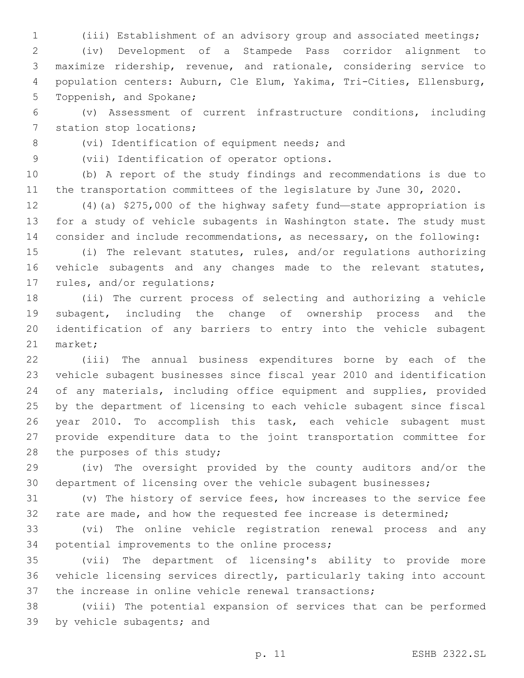(iii) Establishment of an advisory group and associated meetings;

 (iv) Development of a Stampede Pass corridor alignment to maximize ridership, revenue, and rationale, considering service to population centers: Auburn, Cle Elum, Yakima, Tri-Cities, Ellensburg, 5 Toppenish, and Spokane;

 (v) Assessment of current infrastructure conditions, including 7 station stop locations;

8 (vi) Identification of equipment needs; and

9 (vii) Identification of operator options.

 (b) A report of the study findings and recommendations is due to 11 the transportation committees of the legislature by June 30, 2020.

 (4)(a) \$275,000 of the highway safety fund—state appropriation is for a study of vehicle subagents in Washington state. The study must consider and include recommendations, as necessary, on the following:

 (i) The relevant statutes, rules, and/or regulations authorizing vehicle subagents and any changes made to the relevant statutes, 17 rules, and/or regulations;

 (ii) The current process of selecting and authorizing a vehicle subagent, including the change of ownership process and the identification of any barriers to entry into the vehicle subagent 21 market;

 (iii) The annual business expenditures borne by each of the vehicle subagent businesses since fiscal year 2010 and identification of any materials, including office equipment and supplies, provided by the department of licensing to each vehicle subagent since fiscal year 2010. To accomplish this task, each vehicle subagent must provide expenditure data to the joint transportation committee for 28 the purposes of this study;

 (iv) The oversight provided by the county auditors and/or the department of licensing over the vehicle subagent businesses;

 (v) The history of service fees, how increases to the service fee rate are made, and how the requested fee increase is determined;

 (vi) The online vehicle registration renewal process and any 34 potential improvements to the online process;

 (vii) The department of licensing's ability to provide more vehicle licensing services directly, particularly taking into account the increase in online vehicle renewal transactions;

 (viii) The potential expansion of services that can be performed 39 by vehicle subagents; and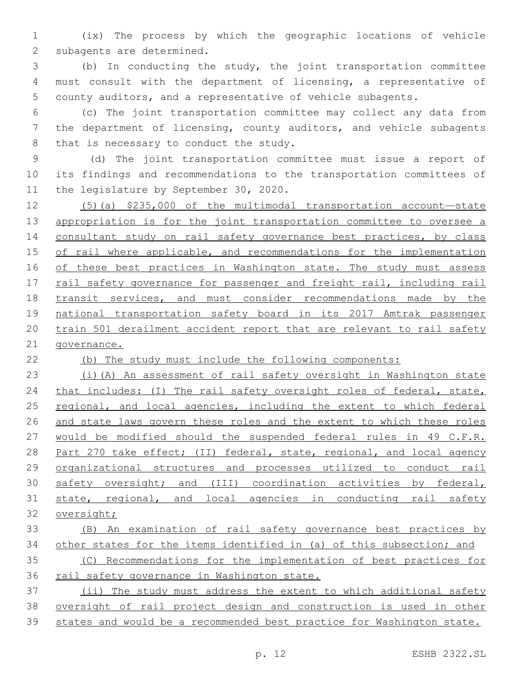(ix) The process by which the geographic locations of vehicle 2 subagents are determined.

 (b) In conducting the study, the joint transportation committee must consult with the department of licensing, a representative of county auditors, and a representative of vehicle subagents.

 (c) The joint transportation committee may collect any data from the department of licensing, county auditors, and vehicle subagents 8 that is necessary to conduct the study.

 (d) The joint transportation committee must issue a report of its findings and recommendations to the transportation committees of 11 the legislature by September 30, 2020.

 (5)(a) \$235,000 of the multimodal transportation account—state appropriation is for the joint transportation committee to oversee a consultant study on rail safety governance best practices, by class 15 of rail where applicable, and recommendations for the implementation 16 of these best practices in Washington state. The study must assess rail safety governance for passenger and freight rail, including rail transit services, and must consider recommendations made by the national transportation safety board in its 2017 Amtrak passenger train 501 derailment accident report that are relevant to rail safety governance.

(b) The study must include the following components:

 (i)(A) An assessment of rail safety oversight in Washington state 24 that includes: (I) The rail safety oversight roles of federal, state, regional, and local agencies, including the extent to which federal and state laws govern these roles and the extent to which these roles would be modified should the suspended federal rules in 49 C.F.R. 28 Part 270 take effect; (II) federal, state, regional, and local agency organizational structures and processes utilized to conduct rail 30 safety oversight; and (III) coordination activities by federal, state, regional, and local agencies in conducting rail safety oversight; (B) An examination of rail safety governance best practices by

other states for the items identified in (a) of this subsection; and

 (C) Recommendations for the implementation of best practices for rail safety governance in Washington state.

 (ii) The study must address the extent to which additional safety oversight of rail project design and construction is used in other states and would be a recommended best practice for Washington state.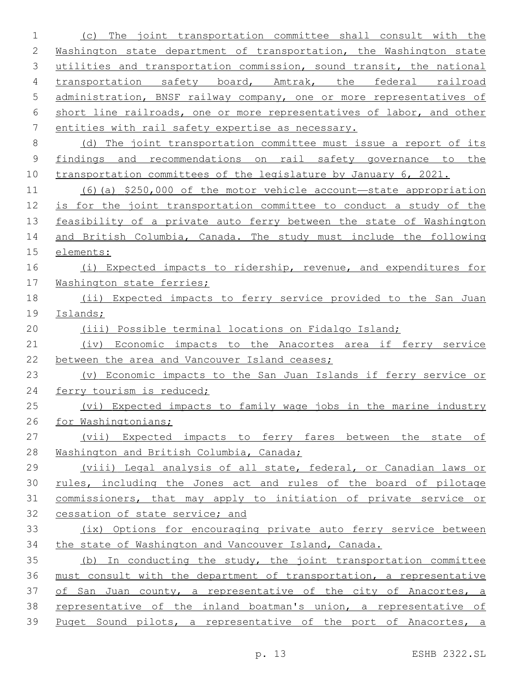(c) The joint transportation committee shall consult with the Washington state department of transportation, the Washington state utilities and transportation commission, sound transit, the national 4 transportation safety board, Amtrak, the federal railroad administration, BNSF railway company, one or more representatives of short line railroads, one or more representatives of labor, and other entities with rail safety expertise as necessary. (d) The joint transportation committee must issue a report of its findings and recommendations on rail safety governance to the transportation committees of the legislature by January 6, 2021. (6)(a) \$250,000 of the motor vehicle account—state appropriation is for the joint transportation committee to conduct a study of the feasibility of a private auto ferry between the state of Washington and British Columbia, Canada. The study must include the following elements: (i) Expected impacts to ridership, revenue, and expenditures for 17 Washington state ferries; (ii) Expected impacts to ferry service provided to the San Juan Islands; (iii) Possible terminal locations on Fidalgo Island; (iv) Economic impacts to the Anacortes area if ferry service 22 between the area and Vancouver Island ceases; (v) Economic impacts to the San Juan Islands if ferry service or 24 ferry tourism is reduced; (vi) Expected impacts to family wage jobs in the marine industry for Washingtonians; (vii) Expected impacts to ferry fares between the state of Washington and British Columbia, Canada; (viii) Legal analysis of all state, federal, or Canadian laws or rules, including the Jones act and rules of the board of pilotage commissioners, that may apply to initiation of private service or cessation of state service; and (ix) Options for encouraging private auto ferry service between the state of Washington and Vancouver Island, Canada. (b) In conducting the study, the joint transportation committee must consult with the department of transportation, a representative 37 of San Juan county, a representative of the city of Anacortes, a representative of the inland boatman's union, a representative of Puget Sound pilots, a representative of the port of Anacortes, a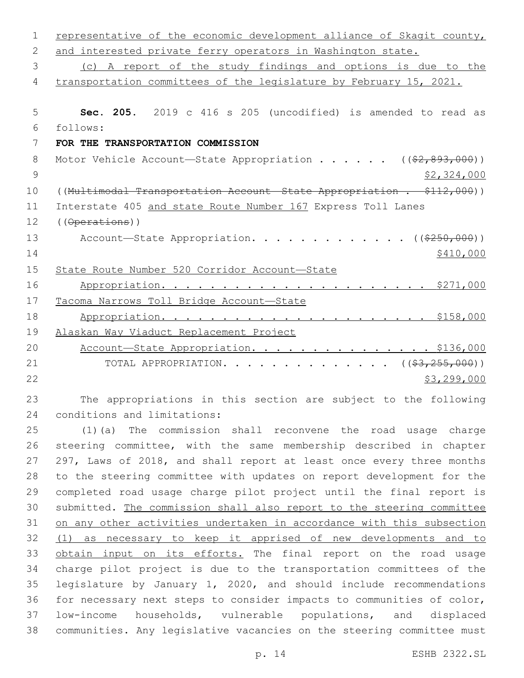| $\mathbf 1$ | representative of the economic development alliance of Skagit county,   |
|-------------|-------------------------------------------------------------------------|
| 2           | and interested private ferry operators in Washington state.             |
| 3           | (c) A report of the study findings and options is due to the            |
| 4           | transportation committees of the legislature by February 15, 2021.      |
|             |                                                                         |
| 5           | Sec. 205. 2019 c 416 s 205 (uncodified) is amended to read as           |
| 6           | follows:                                                                |
| 7           | FOR THE TRANSPORTATION COMMISSION                                       |
| 8           | Motor Vehicle Account-State Appropriation ( $(\frac{2}{2}, 893, 000)$ ) |
| 9           | \$2,324,000                                                             |
| 10          | ((Multimodal Transportation Account State Appropriation . \$112,000))   |
| 11          | Interstate 405 and state Route Number 167 Express Toll Lanes            |
| 12          | $($ ( $\theta$ perations))                                              |
| 13          | Account-State Appropriation. ((\$250,000))                              |
| 14          | \$410,000                                                               |
| 15          | State Route Number 520 Corridor Account-State                           |
| 16          |                                                                         |
| 17          | Tacoma Narrows Toll Bridge Account-State                                |
| 18          |                                                                         |
| 19          | Alaskan Way Viaduct Replacement Project                                 |
| 20          | Account-State Appropriation. \$136,000                                  |
| 21          | TOTAL APPROPRIATION. ( $(\frac{23}{2255},000)$ )                        |
| 22          | \$3,299,000                                                             |
| 23          | The appropriations in this section are subject to the following         |

 The appropriations in this section are subject to the following 24 conditions and limitations:

 (1)(a) The commission shall reconvene the road usage charge steering committee, with the same membership described in chapter 297, Laws of 2018, and shall report at least once every three months to the steering committee with updates on report development for the completed road usage charge pilot project until the final report is submitted. The commission shall also report to the steering committee on any other activities undertaken in accordance with this subsection (1) as necessary to keep it apprised of new developments and to 33 obtain input on its efforts. The final report on the road usage charge pilot project is due to the transportation committees of the legislature by January 1, 2020, and should include recommendations for necessary next steps to consider impacts to communities of color, low-income households, vulnerable populations, and displaced communities. Any legislative vacancies on the steering committee must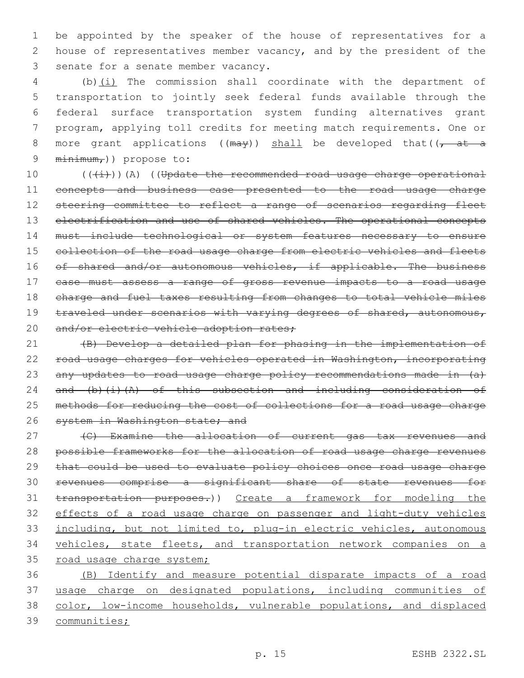1 be appointed by the speaker of the house of representatives for a 2 house of representatives member vacancy, and by the president of the 3 senate for a senate member vacancy.

 (b)(i) The commission shall coordinate with the department of transportation to jointly seek federal funds available through the federal surface transportation system funding alternatives grant program, applying toll credits for meeting match requirements. One or 8 more grant applications ( $(may)$ ) shall be developed that( $\sqrt{at-a}$  $minimm_{r}$ )) propose to:

10 (((i)))(A) ((Update the recommended road usage charge operational 11 concepts and business case presented to the road usage charge 12 steering committee to reflect a range of scenarios regarding fleet 13 electrification and use of shared vehicles. The operational concepts 14 must include technological or system features necessary to ensure 15 collection of the road usage charge from electric vehicles and fleets 16 of shared and/or autonomous vehicles, if applicable. The business 17 case must assess a range of gross revenue impacts to a road usage 18 charge and fuel taxes resulting from changes to total vehicle miles 19 traveled under scenarios with varying degrees of shared, autonomous, 20 and/or electric vehicle adoption rates;

21 (B) Develop a detailed plan for phasing in the implementation of 22 road usage charges for vehicles operated in Washington, incorporating 23 any updates to road usage charge policy recommendations made in (a) 24 and  $(b)$   $(i)$   $(A)$  of this subsection and including consideration of 25 methods for reducing the cost of collections for a road usage charge 26 system in Washington state; and

27 (C) Examine the allocation of current gas tax revenues and possible frameworks for the allocation of road usage charge revenues that could be used to evaluate policy choices once road usage charge revenues comprise a significant share of state revenues for transportation purposes.)) Create a framework for modeling the effects of a road usage charge on passenger and light-duty vehicles 33 including, but not limited to, plug-in electric vehicles, autonomous vehicles, state fleets, and transportation network companies on a 35 road usage charge system;

 (B) Identify and measure potential disparate impacts of a road usage charge on designated populations, including communities of color, low-income households, vulnerable populations, and displaced communities;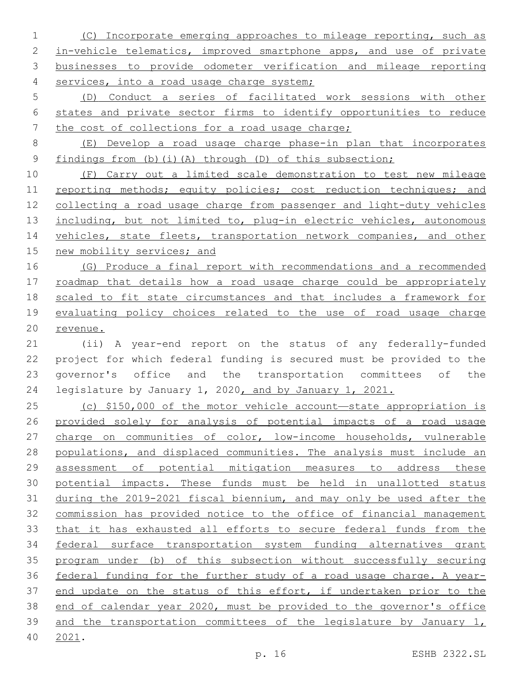- (C) Incorporate emerging approaches to mileage reporting, such as 2 in-vehicle telematics, improved smartphone apps, and use of private businesses to provide odometer verification and mileage reporting services, into a road usage charge system;
- (D) Conduct a series of facilitated work sessions with other states and private sector firms to identify opportunities to reduce 7 the cost of collections for a road usage charge;
- (E) Develop a road usage charge phase-in plan that incorporates findings from (b)(i)(A) through (D) of this subsection;

 (F) Carry out a limited scale demonstration to test new mileage 11 reporting methods; equity policies; cost reduction techniques; and collecting a road usage charge from passenger and light-duty vehicles 13 including, but not limited to, plug-in electric vehicles, autonomous 14 vehicles, state fleets, transportation network companies, and other 15 new mobility services; and

 (G) Produce a final report with recommendations and a recommended 17 roadmap that details how a road usage charge could be appropriately scaled to fit state circumstances and that includes a framework for evaluating policy choices related to the use of road usage charge revenue.

 (ii) A year-end report on the status of any federally-funded project for which federal funding is secured must be provided to the governor's office and the transportation committees of the legislature by January 1, 2020, and by January 1, 2021.

 (c) \$150,000 of the motor vehicle account—state appropriation is provided solely for analysis of potential impacts of a road usage 27 charge on communities of color, low-income households, vulnerable populations, and displaced communities. The analysis must include an assessment of potential mitigation measures to address these potential impacts. These funds must be held in unallotted status during the 2019-2021 fiscal biennium, and may only be used after the commission has provided notice to the office of financial management that it has exhausted all efforts to secure federal funds from the federal surface transportation system funding alternatives grant program under (b) of this subsection without successfully securing federal funding for the further study of a road usage charge. A year- end update on the status of this effort, if undertaken prior to the end of calendar year 2020, must be provided to the governor's office 39 and the transportation committees of the legislature by January 1, 2021.40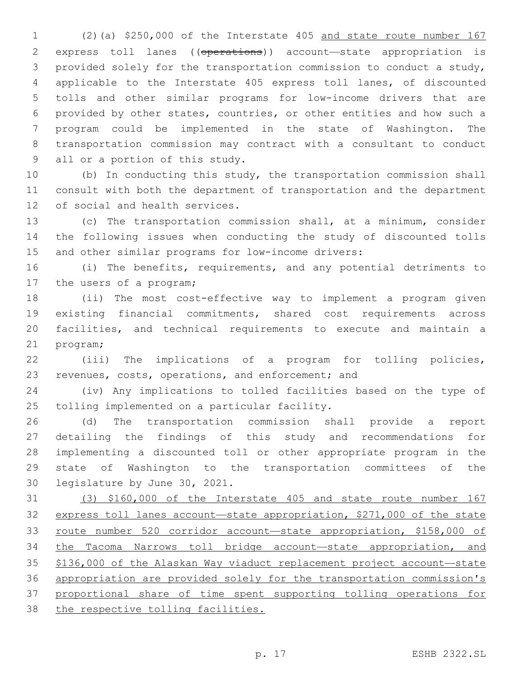(2)(a) \$250,000 of the Interstate 405 and state route number 167 express toll lanes ((operations)) account—state appropriation is provided solely for the transportation commission to conduct a study, applicable to the Interstate 405 express toll lanes, of discounted tolls and other similar programs for low-income drivers that are provided by other states, countries, or other entities and how such a program could be implemented in the state of Washington. The transportation commission may contract with a consultant to conduct 9 all or a portion of this study.

 (b) In conducting this study, the transportation commission shall consult with both the department of transportation and the department 12 of social and health services.

 (c) The transportation commission shall, at a minimum, consider the following issues when conducting the study of discounted tolls and other similar programs for low-income drivers:

 (i) The benefits, requirements, and any potential detriments to 17 the users of a program;

 (ii) The most cost-effective way to implement a program given existing financial commitments, shared cost requirements across facilities, and technical requirements to execute and maintain a 21 program;

 (iii) The implications of a program for tolling policies, 23 revenues, costs, operations, and enforcement; and

 (iv) Any implications to tolled facilities based on the type of 25 tolling implemented on a particular facility.

 (d) The transportation commission shall provide a report detailing the findings of this study and recommendations for implementing a discounted toll or other appropriate program in the state of Washington to the transportation committees of the 30 legislature by June 30, 2021.

 (3) \$160,000 of the Interstate 405 and state route number 167 express toll lanes account—state appropriation, \$271,000 of the state 33 route number 520 corridor account-state appropriation, \$158,000 of the Tacoma Narrows toll bridge account—state appropriation, and \$136,000 of the Alaskan Way viaduct replacement project account—state appropriation are provided solely for the transportation commission's proportional share of time spent supporting tolling operations for 38 the respective tolling facilities.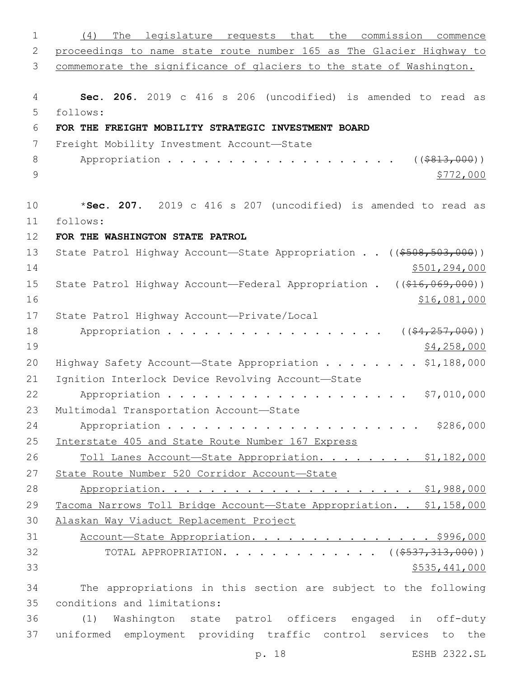| $\mathbf 1$ | legislature requests that the commission<br>(4)<br>The<br>commence    |
|-------------|-----------------------------------------------------------------------|
| 2           | proceedings to name state route number 165 as The Glacier Highway to  |
| 3           | commemorate the significance of glaciers to the state of Washington.  |
| 4           | Sec. 206. 2019 c 416 s 206 (uncodified) is amended to read as         |
| 5           | follows:                                                              |
| 6           | FOR THE FREIGHT MOBILITY STRATEGIC INVESTMENT BOARD                   |
| 7           | Freight Mobility Investment Account-State                             |
| 8           | Appropriation<br>( ( \$813,000) )                                     |
| 9           | \$772,000                                                             |
| 10          | *Sec. 207. 2019 c 416 s 207 (uncodified) is amended to read as        |
| 11          | follows:                                                              |
| 12          | FOR THE WASHINGTON STATE PATROL                                       |
| 13          | State Patrol Highway Account-State Appropriation ((\$508,503,000))    |
| 14          | \$501,294,000                                                         |
| 15          | State Patrol Highway Account-Federal Appropriation . ((\$16,069,000)) |
| 16          | \$16,081,000                                                          |
| 17          | State Patrol Highway Account-Private/Local                            |
| 18          | Appropriation<br>$($ $($ $$4, 257, 000)$ $)$                          |
| 19          | \$4,258,000                                                           |
| 20          | Highway Safety Account-State Appropriation \$1,188,000                |
| 21          | Ignition Interlock Device Revolving Account-State                     |
| 22          | Appropriation<br>\$7,010,000                                          |
| 23          | Multimodal Transportation Account-State                               |
| 24          |                                                                       |
| 25          | Interstate 405 and State Route Number 167 Express                     |
| 26          | Toll Lanes Account-State Appropriation. \$1,182,000                   |
| 27          | State Route Number 520 Corridor Account-State                         |
| 28          |                                                                       |
| 29          | Tacoma Narrows Toll Bridge Account-State Appropriation. . \$1,158,000 |
| 30          | Alaskan Way Viaduct Replacement Project                               |
| 31          | Account-State Appropriation. \$996,000                                |
| 32          | TOTAL APPROPRIATION. ( $(\frac{2537}{1313000})$ )                     |
| 33          | \$535,441,000                                                         |
| 34          | The appropriations in this section are subject to the following       |
| 35          | conditions and limitations:                                           |
| 36          | Washington state patrol officers engaged in off-duty<br>(1)           |
| 37          | uniformed employment providing traffic control services to the        |

p. 18 ESHB 2322.SL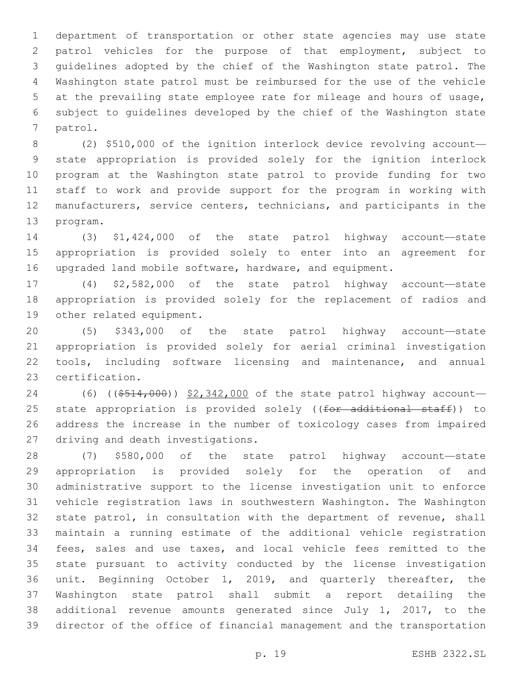department of transportation or other state agencies may use state patrol vehicles for the purpose of that employment, subject to guidelines adopted by the chief of the Washington state patrol. The Washington state patrol must be reimbursed for the use of the vehicle at the prevailing state employee rate for mileage and hours of usage, subject to guidelines developed by the chief of the Washington state 7 patrol.

 (2) \$510,000 of the ignition interlock device revolving account— state appropriation is provided solely for the ignition interlock program at the Washington state patrol to provide funding for two staff to work and provide support for the program in working with manufacturers, service centers, technicians, and participants in the 13 program.

 (3) \$1,424,000 of the state patrol highway account—state appropriation is provided solely to enter into an agreement for upgraded land mobile software, hardware, and equipment.

 (4) \$2,582,000 of the state patrol highway account—state appropriation is provided solely for the replacement of radios and 19 other related equipment.

 (5) \$343,000 of the state patrol highway account—state appropriation is provided solely for aerial criminal investigation 22 tools, including software licensing and maintenance, and annual 23 certification.

24 (6) ((\$514,000)) \$2,342,000 of the state patrol highway account-25 state appropriation is provided solely ((for additional staff)) to address the increase in the number of toxicology cases from impaired 27 driving and death investigations.

 (7) \$580,000 of the state patrol highway account—state appropriation is provided solely for the operation of and administrative support to the license investigation unit to enforce vehicle registration laws in southwestern Washington. The Washington state patrol, in consultation with the department of revenue, shall maintain a running estimate of the additional vehicle registration fees, sales and use taxes, and local vehicle fees remitted to the state pursuant to activity conducted by the license investigation unit. Beginning October 1, 2019, and quarterly thereafter, the Washington state patrol shall submit a report detailing the additional revenue amounts generated since July 1, 2017, to the director of the office of financial management and the transportation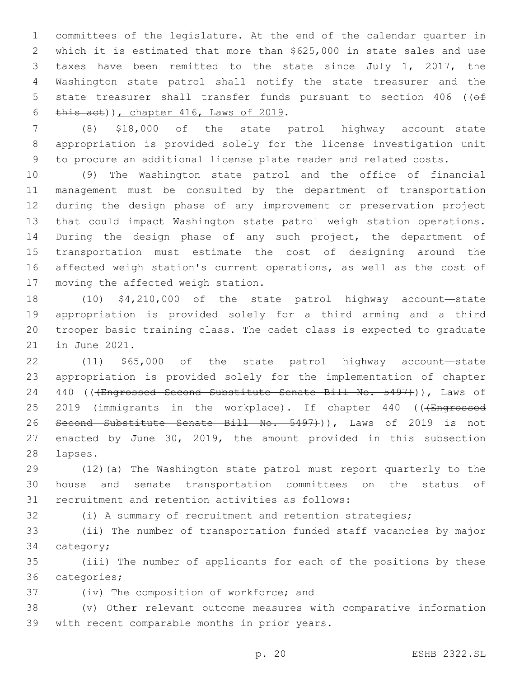committees of the legislature. At the end of the calendar quarter in which it is estimated that more than \$625,000 in state sales and use taxes have been remitted to the state since July 1, 2017, the Washington state patrol shall notify the state treasurer and the 5 state treasurer shall transfer funds pursuant to section 406 ((of  $this$  act)), chapter 416, Laws of 2019.

 (8) \$18,000 of the state patrol highway account—state appropriation is provided solely for the license investigation unit to procure an additional license plate reader and related costs.

 (9) The Washington state patrol and the office of financial management must be consulted by the department of transportation during the design phase of any improvement or preservation project that could impact Washington state patrol weigh station operations. During the design phase of any such project, the department of transportation must estimate the cost of designing around the affected weigh station's current operations, as well as the cost of 17 moving the affected weigh station.

 (10) \$4,210,000 of the state patrol highway account—state appropriation is provided solely for a third arming and a third trooper basic training class. The cadet class is expected to graduate 21 in June 2021.

 (11) \$65,000 of the state patrol highway account—state appropriation is provided solely for the implementation of chapter 24 440 ((+Engrossed Second Substitute Senate Bill No. 5497))), Laws of 25 2019 (immigrants in the workplace). If chapter 440 (((Engrossed 26 Second Substitute Senate Bill No. 5497+)), Laws of 2019 is not enacted by June 30, 2019, the amount provided in this subsection 28 lapses.

 (12)(a) The Washington state patrol must report quarterly to the house and senate transportation committees on the status of 31 recruitment and retention activities as follows:

(i) A summary of recruitment and retention strategies;

 (ii) The number of transportation funded staff vacancies by major 34 category;

 (iii) The number of applicants for each of the positions by these 36 categories;

37 (iv) The composition of workforce; and

 (v) Other relevant outcome measures with comparative information 39 with recent comparable months in prior years.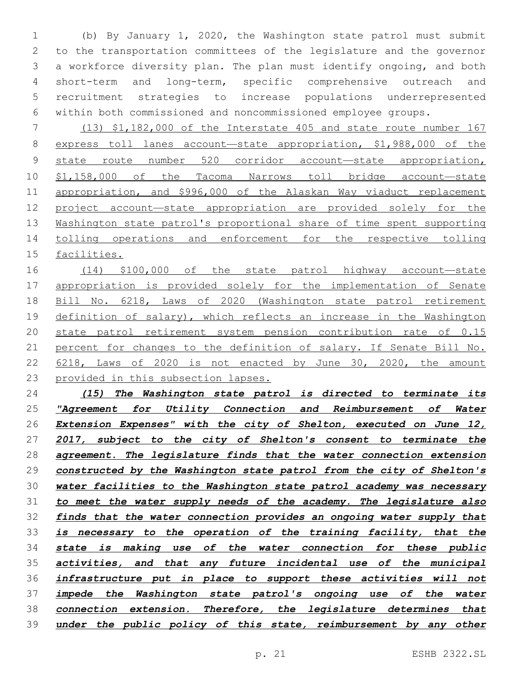(b) By January 1, 2020, the Washington state patrol must submit to the transportation committees of the legislature and the governor a workforce diversity plan. The plan must identify ongoing, and both short-term and long-term, specific comprehensive outreach and recruitment strategies to increase populations underrepresented within both commissioned and noncommissioned employee groups.

 (13) \$1,182,000 of the Interstate 405 and state route number 167 express toll lanes account—state appropriation, \$1,988,000 of the state route number 520 corridor account—state appropriation, \$1,158,000 of the Tacoma Narrows toll bridge account—state appropriation, and \$996,000 of the Alaskan Way viaduct replacement project account—state appropriation are provided solely for the Washington state patrol's proportional share of time spent supporting tolling operations and enforcement for the respective tolling facilities.

 (14) \$100,000 of the state patrol highway account—state 17 appropriation is provided solely for the implementation of Senate Bill No. 6218, Laws of 2020 (Washington state patrol retirement definition of salary), which reflects an increase in the Washington state patrol retirement system pension contribution rate of 0.15 21 percent for changes to the definition of salary. If Senate Bill No. 22 6218, Laws of 2020 is not enacted by June 30, 2020, the amount provided in this subsection lapses.

 *(15) The Washington state patrol is directed to terminate its "Agreement for Utility Connection and Reimbursement of Water Extension Expenses" with the city of Shelton, executed on June 12, 2017, subject to the city of Shelton's consent to terminate the agreement. The legislature finds that the water connection extension constructed by the Washington state patrol from the city of Shelton's water facilities to the Washington state patrol academy was necessary to meet the water supply needs of the academy. The legislature also finds that the water connection provides an ongoing water supply that is necessary to the operation of the training facility, that the state is making use of the water connection for these public activities, and that any future incidental use of the municipal infrastructure put in place to support these activities will not impede the Washington state patrol's ongoing use of the water connection extension. Therefore, the legislature determines that under the public policy of this state, reimbursement by any other*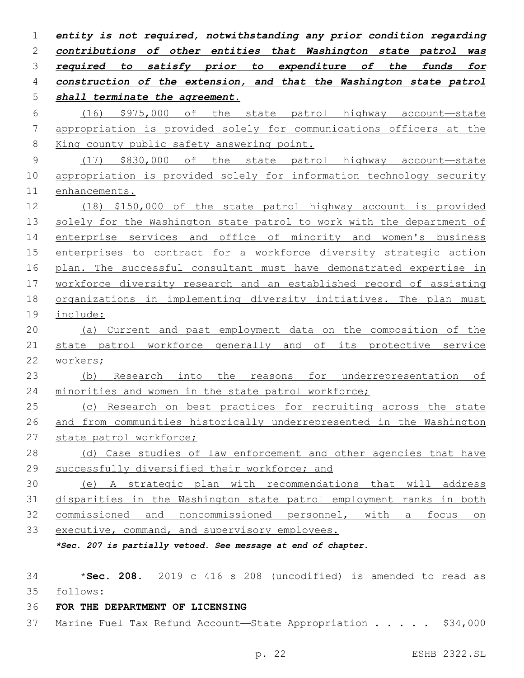*entity is not required, notwithstanding any prior condition regarding contributions of other entities that Washington state patrol was required to satisfy prior to expenditure of the funds for construction of the extension, and that the Washington state patrol shall terminate the agreement.* (16) \$975,000 of the state patrol highway account—state appropriation is provided solely for communications officers at the King county public safety answering point. (17) \$830,000 of the state patrol highway account—state appropriation is provided solely for information technology security enhancements. (18) \$150,000 of the state patrol highway account is provided solely for the Washington state patrol to work with the department of enterprise services and office of minority and women's business enterprises to contract for a workforce diversity strategic action plan. The successful consultant must have demonstrated expertise in workforce diversity research and an established record of assisting organizations in implementing diversity initiatives. The plan must include: (a) Current and past employment data on the composition of the state patrol workforce generally and of its protective service workers; (b) Research into the reasons for underrepresentation of minorities and women in the state patrol workforce; (c) Research on best practices for recruiting across the state and from communities historically underrepresented in the Washington state patrol workforce; (d) Case studies of law enforcement and other agencies that have successfully diversified their workforce; and (e) A strategic plan with recommendations that will address disparities in the Washington state patrol employment ranks in both commissioned and noncommissioned personnel, with a focus on executive, command, and supervisory employees. *\*Sec. 207 is partially vetoed. See message at end of chapter.*

 \***Sec. 208.** 2019 c 416 s 208 (uncodified) is amended to read as follows:

## **FOR THE DEPARTMENT OF LICENSING**

Marine Fuel Tax Refund Account—State Appropriation . . . . . \$34,000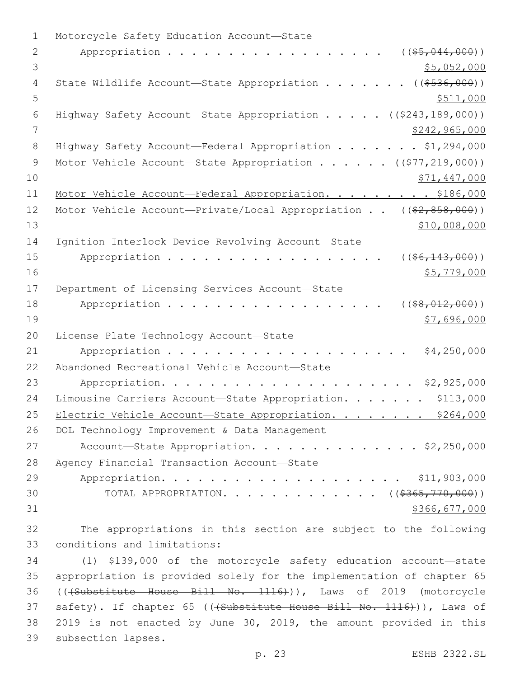| 1             | Motorcycle Safety Education Account-State                                                                   |
|---------------|-------------------------------------------------------------------------------------------------------------|
| $\mathbf{2}$  | Appropriation<br>$($ $($ $$5, 044, 000)$ $)$                                                                |
| 3             | \$5,052,000                                                                                                 |
| 4             | State Wildlife Account-State Appropriation<br>$( ($ \$536,000) $)$                                          |
| 5             | \$511,000                                                                                                   |
| 6             | Highway Safety Account-State Appropriation ((\$243,189,000))                                                |
| 7             | \$242,965,000                                                                                               |
| 8             | Highway Safety Account-Federal Appropriation \$1,294,000                                                    |
| $\mathcal{G}$ | Motor Vehicle Account-State Appropriation ( $(\frac{277}{219},000)$ )                                       |
| 10            | \$71,447,000                                                                                                |
| 11            | Motor Vehicle Account-Federal Appropriation. \$186,000                                                      |
| 12            | Motor Vehicle Account-Private/Local Appropriation $((\frac{2}{7}, \frac{858}{600}))$                        |
| 13            | \$10,008,000                                                                                                |
| 14            | Ignition Interlock Device Revolving Account-State                                                           |
| 15            | $($ $($ $$6, 143, 000)$ $)$<br>Appropriation                                                                |
| 16            | \$5,779,000                                                                                                 |
| 17            | Department of Licensing Services Account-State                                                              |
| 18            | Appropriation<br>$($ (\$8,012,000))                                                                         |
| 19            | \$7,696,000                                                                                                 |
| 20            | License Plate Technology Account-State                                                                      |
| 21            | \$4,250,000<br>Appropriation                                                                                |
| 22            | Abandoned Recreational Vehicle Account-State                                                                |
| 23            | \$2,925,000                                                                                                 |
| 24            | \$113,000<br>Limousine Carriers Account-State Appropriation.                                                |
| 25            | Electric Vehicle Account-State Appropriation. \$264,000                                                     |
| 26            | DOL Technology Improvement & Data Management                                                                |
| 27            | Account-State Appropriation. \$2,250,000                                                                    |
| 28            | Agency Financial Transaction Account-State                                                                  |
| 29            |                                                                                                             |
| 30            | TOTAL APPROPRIATION. ( $(\frac{2365}{770}$ , 000))                                                          |
| 31            | \$366,677,000                                                                                               |
| 32            | The appropriations in this section are subject to the following                                             |
| 33            | conditions and limitations:                                                                                 |
| 34            | (1) \$139,000 of the motorcycle safety education account-state                                              |
| $\cap$ $\Box$ | $\mathbf{r}$ , and $\mathbf{r}$ , and $\mathbf{r}$ , and $\mathbf{r}$ , and $\mathbf{r}$ , and $\mathbf{r}$ |

 appropriation is provided solely for the implementation of chapter 65 (((Substitute House Bill No. 1116))), Laws of 2019 (motorcycle 37 safety). If chapter 65 (((Substitute House Bill No. 1116))), Laws of 2019 is not enacted by June 30, 2019, the amount provided in this 39 subsection lapses.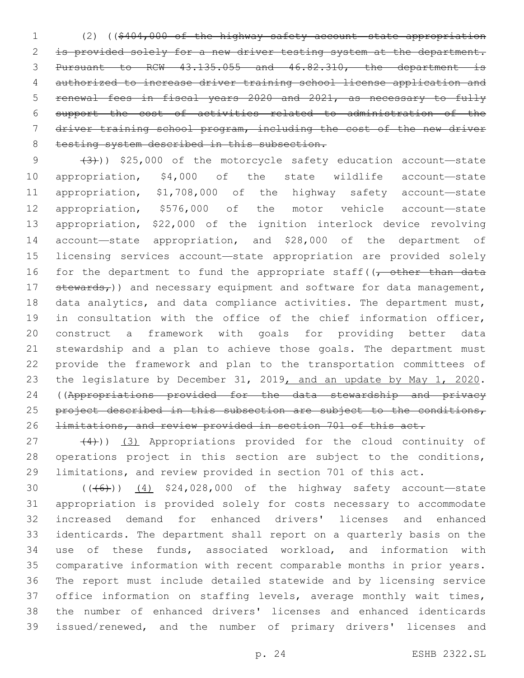(2) ((\$404,000 of the highway safety account—state appropriation is provided solely for a new driver testing system at the department. Pursuant to RCW 43.135.055 and 46.82.310, the department is authorized to increase driver training school license application and renewal fees in fiscal years 2020 and 2021, as necessary to fully support the cost of activities related to administration of the driver training school program, including the cost of the new driver 8 testing system described in this subsection.

 $(3)$ ) \$25,000 of the motorcycle safety education account—state appropriation, \$4,000 of the state wildlife account—state appropriation, \$1,708,000 of the highway safety account—state appropriation, \$576,000 of the motor vehicle account—state appropriation, \$22,000 of the ignition interlock device revolving account—state appropriation, and \$28,000 of the department of licensing services account—state appropriation are provided solely 16 for the department to fund the appropriate staff( $\sqrt{\tau}$  other than data  $st$ ewards<sub>r</sub>)) and necessary equipment and software for data management, data analytics, and data compliance activities. The department must, in consultation with the office of the chief information officer, construct a framework with goals for providing better data stewardship and a plan to achieve those goals. The department must provide the framework and plan to the transportation committees of 23 the legislature by December 31, 2019, and an update by May 1, 2020. ((Appropriations provided for the data stewardship and privacy 25 project described in this subsection are subject to the conditions, limitations, and review provided in section 701 of this act.

 $(4)$ )) (3) Appropriations provided for the cloud continuity of operations project in this section are subject to the conditions, limitations, and review provided in section 701 of this act.

 $((+6))$   $(4)$  \$24,028,000 of the highway safety account—state appropriation is provided solely for costs necessary to accommodate increased demand for enhanced drivers' licenses and enhanced identicards. The department shall report on a quarterly basis on the use of these funds, associated workload, and information with comparative information with recent comparable months in prior years. The report must include detailed statewide and by licensing service 37 office information on staffing levels, average monthly wait times, the number of enhanced drivers' licenses and enhanced identicards issued/renewed, and the number of primary drivers' licenses and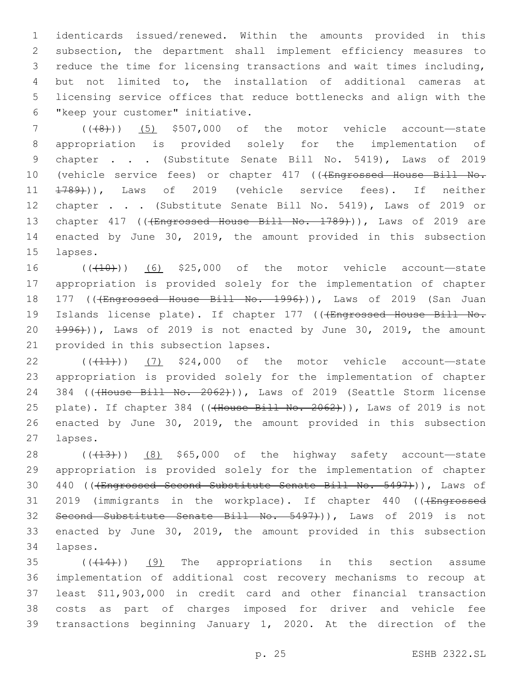identicards issued/renewed. Within the amounts provided in this subsection, the department shall implement efficiency measures to reduce the time for licensing transactions and wait times including, but not limited to, the installation of additional cameras at licensing service offices that reduce bottlenecks and align with the 6 "keep your customer" initiative.

7 (((8))) (5) \$507,000 of the motor vehicle account—state 8 appropriation is provided solely for the implementation of 9 chapter . . . (Substitute Senate Bill No. 5419), Laws of 2019 10 (vehicle service fees) or chapter 417 (((Engrossed House Bill No. 11 1789))), Laws of 2019 (vehicle service fees). If neither 12 chapter . . . (Substitute Senate Bill No. 5419), Laws of 2019 or 13 chapter 417 (((Engrossed House Bill No. 1789))), Laws of 2019 are 14 enacted by June 30, 2019, the amount provided in this subsection 15 lapses.

16  $((+10))$  (6) \$25,000 of the motor vehicle account—state 17 appropriation is provided solely for the implementation of chapter 18 177 ((<del>(Engrossed House Bill No. 1996)</del>)), Laws of 2019 (San Juan 19 Islands license plate). If chapter 177 (((Engrossed House Bill No.  $20 \left( \frac{1996}{1} \right)$ , Laws of 2019 is not enacted by June 30, 2019, the amount 21 provided in this subsection lapses.

22  $((+11))$  (7) \$24,000 of the motor vehicle account—state 23 appropriation is provided solely for the implementation of chapter 24 384 (((House Bill No. 2062))), Laws of 2019 (Seattle Storm license 25 plate). If chapter 384 ((<del>(House Bill No. 2062)</del>)), Laws of 2019 is not 26 enacted by June 30, 2019, the amount provided in this subsection 27 lapses.

28  $((+13))$   $(8)$  \$65,000 of the highway safety account—state 29 appropriation is provided solely for the implementation of chapter 30 440 ((<del>(Engrossed Second Substitute Senate Bill No. 5497)</del>)), Laws of 31 2019 (immigrants in the workplace). If chapter 440 ((+Engrossed 32 Second Substitute Senate Bill No. 5497+)), Laws of 2019 is not 33 enacted by June 30, 2019, the amount provided in this subsection 34 lapses.

 $((+14))$   $(9)$  The appropriations in this section assume implementation of additional cost recovery mechanisms to recoup at least \$11,903,000 in credit card and other financial transaction costs as part of charges imposed for driver and vehicle fee transactions beginning January 1, 2020. At the direction of the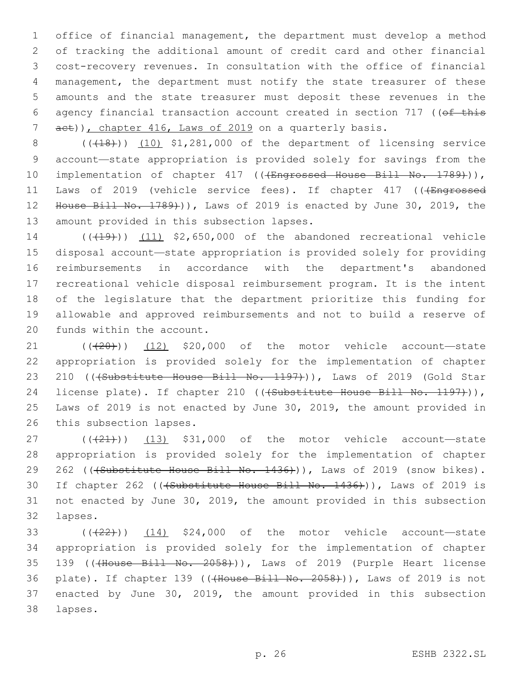office of financial management, the department must develop a method of tracking the additional amount of credit card and other financial cost-recovery revenues. In consultation with the office of financial management, the department must notify the state treasurer of these amounts and the state treasurer must deposit these revenues in the 6 agency financial transaction account created in section 717 (( $\theta$ f this 7 aet)), chapter 416, Laws of 2019 on a quarterly basis.

8 (( $(18)$ )) (10) \$1,281,000 of the department of licensing service 9 account—state appropriation is provided solely for savings from the 10 implementation of chapter 417 ((<del>(Engrossed House Bill No. 1789)</del>)), 11 Laws of 2019 (vehicle service fees). If chapter 417 (((Engrossed 12 House Bill No. 1789)), Laws of 2019 is enacted by June 30, 2019, the 13 amount provided in this subsection lapses.

14 (((19)) (11) \$2,650,000 of the abandoned recreational vehicle disposal account—state appropriation is provided solely for providing reimbursements in accordance with the department's abandoned recreational vehicle disposal reimbursement program. It is the intent of the legislature that the department prioritize this funding for allowable and approved reimbursements and not to build a reserve of 20 funds within the account.

 $21$  ( $(\overline{+20})$ ) (12) \$20,000 of the motor vehicle account—state 22 appropriation is provided solely for the implementation of chapter 23 210 (((Substitute House Bill No. 1197))), Laws of 2019 (Gold Star 24 license plate). If chapter 210 ((<del>(Substitute House Bill No. 1197)</del>)), 25 Laws of 2019 is not enacted by June 30, 2019, the amount provided in 26 this subsection lapses.

 $(13)$   $(13)$   $531,000$  of the motor vehicle account—state 28 appropriation is provided solely for the implementation of chapter 29 262 ((+Substitute House Bill No. 1436))), Laws of 2019 (snow bikes). 30 If chapter 262 (((Substitute House Bill No. 1436))), Laws of 2019 is 31 not enacted by June 30, 2019, the amount provided in this subsection 32 lapses.

33  $((22))$   $(14)$  \$24,000 of the motor vehicle account—state 34 appropriation is provided solely for the implementation of chapter 35 139 ((<del>(House Bill No. 2058)</del>)), Laws of 2019 (Purple Heart license 36 plate). If chapter 139 (((House Bill No. 2058))), Laws of 2019 is not 37 enacted by June 30, 2019, the amount provided in this subsection lapses.38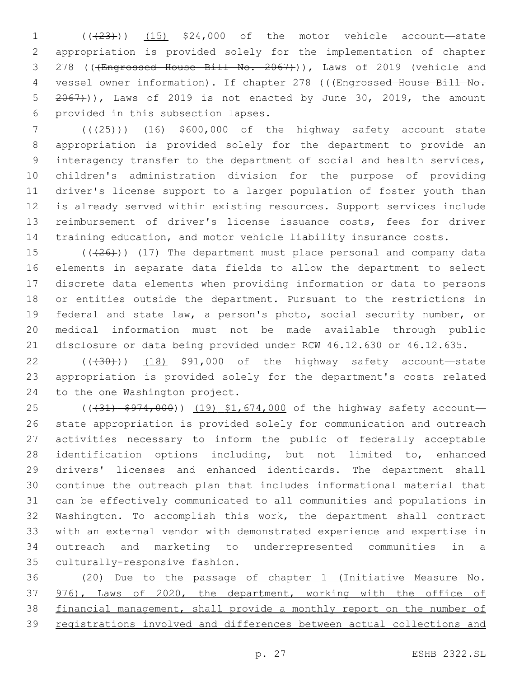1  $((23))$   $(15)$  \$24,000 of the motor vehicle account—state appropriation is provided solely for the implementation of chapter 3 278 ((+Engrossed House Bill No. 2067))), Laws of 2019 (vehicle and 4 vessel owner information). If chapter 278 (((Engrossed House Bill No.  $2067)$ ), Laws of 2019 is not enacted by June 30, 2019, the amount 6 provided in this subsection lapses.

 ( $(\frac{25}{16})$  (16) \$600,000 of the highway safety account—state appropriation is provided solely for the department to provide an interagency transfer to the department of social and health services, children's administration division for the purpose of providing driver's license support to a larger population of foster youth than is already served within existing resources. Support services include reimbursement of driver's license issuance costs, fees for driver training education, and motor vehicle liability insurance costs.

 ( $(\overline{+26})$ ) (17) The department must place personal and company data elements in separate data fields to allow the department to select discrete data elements when providing information or data to persons or entities outside the department. Pursuant to the restrictions in federal and state law, a person's photo, social security number, or medical information must not be made available through public disclosure or data being provided under RCW 46.12.630 or 46.12.635.

 $(1, 30)$  (( $(30)$ )) (18) \$91,000 of the highway safety account—state appropriation is provided solely for the department's costs related 24 to the one Washington project.

25 (( $(31)$  \$974,000)) (19) \$1,674,000 of the highway safety account- state appropriation is provided solely for communication and outreach activities necessary to inform the public of federally acceptable identification options including, but not limited to, enhanced drivers' licenses and enhanced identicards. The department shall continue the outreach plan that includes informational material that can be effectively communicated to all communities and populations in Washington. To accomplish this work, the department shall contract with an external vendor with demonstrated experience and expertise in outreach and marketing to underrepresented communities in a 35 culturally-responsive fashion.

 (20) Due to the passage of chapter 1 (Initiative Measure No. 976), Laws of 2020, the department, working with the office of financial management, shall provide a monthly report on the number of registrations involved and differences between actual collections and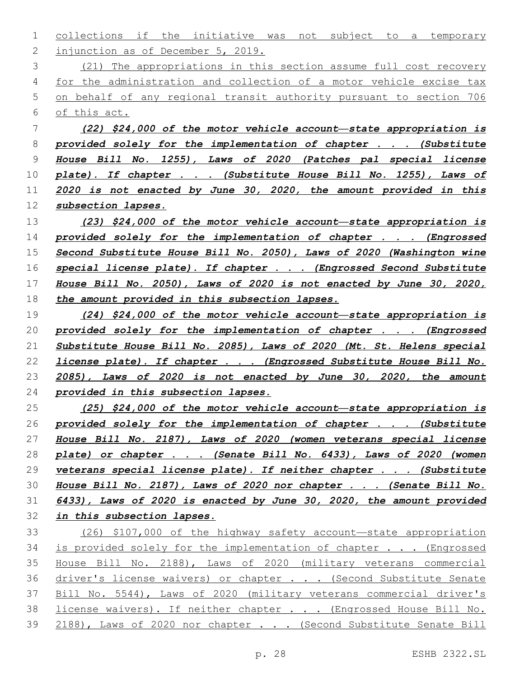1 collections if the initiative was not subject to a temporary 2 injunction as of December 5, 2019.

 (21) The appropriations in this section assume full cost recovery for the administration and collection of a motor vehicle excise tax on behalf of any regional transit authority pursuant to section 706 of this act.

 *(22) \$24,000 of the motor vehicle account—state appropriation is provided solely for the implementation of chapter . . . (Substitute House Bill No. 1255), Laws of 2020 (Patches pal special license plate). If chapter . . . (Substitute House Bill No. 1255), Laws of 2020 is not enacted by June 30, 2020, the amount provided in this subsection lapses.*

 *(23) \$24,000 of the motor vehicle account—state appropriation is provided solely for the implementation of chapter . . . (Engrossed Second Substitute House Bill No. 2050), Laws of 2020 (Washington wine special license plate). If chapter . . . (Engrossed Second Substitute House Bill No. 2050), Laws of 2020 is not enacted by June 30, 2020, the amount provided in this subsection lapses.*

 *(24) \$24,000 of the motor vehicle account—state appropriation is provided solely for the implementation of chapter . . . (Engrossed Substitute House Bill No. 2085), Laws of 2020 (Mt. St. Helens special license plate). If chapter . . . (Engrossed Substitute House Bill No. 2085), Laws of 2020 is not enacted by June 30, 2020, the amount provided in this subsection lapses.*

 *(25) \$24,000 of the motor vehicle account—state appropriation is provided solely for the implementation of chapter . . . (Substitute House Bill No. 2187), Laws of 2020 (women veterans special license plate) or chapter . . . (Senate Bill No. 6433), Laws of 2020 (women veterans special license plate). If neither chapter . . . (Substitute House Bill No. 2187), Laws of 2020 nor chapter . . . (Senate Bill No. 6433), Laws of 2020 is enacted by June 30, 2020, the amount provided in this subsection lapses.*

 (26) \$107,000 of the highway safety account—state appropriation 34 is provided solely for the implementation of chapter . . . (Engrossed House Bill No. 2188), Laws of 2020 (military veterans commercial 36 driver's license waivers) or chapter . . . (Second Substitute Senate Bill No. 5544), Laws of 2020 (military veterans commercial driver's 38 license waivers). If neither chapter . . . (Engrossed House Bill No. 39 2188), Laws of 2020 nor chapter . . . (Second Substitute Senate Bill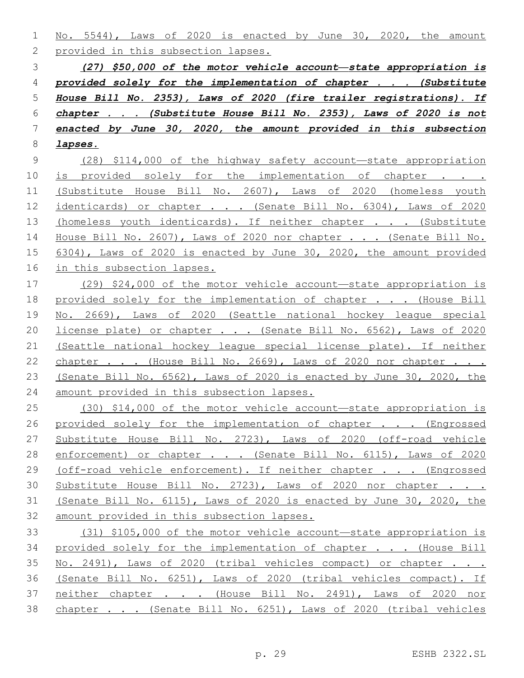No. 5544), Laws of 2020 is enacted by June 30, 2020, the amount 2 provided in this subsection lapses.

 *(27) \$50,000 of the motor vehicle account—state appropriation is provided solely for the implementation of chapter . . . (Substitute House Bill No. 2353), Laws of 2020 (fire trailer registrations). If chapter . . . (Substitute House Bill No. 2353), Laws of 2020 is not enacted by June 30, 2020, the amount provided in this subsection lapses.*

 (28) \$114,000 of the highway safety account—state appropriation 10 is provided solely for the implementation of chapter . . . (Substitute House Bill No. 2607), Laws of 2020 (homeless youth 12 identicards) or chapter . . . (Senate Bill No. 6304), Laws of 2020 13 (homeless youth identicards). If neither chapter . . . (Substitute House Bill No. 2607), Laws of 2020 nor chapter . . . (Senate Bill No. 6304), Laws of 2020 is enacted by June 30, 2020, the amount provided in this subsection lapses.

 (29) \$24,000 of the motor vehicle account—state appropriation is 18 provided solely for the implementation of chapter . . . (House Bill No. 2669), Laws of 2020 (Seattle national hockey league special license plate) or chapter . . . (Senate Bill No. 6562), Laws of 2020 (Seattle national hockey league special license plate). If neither 22 chapter . . . (House Bill No. 2669), Laws of 2020 nor chapter . . . (Senate Bill No. 6562), Laws of 2020 is enacted by June 30, 2020, the amount provided in this subsection lapses.

 (30) \$14,000 of the motor vehicle account—state appropriation is 26 provided solely for the implementation of chapter . . . (Engrossed Substitute House Bill No. 2723), Laws of 2020 (off-road vehicle 28 enforcement) or chapter . . . (Senate Bill No. 6115), Laws of 2020 29 (off-road vehicle enforcement). If neither chapter . . . (Engrossed Substitute House Bill No. 2723), Laws of 2020 nor chapter . . . (Senate Bill No. 6115), Laws of 2020 is enacted by June 30, 2020, the amount provided in this subsection lapses.

 (31) \$105,000 of the motor vehicle account—state appropriation is provided solely for the implementation of chapter . . . (House Bill No. 2491), Laws of 2020 (tribal vehicles compact) or chapter . . . (Senate Bill No. 6251), Laws of 2020 (tribal vehicles compact). If 37 neither chapter . . . (House Bill No. 2491), Laws of 2020 nor chapter . . . (Senate Bill No. 6251), Laws of 2020 (tribal vehicles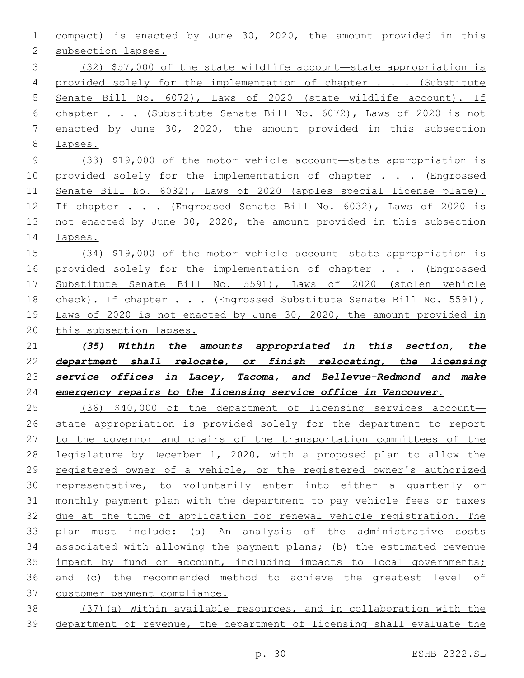compact) is enacted by June 30, 2020, the amount provided in this 2 subsection lapses. (32) \$57,000 of the state wildlife account—state appropriation is provided solely for the implementation of chapter . . . (Substitute Senate Bill No. 6072), Laws of 2020 (state wildlife account). If chapter . . . (Substitute Senate Bill No. 6072), Laws of 2020 is not enacted by June 30, 2020, the amount provided in this subsection lapses. (33) \$19,000 of the motor vehicle account—state appropriation is 10 provided solely for the implementation of chapter . . . (Engrossed Senate Bill No. 6032), Laws of 2020 (apples special license plate). 12 If chapter . . . (Engrossed Senate Bill No. 6032), Laws of 2020 is not enacted by June 30, 2020, the amount provided in this subsection lapses. (34) \$19,000 of the motor vehicle account—state appropriation is 16 provided solely for the implementation of chapter . . . (Engrossed Substitute Senate Bill No. 5591), Laws of 2020 (stolen vehicle

18 check). If chapter . . . (Engrossed Substitute Senate Bill No. 5591), Laws of 2020 is not enacted by June 30, 2020, the amount provided in this subsection lapses.

 *(35) Within the amounts appropriated in this section, the department shall relocate, or finish relocating, the licensing service offices in Lacey, Tacoma, and Bellevue-Redmond and make emergency repairs to the licensing service office in Vancouver.*

 (36) \$40,000 of the department of licensing services account— state appropriation is provided solely for the department to report to the governor and chairs of the transportation committees of the legislature by December 1, 2020, with a proposed plan to allow the 29 registered owner of a vehicle, or the registered owner's authorized representative, to voluntarily enter into either a quarterly or monthly payment plan with the department to pay vehicle fees or taxes due at the time of application for renewal vehicle registration. The 33 plan must include: (a) An analysis of the administrative costs associated with allowing the payment plans; (b) the estimated revenue impact by fund or account, including impacts to local governments; and (c) the recommended method to achieve the greatest level of 37 customer payment compliance.

 (37)(a) Within available resources, and in collaboration with the department of revenue, the department of licensing shall evaluate the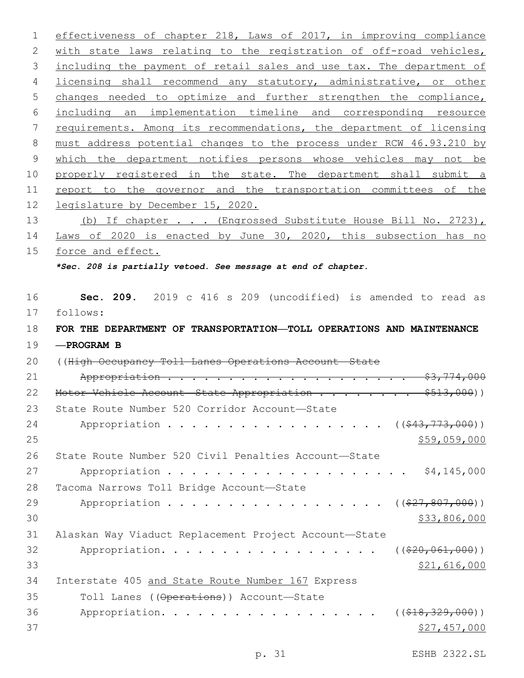1 effectiveness of chapter 218, Laws of 2017, in improving compliance 2 with state laws relating to the registration of off-road vehicles, 3 including the payment of retail sales and use tax. The department of 4 licensing shall recommend any statutory, administrative, or other 5 changes needed to optimize and further strengthen the compliance, 6 including an implementation timeline and corresponding resource 7 requirements. Among its recommendations, the department of licensing 8 must address potential changes to the process under RCW 46.93.210 by 9 which the department notifies persons whose vehicles may not be 10 properly registered in the state. The department shall submit a 11 report to the governor and the transportation committees of the 12 legislature by December 15, 2020. 13 (b) If chapter . . . (Engrossed Substitute House Bill No. 2723), 14 Laws of 2020 is enacted by June 30, 2020, this subsection has no 15 force and effect. *\*Sec. 208 is partially vetoed. See message at end of chapter.* 16 **Sec. 209.** 2019 c 416 s 209 (uncodified) is amended to read as 17 follows: 18 **FOR THE DEPARTMENT OF TRANSPORTATION—TOLL OPERATIONS AND MAINTENANCE** 19 **—PROGRAM B** 20 ((High Occupancy Toll Lanes Operations Account—State 21 Appropriation . . . . . . . . . . . . . . . . . . . . \$3,774,000 22 Motor Vehicle Account State Appropriation . . . . . . . \$513,000)) 23 State Route Number 520 Corridor Account-State 24 Appropriation . . . . . . . . . . . . . . . . (  $(\frac{243,773,000}{1})$  $25$   $59,059,000$ 26 State Route Number 520 Civil Penalties Account—State 27 Appropriation . . . . . . . . . . . . . . . . . . \$4,145,000 28 Tacoma Narrows Toll Bridge Account-State 29 Appropriation . . . . . . . . . . . . . . . . ((<del>\$27,807,000</del>)) 30 \$33,806,000 31 Alaskan Way Viaduct Replacement Project Account—State 32 Appropriation. . . . . . . . . . . . . . . . ((\$20,061,000)) 33 \$21,616,000 34 Interstate 405 and State Route Number 167 Express 35 Toll Lanes ((Operations)) Account—State 36 Appropriation. . . . . . . . . . . . . . . . ((<del>\$18,329,000</del>))  $37$  \$27,457,000

p. 31 ESHB 2322.SL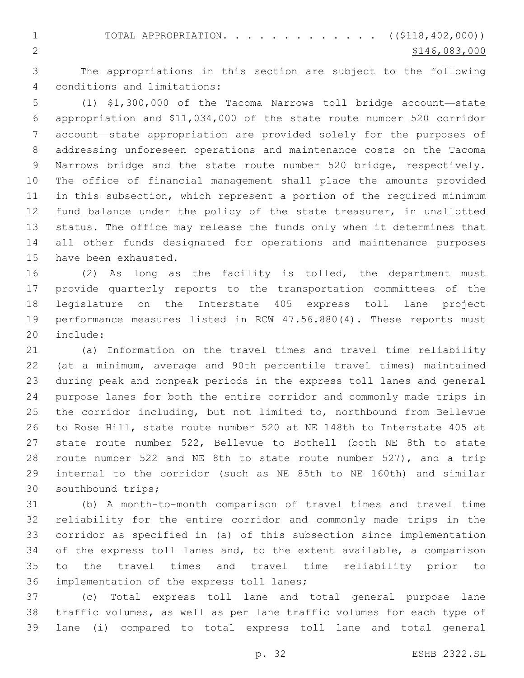1 TOTAL APPROPRIATION. . . . . . . . . . . . ((\$<del>118,402,000</del>)) **\$146,083,000** 

 The appropriations in this section are subject to the following conditions and limitations:4

 (1) \$1,300,000 of the Tacoma Narrows toll bridge account—state appropriation and \$11,034,000 of the state route number 520 corridor account—state appropriation are provided solely for the purposes of addressing unforeseen operations and maintenance costs on the Tacoma Narrows bridge and the state route number 520 bridge, respectively. The office of financial management shall place the amounts provided in this subsection, which represent a portion of the required minimum fund balance under the policy of the state treasurer, in unallotted status. The office may release the funds only when it determines that all other funds designated for operations and maintenance purposes 15 have been exhausted.

 (2) As long as the facility is tolled, the department must provide quarterly reports to the transportation committees of the legislature on the Interstate 405 express toll lane project performance measures listed in RCW 47.56.880(4). These reports must 20 include:

 (a) Information on the travel times and travel time reliability (at a minimum, average and 90th percentile travel times) maintained during peak and nonpeak periods in the express toll lanes and general purpose lanes for both the entire corridor and commonly made trips in the corridor including, but not limited to, northbound from Bellevue to Rose Hill, state route number 520 at NE 148th to Interstate 405 at state route number 522, Bellevue to Bothell (both NE 8th to state route number 522 and NE 8th to state route number 527), and a trip internal to the corridor (such as NE 85th to NE 160th) and similar 30 southbound trips;

 (b) A month-to-month comparison of travel times and travel time reliability for the entire corridor and commonly made trips in the corridor as specified in (a) of this subsection since implementation of the express toll lanes and, to the extent available, a comparison to the travel times and travel time reliability prior to 36 implementation of the express toll lanes;

 (c) Total express toll lane and total general purpose lane traffic volumes, as well as per lane traffic volumes for each type of lane (i) compared to total express toll lane and total general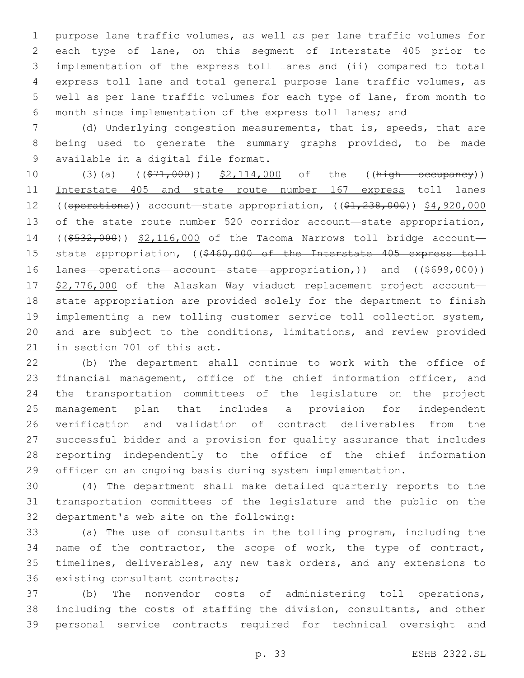purpose lane traffic volumes, as well as per lane traffic volumes for each type of lane, on this segment of Interstate 405 prior to implementation of the express toll lanes and (ii) compared to total express toll lane and total general purpose lane traffic volumes, as well as per lane traffic volumes for each type of lane, from month to month since implementation of the express toll lanes; and

 (d) Underlying congestion measurements, that is, speeds, that are being used to generate the summary graphs provided, to be made 9 available in a digital file format.

10 (3)(a) ((\$71,000)) \$2,114,000 of the ((high occupancy)) Interstate 405 and state route number 167 express toll lanes 12 ((operations)) account—state appropriation, ((\$1,238,000)) \$4,920,000 13 of the state route number 520 corridor account—state appropriation, 14 ((\$532,000)) \$2,116,000 of the Tacoma Narrows toll bridge account-15 state appropriation, ((\$460,000 of the Interstate 405 express toll 16 <del>lanes operations account state appropriation,</del>)) and ((\$699,000)) 17 \$2,776,000 of the Alaskan Way viaduct replacement project account- state appropriation are provided solely for the department to finish implementing a new tolling customer service toll collection system, and are subject to the conditions, limitations, and review provided 21 in section 701 of this act.

 (b) The department shall continue to work with the office of financial management, office of the chief information officer, and the transportation committees of the legislature on the project management plan that includes a provision for independent verification and validation of contract deliverables from the successful bidder and a provision for quality assurance that includes reporting independently to the office of the chief information officer on an ongoing basis during system implementation.

 (4) The department shall make detailed quarterly reports to the transportation committees of the legislature and the public on the 32 department's web site on the following:

 (a) The use of consultants in the tolling program, including the 34 name of the contractor, the scope of work, the type of contract, timelines, deliverables, any new task orders, and any extensions to 36 existing consultant contracts;

 (b) The nonvendor costs of administering toll operations, including the costs of staffing the division, consultants, and other personal service contracts required for technical oversight and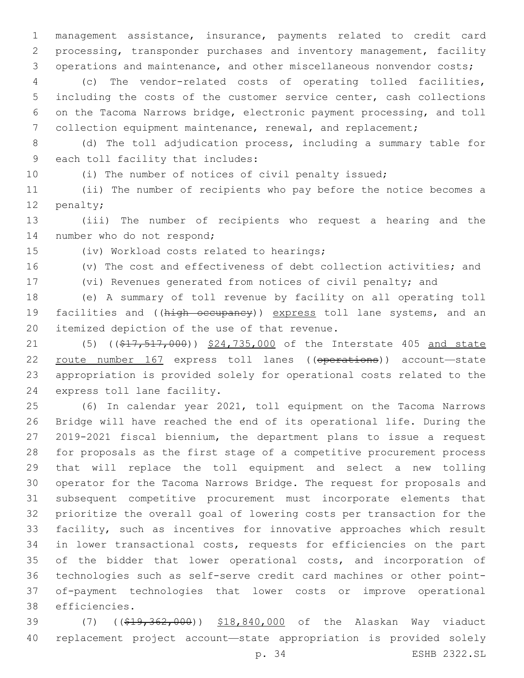management assistance, insurance, payments related to credit card processing, transponder purchases and inventory management, facility operations and maintenance, and other miscellaneous nonvendor costs;

 (c) The vendor-related costs of operating tolled facilities, including the costs of the customer service center, cash collections on the Tacoma Narrows bridge, electronic payment processing, and toll collection equipment maintenance, renewal, and replacement;

 (d) The toll adjudication process, including a summary table for 9 each toll facility that includes:

(i) The number of notices of civil penalty issued;

 (ii) The number of recipients who pay before the notice becomes a 12 penalty;

 (iii) The number of recipients who request a hearing and the 14 number who do not respond;

15 (iv) Workload costs related to hearings;

(v) The cost and effectiveness of debt collection activities; and

(vi) Revenues generated from notices of civil penalty; and

 (e) A summary of toll revenue by facility on all operating toll 19 facilities and ((high occupancy)) express toll lane systems, and an 20 itemized depiction of the use of that revenue.

21 (5) ((\$17,517,000)) \$24,735,000 of the Interstate 405 and state route number 167 express toll lanes ((operations)) account—state appropriation is provided solely for operational costs related to the 24 express toll lane facility.

 (6) In calendar year 2021, toll equipment on the Tacoma Narrows Bridge will have reached the end of its operational life. During the 2019-2021 fiscal biennium, the department plans to issue a request for proposals as the first stage of a competitive procurement process that will replace the toll equipment and select a new tolling operator for the Tacoma Narrows Bridge. The request for proposals and subsequent competitive procurement must incorporate elements that prioritize the overall goal of lowering costs per transaction for the facility, such as incentives for innovative approaches which result in lower transactional costs, requests for efficiencies on the part of the bidder that lower operational costs, and incorporation of technologies such as self-serve credit card machines or other point- of-payment technologies that lower costs or improve operational efficiencies.38

39 (7) ((\$19,362,000)) \$18,840,000 of the Alaskan Way viaduct replacement project account—state appropriation is provided solely

p. 34 ESHB 2322.SL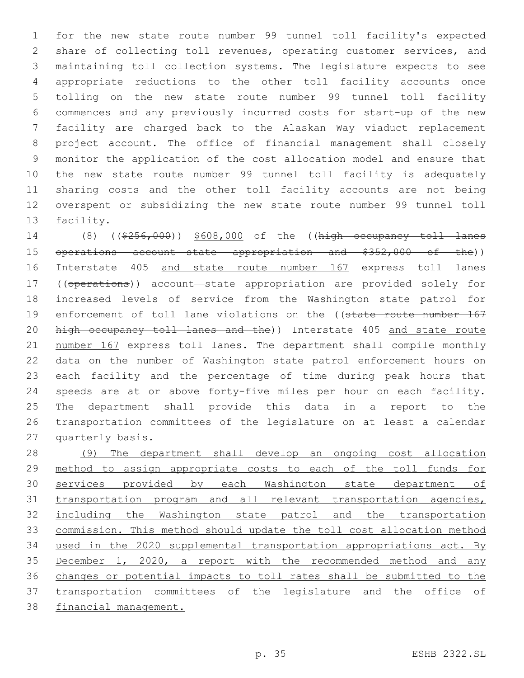for the new state route number 99 tunnel toll facility's expected share of collecting toll revenues, operating customer services, and maintaining toll collection systems. The legislature expects to see appropriate reductions to the other toll facility accounts once tolling on the new state route number 99 tunnel toll facility commences and any previously incurred costs for start-up of the new facility are charged back to the Alaskan Way viaduct replacement project account. The office of financial management shall closely monitor the application of the cost allocation model and ensure that the new state route number 99 tunnel toll facility is adequately sharing costs and the other toll facility accounts are not being overspent or subsidizing the new state route number 99 tunnel toll 13 facility.

 (8) ((\$256,000)) \$608,000 of the ((high occupancy toll lanes 15 operations account state appropriation and \$352,000 of the)) 16 Interstate 405 and state route number 167 express toll lanes ((operations)) account—state appropriation are provided solely for increased levels of service from the Washington state patrol for 19 enforcement of toll lane violations on the ((state route number 167 20 high occupancy toll lanes and the)) Interstate 405 and state route number 167 express toll lanes. The department shall compile monthly data on the number of Washington state patrol enforcement hours on each facility and the percentage of time during peak hours that speeds are at or above forty-five miles per hour on each facility. The department shall provide this data in a report to the transportation committees of the legislature on at least a calendar 27 quarterly basis.

 (9) The department shall develop an ongoing cost allocation method to assign appropriate costs to each of the toll funds for services provided by each Washington state department of transportation program and all relevant transportation agencies, including the Washington state patrol and the transportation commission. This method should update the toll cost allocation method 34 used in the 2020 supplemental transportation appropriations act. By December 1, 2020, a report with the recommended method and any changes or potential impacts to toll rates shall be submitted to the transportation committees of the legislature and the office of financial management.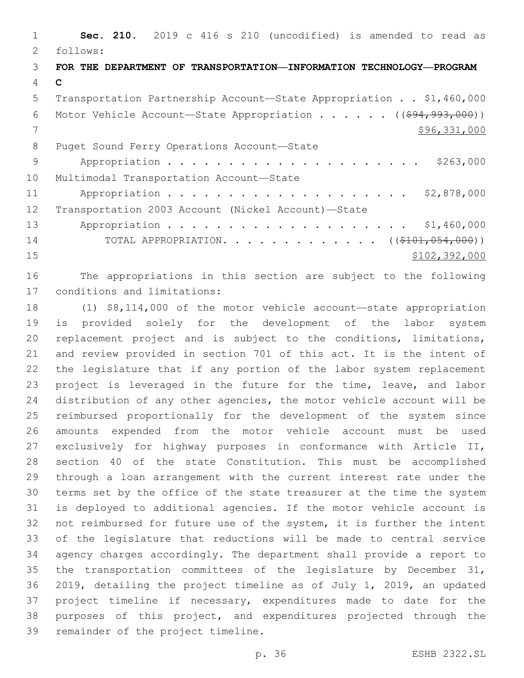**Sec. 210.** 2019 c 416 s 210 (uncodified) is amended to read as follows: **FOR THE DEPARTMENT OF TRANSPORTATION—INFORMATION TECHNOLOGY—PROGRAM C** Transportation Partnership Account—State Appropriation . . \$1,460,000 6 Motor Vehicle Account—State Appropriation  $\cdots$  . . . . ( $(\frac{694,993,000}{2})$ ) \$96,331,000 8 Puget Sound Ferry Operations Account-State Appropriation . . . . . . . . . . . . . . . . . . . . . \$263,000 10 Multimodal Transportation Account-State 11 Appropriation . . . . . . . . . . . . . . . . . . \$2,878,000 Transportation 2003 Account (Nickel Account)—State 13 Appropriation . . . . . . . . . . . . . . . . . . \$1,460,000 14 TOTAL APPROPRIATION. . . . . . . . . . . . . ((\$101,054,000)) \$102,392,000

 The appropriations in this section are subject to the following 17 conditions and limitations:

 (1) \$8,114,000 of the motor vehicle account—state appropriation is provided solely for the development of the labor system replacement project and is subject to the conditions, limitations, and review provided in section 701 of this act. It is the intent of the legislature that if any portion of the labor system replacement 23 project is leveraged in the future for the time, leave, and labor distribution of any other agencies, the motor vehicle account will be reimbursed proportionally for the development of the system since amounts expended from the motor vehicle account must be used exclusively for highway purposes in conformance with Article II, section 40 of the state Constitution. This must be accomplished through a loan arrangement with the current interest rate under the terms set by the office of the state treasurer at the time the system is deployed to additional agencies. If the motor vehicle account is not reimbursed for future use of the system, it is further the intent of the legislature that reductions will be made to central service agency charges accordingly. The department shall provide a report to the transportation committees of the legislature by December 31, 2019, detailing the project timeline as of July 1, 2019, an updated project timeline if necessary, expenditures made to date for the purposes of this project, and expenditures projected through the 39 remainder of the project timeline.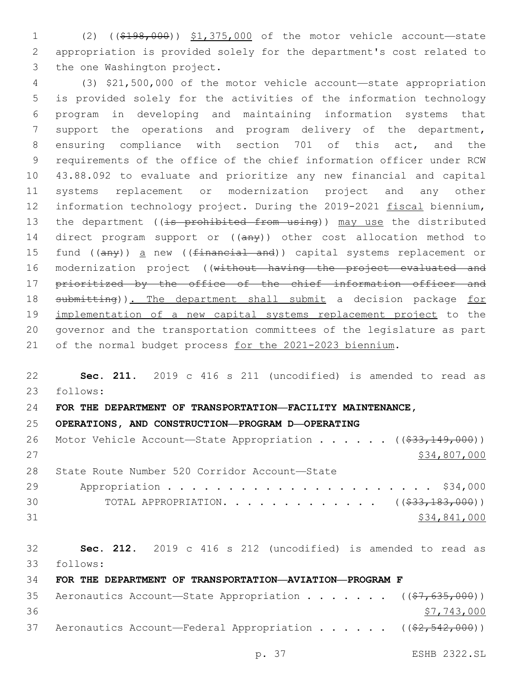(2) ((\$198,000)) \$1,375,000 of the motor vehicle account—state appropriation is provided solely for the department's cost related to 3 the one Washington project.

 (3) \$21,500,000 of the motor vehicle account—state appropriation is provided solely for the activities of the information technology program in developing and maintaining information systems that support the operations and program delivery of the department, ensuring compliance with section 701 of this act, and the requirements of the office of the chief information officer under RCW 43.88.092 to evaluate and prioritize any new financial and capital systems replacement or modernization project and any other 12 information technology project. During the 2019-2021 fiscal biennium, 13 the department ((is prohibited from using)) may use the distributed 14 direct program support or ((any)) other cost allocation method to 15 fund ((any)) a new ((financial and)) capital systems replacement or modernization project ((without having the project evaluated and prioritized by the office of the chief information officer and 18 submitting)). The department shall submit a decision package for implementation of a new capital systems replacement project to the governor and the transportation committees of the legislature as part of the normal budget process for the 2021-2023 biennium.

# **Sec. 211.** 2019 c 416 s 211 (uncodified) is amended to read as follows: **FOR THE DEPARTMENT OF TRANSPORTATION—FACILITY MAINTENANCE, OPERATIONS, AND CONSTRUCTION—PROGRAM D—OPERATING**

|    | 26 Motor Vehicle Account-State Appropriation ((\$33,149,000)) |
|----|---------------------------------------------------------------|
| 27 | \$34,807,000                                                  |
| 28 | State Route Number 520 Corridor Account-State                 |
| 29 |                                                               |
| 30 | TOTAL APPROPRIATION. ( $(\frac{233}{183}, \frac{183}{160})$ ) |
| 31 | \$34,841,000                                                  |

 **Sec. 212.** 2019 c 416 s 212 (uncodified) is amended to read as follows: **FOR THE DEPARTMENT OF TRANSPORTATION—AVIATION—PROGRAM F** 35 Aeronautics Account—State Appropriation . . . . . . ((\$7,635,000))  $\frac{$7,743,000}{ }$ 37 Aeronautics Account—Federal Appropriation . . . . . ((\$2,542,000))

p. 37 ESHB 2322.SL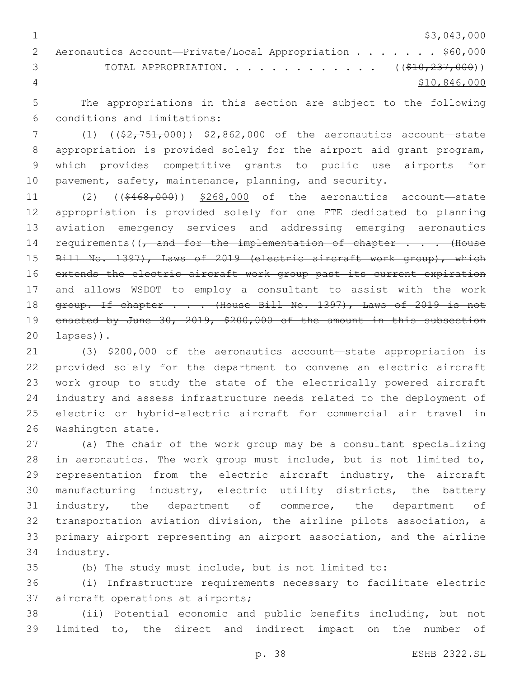$1 \quad$  \$3,043,000

|                | 2 Aeronautics Account-Private/Local Appropriation \$60,000         |
|----------------|--------------------------------------------------------------------|
|                | TOTAL APPROPRIATION. ( $(\frac{\$10,237,000)}{$ )<br>$\mathcal{S}$ |
| $\overline{4}$ | \$10,846,000                                                       |

 The appropriations in this section are subject to the following 6 conditions and limitations:

7 (1) ((\$2,751,000)) \$2,862,000 of the aeronautics account—state appropriation is provided solely for the airport aid grant program, which provides competitive grants to public use airports for pavement, safety, maintenance, planning, and security.

 (2) ((\$468,000)) \$268,000 of the aeronautics account—state appropriation is provided solely for one FTE dedicated to planning aviation emergency services and addressing emerging aeronautics 14 requirements((, and for the implementation of chapter . . . (House Bill No. 1397), Laws of 2019 (electric aircraft work group), which 16 extends the electric aircraft work group past its current expiration and allows WSDOT to employ a consultant to assist with the work 18 group. If chapter . . . (House Bill No. 1397), Laws of 2019 is not 19 enacted by June 30, 2019, \$200,000 of the amount in this subsection  $20 \quad \text{hases}$ ).

 (3) \$200,000 of the aeronautics account—state appropriation is provided solely for the department to convene an electric aircraft work group to study the state of the electrically powered aircraft industry and assess infrastructure needs related to the deployment of electric or hybrid-electric aircraft for commercial air travel in 26 Washington state.

 (a) The chair of the work group may be a consultant specializing in aeronautics. The work group must include, but is not limited to, 29 representation from the electric aircraft industry, the aircraft manufacturing industry, electric utility districts, the battery industry, the department of commerce, the department of transportation aviation division, the airline pilots association, a primary airport representing an airport association, and the airline 34 industry.

(b) The study must include, but is not limited to:

 (i) Infrastructure requirements necessary to facilitate electric 37 aircraft operations at airports;

 (ii) Potential economic and public benefits including, but not limited to, the direct and indirect impact on the number of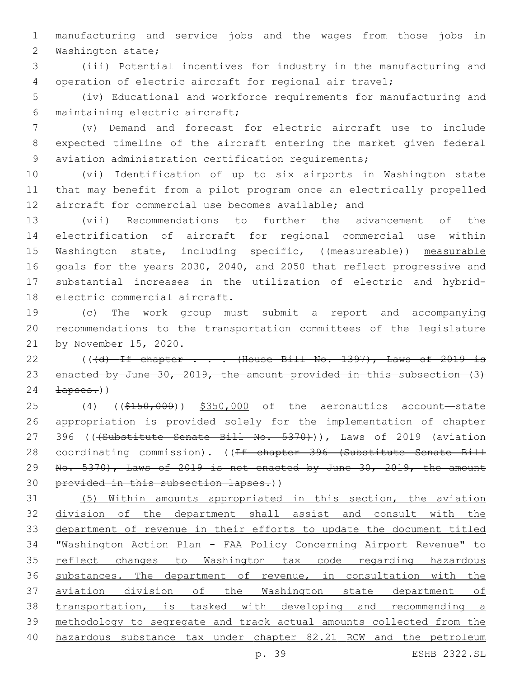manufacturing and service jobs and the wages from those jobs in 2 Washington state;

 (iii) Potential incentives for industry in the manufacturing and operation of electric aircraft for regional air travel;

 (iv) Educational and workforce requirements for manufacturing and maintaining electric aircraft;6

 (v) Demand and forecast for electric aircraft use to include expected timeline of the aircraft entering the market given federal aviation administration certification requirements;

 (vi) Identification of up to six airports in Washington state that may benefit from a pilot program once an electrically propelled aircraft for commercial use becomes available; and

 (vii) Recommendations to further the advancement of the electrification of aircraft for regional commercial use within 15 Washington state, including specific, ((measureable)) measurable goals for the years 2030, 2040, and 2050 that reflect progressive and substantial increases in the utilization of electric and hybrid-18 electric commercial aircraft.

 (c) The work group must submit a report and accompanying recommendations to the transportation committees of the legislature 21 by November 15, 2020.

22 (( $\frac{d}{d}$  If chapter . . . (House Bill No. 1397), Laws of 2019 is enacted by June 30, 2019, the amount provided in this subsection (3)  $24 \rightarrow \text{Answers.}$ 

25 (4) ((\$150,000)) \$350,000 of the aeronautics account—state appropriation is provided solely for the implementation of chapter 27 396 (((Substitute Senate Bill No. 5370))), Laws of 2019 (aviation 28 coordinating commission). ((If chapter 396 (Substitute Senate Bill 29 No. 5370), Laws of 2019 is not enacted by June 30, 2019, the amount provided in this subsection lapses.))

 (5) Within amounts appropriated in this section, the aviation division of the department shall assist and consult with the department of revenue in their efforts to update the document titled "Washington Action Plan - FAA Policy Concerning Airport Revenue" to reflect changes to Washington tax code regarding hazardous substances. The department of revenue, in consultation with the aviation division of the Washington state department of transportation, is tasked with developing and recommending a methodology to segregate and track actual amounts collected from the hazardous substance tax under chapter 82.21 RCW and the petroleum

p. 39 ESHB 2322.SL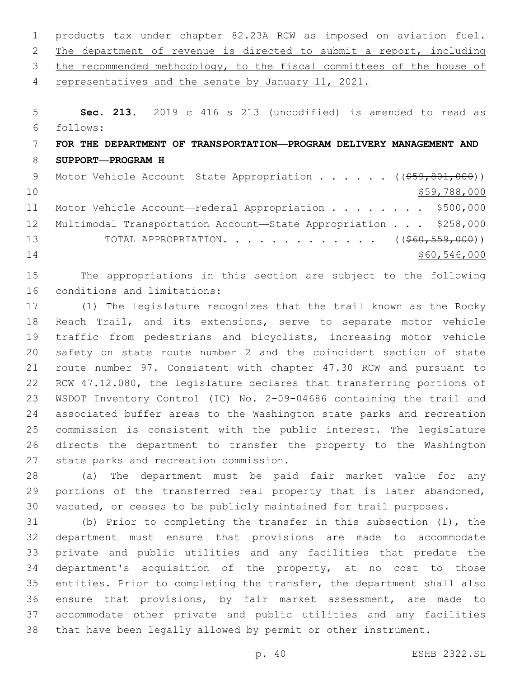| 1  | products tax under chapter 82.23A RCW as imposed on aviation fuel.     |
|----|------------------------------------------------------------------------|
| 2  | The department of revenue is directed to submit a report, including    |
| 3  | the recommended methodology, to the fiscal committees of the house of  |
| 4  | representatives and the senate by January 11, 2021.                    |
|    |                                                                        |
| 5  | Sec. 213. 2019 c 416 s 213 (uncodified) is amended to read as          |
| 6  | follows:                                                               |
| 7  | FOR THE DEPARTMENT OF TRANSPORTATION—PROGRAM DELIVERY MANAGEMENT AND   |
| 8  | SUPPORT-PROGRAM H                                                      |
| 9  | Motor Vehicle Account—State Appropriation ( $(\frac{259}{601}, 000)$ ) |
| 10 | \$59,788,000                                                           |
| 11 | \$500,000<br>Motor Vehicle Account—Federal Appropriation               |
| 12 | Multimodal Transportation Account-State Appropriation \$258,000        |

13 TOTAL APPROPRIATION. . . . . . . . . . . . . ((\$60,559,000)) \$60,546,000

 The appropriations in this section are subject to the following 16 conditions and limitations:

 (1) The legislature recognizes that the trail known as the Rocky 18 Reach Trail, and its extensions, serve to separate motor vehicle traffic from pedestrians and bicyclists, increasing motor vehicle safety on state route number 2 and the coincident section of state route number 97. Consistent with chapter 47.30 RCW and pursuant to RCW 47.12.080, the legislature declares that transferring portions of WSDOT Inventory Control (IC) No. 2-09-04686 containing the trail and associated buffer areas to the Washington state parks and recreation commission is consistent with the public interest. The legislature directs the department to transfer the property to the Washington 27 state parks and recreation commission.

 (a) The department must be paid fair market value for any 29 portions of the transferred real property that is later abandoned, vacated, or ceases to be publicly maintained for trail purposes.

 (b) Prior to completing the transfer in this subsection (1), the department must ensure that provisions are made to accommodate private and public utilities and any facilities that predate the department's acquisition of the property, at no cost to those entities. Prior to completing the transfer, the department shall also ensure that provisions, by fair market assessment, are made to accommodate other private and public utilities and any facilities that have been legally allowed by permit or other instrument.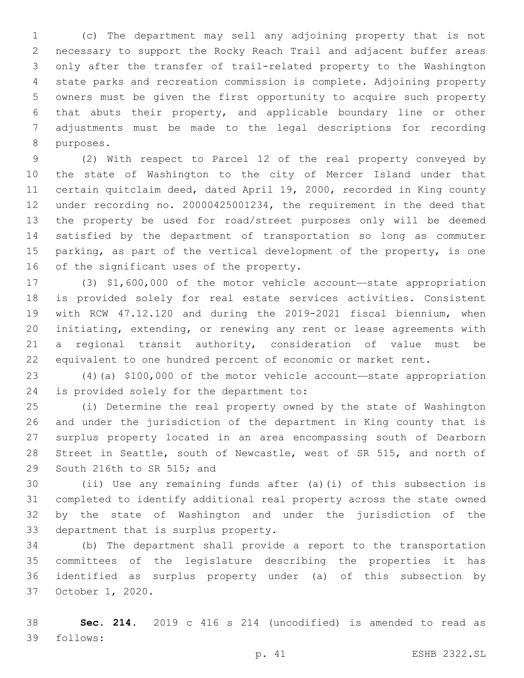(c) The department may sell any adjoining property that is not necessary to support the Rocky Reach Trail and adjacent buffer areas only after the transfer of trail-related property to the Washington state parks and recreation commission is complete. Adjoining property owners must be given the first opportunity to acquire such property that abuts their property, and applicable boundary line or other adjustments must be made to the legal descriptions for recording 8 purposes.

 (2) With respect to Parcel 12 of the real property conveyed by the state of Washington to the city of Mercer Island under that certain quitclaim deed, dated April 19, 2000, recorded in King county under recording no. 20000425001234, the requirement in the deed that the property be used for road/street purposes only will be deemed satisfied by the department of transportation so long as commuter parking, as part of the vertical development of the property, is one 16 of the significant uses of the property.

 (3) \$1,600,000 of the motor vehicle account—state appropriation is provided solely for real estate services activities. Consistent with RCW 47.12.120 and during the 2019-2021 fiscal biennium, when initiating, extending, or renewing any rent or lease agreements with a regional transit authority, consideration of value must be equivalent to one hundred percent of economic or market rent.

 (4)(a) \$100,000 of the motor vehicle account—state appropriation 24 is provided solely for the department to:

 (i) Determine the real property owned by the state of Washington and under the jurisdiction of the department in King county that is surplus property located in an area encompassing south of Dearborn Street in Seattle, south of Newcastle, west of SR 515, and north of 29 South 216th to SR 515; and

 (ii) Use any remaining funds after (a)(i) of this subsection is completed to identify additional real property across the state owned by the state of Washington and under the jurisdiction of the 33 department that is surplus property.

 (b) The department shall provide a report to the transportation committees of the legislature describing the properties it has identified as surplus property under (a) of this subsection by 37 October 1, 2020.

 **Sec. 214.** 2019 c 416 s 214 (uncodified) is amended to read as follows: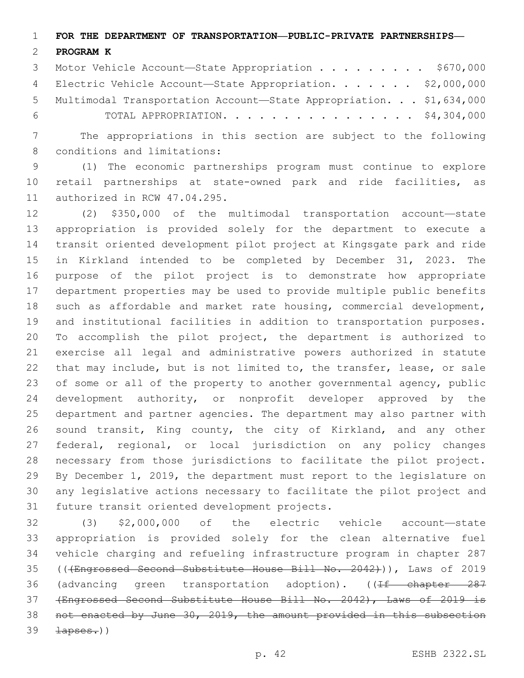**FOR THE DEPARTMENT OF TRANSPORTATION—PUBLIC-PRIVATE PARTNERSHIPS—**

#### **PROGRAM K**

3 Motor Vehicle Account-State Appropriation . . . . . . . . \$670,000 4 Electric Vehicle Account—State Appropriation. . . . . . \$2,000,000 Multimodal Transportation Account—State Appropriation. . . \$1,634,000 TOTAL APPROPRIATION. . . . . . . . . . . . . . . . \$4,304,000

 The appropriations in this section are subject to the following 8 conditions and limitations:

 (1) The economic partnerships program must continue to explore retail partnerships at state-owned park and ride facilities, as 11 authorized in RCW 47.04.295.

 (2) \$350,000 of the multimodal transportation account—state appropriation is provided solely for the department to execute a transit oriented development pilot project at Kingsgate park and ride in Kirkland intended to be completed by December 31, 2023. The purpose of the pilot project is to demonstrate how appropriate department properties may be used to provide multiple public benefits 18 such as affordable and market rate housing, commercial development, and institutional facilities in addition to transportation purposes. To accomplish the pilot project, the department is authorized to exercise all legal and administrative powers authorized in statute that may include, but is not limited to, the transfer, lease, or sale of some or all of the property to another governmental agency, public development authority, or nonprofit developer approved by the department and partner agencies. The department may also partner with sound transit, King county, the city of Kirkland, and any other federal, regional, or local jurisdiction on any policy changes necessary from those jurisdictions to facilitate the pilot project. By December 1, 2019, the department must report to the legislature on any legislative actions necessary to facilitate the pilot project and 31 future transit oriented development projects.

 (3) \$2,000,000 of the electric vehicle account—state appropriation is provided solely for the clean alternative fuel vehicle charging and refueling infrastructure program in chapter 287 35 ((<del>(Engrossed Second Substitute House Bill No. 2042)</del>)), Laws of 2019 36 (advancing green transportation adoption). ((<del>If chapter 287</del> (Engrossed Second Substitute House Bill No. 2042), Laws of 2019 is not enacted by June 30, 2019, the amount provided in this subsection  $39 \rightarrow \text{Lapses.}$ )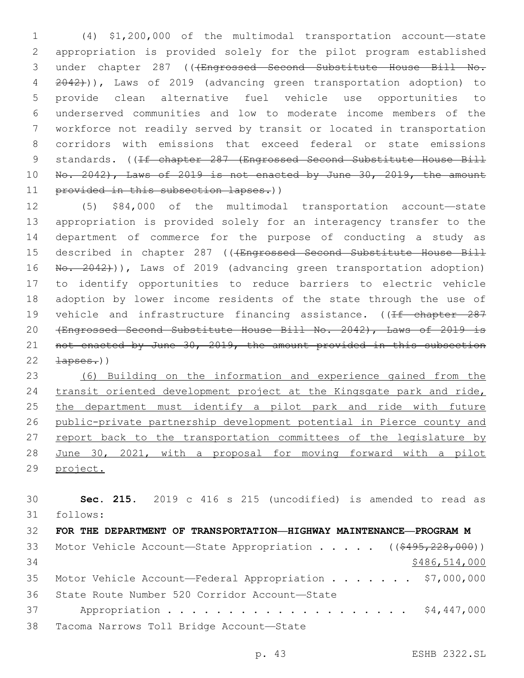(4) \$1,200,000 of the multimodal transportation account—state appropriation is provided solely for the pilot program established 3 under chapter 287 (((Engrossed Second Substitute House Bill No. 2042))), Laws of 2019 (advancing green transportation adoption) to provide clean alternative fuel vehicle use opportunities to underserved communities and low to moderate income members of the workforce not readily served by transit or located in transportation corridors with emissions that exceed federal or state emissions 9 standards. ((If chapter 287 (Engrossed Second Substitute House Bill No. 2042), Laws of 2019 is not enacted by June 30, 2019, the amount 11 provided in this subsection lapses.))

 (5) \$84,000 of the multimodal transportation account—state appropriation is provided solely for an interagency transfer to the department of commerce for the purpose of conducting a study as 15 described in chapter 287 ((+Engrossed Second Substitute House Bill 16 No. 2042))), Laws of 2019 (advancing green transportation adoption) to identify opportunities to reduce barriers to electric vehicle adoption by lower income residents of the state through the use of 19 vehicle and infrastructure financing assistance. ((If chapter 287 (Engrossed Second Substitute House Bill No. 2042), Laws of 2019 is not enacted by June 30, 2019, the amount provided in this subsection  $22 \rightarrow \text{Lapses.}$ )

 (6) Building on the information and experience gained from the transit oriented development project at the Kingsgate park and ride, the department must identify a pilot park and ride with future public-private partnership development potential in Pierce county and 27 report back to the transportation committees of the legislature by 28 June 30, 2021, with a proposal for moving forward with a pilot project.

 **Sec. 215.** 2019 c 416 s 215 (uncodified) is amended to read as follows: **FOR THE DEPARTMENT OF TRANSPORTATION—HIGHWAY MAINTENANCE—PROGRAM M** 33 Motor Vehicle Account—State Appropriation . . . . ((\$495,228,000)) \$486,514,000 35 Motor Vehicle Account—Federal Appropriation . . . . . . \$7,000,000 State Route Number 520 Corridor Account—State36 Appropriation . . . . . . . . . . . . . . . . . . . . \$4,447,000 38 Tacoma Narrows Toll Bridge Account-State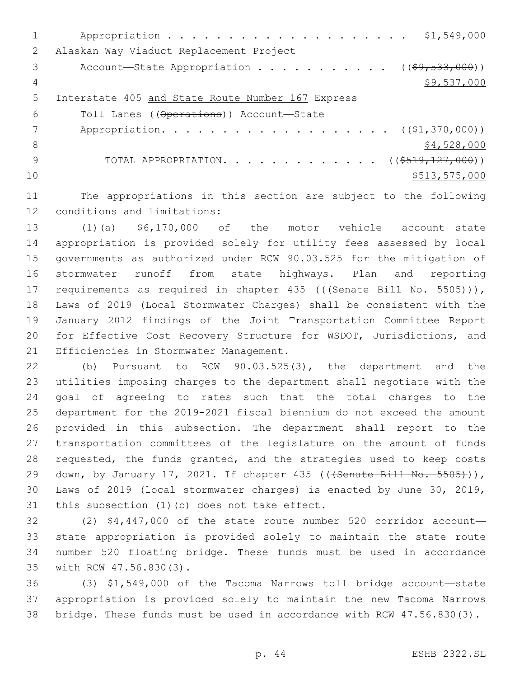|    | \$1,549,000                                              |
|----|----------------------------------------------------------|
| 2  | Alaskan Way Viaduct Replacement Project                  |
| 3  | Account—State Appropriation ( $(\frac{69}{7533}, 000)$ ) |
| 4  | \$9,537,000                                              |
| 5  | Interstate 405 and State Route Number 167 Express        |
| 6  | Toll Lanes ((Operations)) Account-State                  |
|    | Appropriation. ( $(\frac{1}{21}, \frac{370}{100})$ )     |
| 8  | \$4,528,000                                              |
| 9  | TOTAL APPROPRIATION. ( $(\frac{\$519,127,000}{})$ )      |
| 10 | \$513,575,000                                            |
|    |                                                          |

11 The appropriations in this section are subject to the following 12 conditions and limitations:

 (1)(a) \$6,170,000 of the motor vehicle account—state appropriation is provided solely for utility fees assessed by local governments as authorized under RCW 90.03.525 for the mitigation of stormwater runoff from state highways. Plan and reporting 17 requirements as required in chapter 435 ((+Senate Bill No. 5505))), Laws of 2019 (Local Stormwater Charges) shall be consistent with the January 2012 findings of the Joint Transportation Committee Report for Effective Cost Recovery Structure for WSDOT, Jurisdictions, and 21 Efficiencies in Stormwater Management.

 (b) Pursuant to RCW 90.03.525(3), the department and the utilities imposing charges to the department shall negotiate with the goal of agreeing to rates such that the total charges to the department for the 2019-2021 fiscal biennium do not exceed the amount provided in this subsection. The department shall report to the transportation committees of the legislature on the amount of funds 28 requested, the funds granted, and the strategies used to keep costs 29 down, by January 17, 2021. If chapter 435 ((<del>(Senate Bill No. 5505)</del>)), Laws of 2019 (local stormwater charges) is enacted by June 30, 2019, 31 this subsection (1)(b) does not take effect.

 (2) \$4,447,000 of the state route number 520 corridor account— state appropriation is provided solely to maintain the state route number 520 floating bridge. These funds must be used in accordance 35 with RCW 47.56.830(3).

36 (3) \$1,549,000 of the Tacoma Narrows toll bridge account—state 37 appropriation is provided solely to maintain the new Tacoma Narrows 38 bridge. These funds must be used in accordance with RCW 47.56.830(3).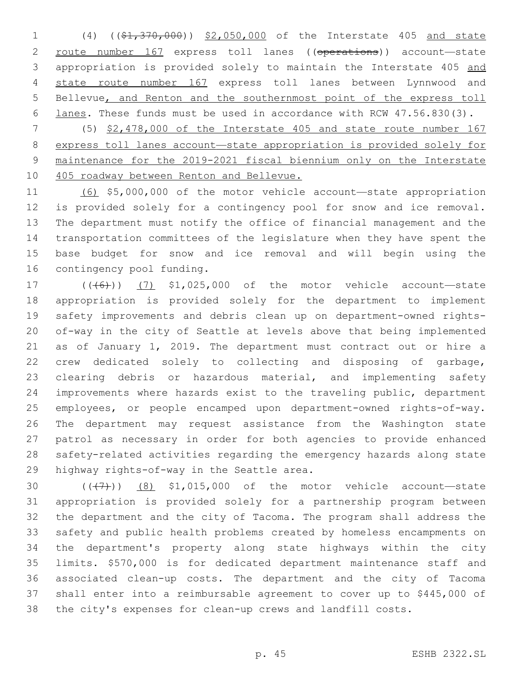1 (4) ((\$1,370,000)) \$2,050,000 of the Interstate 405 and state route number 167 express toll lanes ((operations)) account—state appropriation is provided solely to maintain the Interstate 405 and state route number 167 express toll lanes between Lynnwood and 5 Bellevue, and Renton and the southernmost point of the express toll lanes. These funds must be used in accordance with RCW 47.56.830(3).

 (5) \$2,478,000 of the Interstate 405 and state route number 167 express toll lanes account—state appropriation is provided solely for maintenance for the 2019-2021 fiscal biennium only on the Interstate 10 405 roadway between Renton and Bellevue.

 (6) \$5,000,000 of the motor vehicle account—state appropriation is provided solely for a contingency pool for snow and ice removal. The department must notify the office of financial management and the transportation committees of the legislature when they have spent the base budget for snow and ice removal and will begin using the 16 contingency pool funding.

17 (((6)) (7) \$1,025,000 of the motor vehicle account—state appropriation is provided solely for the department to implement safety improvements and debris clean up on department-owned rights- of-way in the city of Seattle at levels above that being implemented as of January 1, 2019. The department must contract out or hire a crew dedicated solely to collecting and disposing of garbage, clearing debris or hazardous material, and implementing safety improvements where hazards exist to the traveling public, department employees, or people encamped upon department-owned rights-of-way. The department may request assistance from the Washington state patrol as necessary in order for both agencies to provide enhanced safety-related activities regarding the emergency hazards along state 29 highway rights-of-way in the Seattle area.

 $((+7+))$   $(8)$  \$1,015,000 of the motor vehicle account—state appropriation is provided solely for a partnership program between the department and the city of Tacoma. The program shall address the safety and public health problems created by homeless encampments on the department's property along state highways within the city limits. \$570,000 is for dedicated department maintenance staff and associated clean-up costs. The department and the city of Tacoma shall enter into a reimbursable agreement to cover up to \$445,000 of the city's expenses for clean-up crews and landfill costs.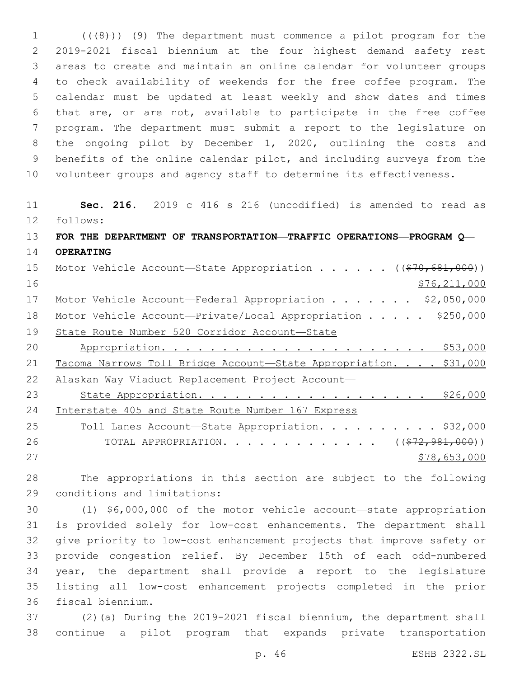1 (((8)) (9) The department must commence a pilot program for the 2019-2021 fiscal biennium at the four highest demand safety rest areas to create and maintain an online calendar for volunteer groups to check availability of weekends for the free coffee program. The calendar must be updated at least weekly and show dates and times that are, or are not, available to participate in the free coffee program. The department must submit a report to the legislature on the ongoing pilot by December 1, 2020, outlining the costs and benefits of the online calendar pilot, and including surveys from the volunteer groups and agency staff to determine its effectiveness.

 **Sec. 216.** 2019 c 416 s 216 (uncodified) is amended to read as follows: **FOR THE DEPARTMENT OF TRANSPORTATION—TRAFFIC OPERATIONS—PROGRAM Q— OPERATING** 15 Motor Vehicle Account—State Appropriation . . . . . ((\$70,681,000)) \$76,211,000 17 Motor Vehicle Account—Federal Appropriation . . . . . . \$2,050,000 18 Motor Vehicle Account-Private/Local Appropriation . . . . \$250,000 State Route Number 520 Corridor Account—State Appropriation. . . . . . . . . . . . . . . . . . . . . . \$53,000 21 Tacoma Narrows Toll Bridge Account-State Appropriation. . . . \$31,000 Alaskan Way Viaduct Replacement Project Account— State Appropriation. . . . . . . . . . . . . . . . . . . \$26,000 Interstate 405 and State Route Number 167 Express 25 Toll Lanes Account-State Appropriation. . . . . . . . . \$32,000 26 TOTAL APPROPRIATION. . . . . . . . . . . . ((<del>\$72,981,000</del>))  $578,653,000$ 

 The appropriations in this section are subject to the following 29 conditions and limitations:

 (1) \$6,000,000 of the motor vehicle account—state appropriation is provided solely for low-cost enhancements. The department shall give priority to low-cost enhancement projects that improve safety or provide congestion relief. By December 15th of each odd-numbered year, the department shall provide a report to the legislature listing all low-cost enhancement projects completed in the prior 36 fiscal biennium.

 (2)(a) During the 2019-2021 fiscal biennium, the department shall continue a pilot program that expands private transportation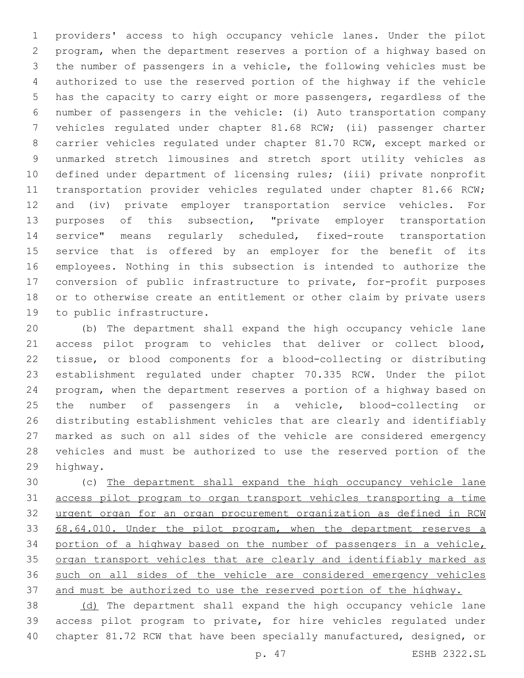providers' access to high occupancy vehicle lanes. Under the pilot program, when the department reserves a portion of a highway based on the number of passengers in a vehicle, the following vehicles must be authorized to use the reserved portion of the highway if the vehicle has the capacity to carry eight or more passengers, regardless of the number of passengers in the vehicle: (i) Auto transportation company vehicles regulated under chapter 81.68 RCW; (ii) passenger charter carrier vehicles regulated under chapter 81.70 RCW, except marked or unmarked stretch limousines and stretch sport utility vehicles as defined under department of licensing rules; (iii) private nonprofit 11 transportation provider vehicles regulated under chapter 81.66 RCW; and (iv) private employer transportation service vehicles. For purposes of this subsection, "private employer transportation service" means regularly scheduled, fixed-route transportation service that is offered by an employer for the benefit of its employees. Nothing in this subsection is intended to authorize the conversion of public infrastructure to private, for-profit purposes or to otherwise create an entitlement or other claim by private users 19 to public infrastructure.

 (b) The department shall expand the high occupancy vehicle lane access pilot program to vehicles that deliver or collect blood, tissue, or blood components for a blood-collecting or distributing establishment regulated under chapter 70.335 RCW. Under the pilot program, when the department reserves a portion of a highway based on the number of passengers in a vehicle, blood-collecting or distributing establishment vehicles that are clearly and identifiably marked as such on all sides of the vehicle are considered emergency vehicles and must be authorized to use the reserved portion of the 29 highway.

 (c) The department shall expand the high occupancy vehicle lane access pilot program to organ transport vehicles transporting a time urgent organ for an organ procurement organization as defined in RCW 33 68.64.010. Under the pilot program, when the department reserves a portion of a highway based on the number of passengers in a vehicle, 35 organ transport vehicles that are clearly and identifiably marked as such on all sides of the vehicle are considered emergency vehicles and must be authorized to use the reserved portion of the highway.

 (d) The department shall expand the high occupancy vehicle lane access pilot program to private, for hire vehicles regulated under chapter 81.72 RCW that have been specially manufactured, designed, or

p. 47 ESHB 2322.SL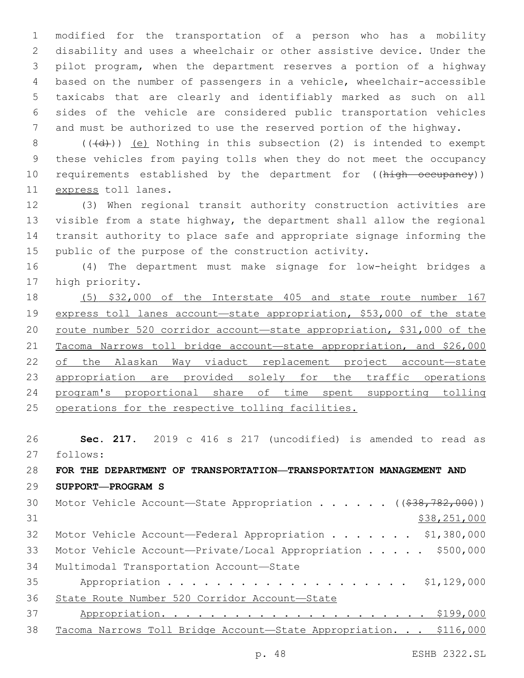modified for the transportation of a person who has a mobility disability and uses a wheelchair or other assistive device. Under the pilot program, when the department reserves a portion of a highway based on the number of passengers in a vehicle, wheelchair-accessible taxicabs that are clearly and identifiably marked as such on all sides of the vehicle are considered public transportation vehicles and must be authorized to use the reserved portion of the highway.

 (( $\overline{(d)}}$ )) <u>(e)</u> Nothing in this subsection (2) is intended to exempt these vehicles from paying tolls when they do not meet the occupancy 10 requirements established by the department for ((high occupancy)) 11 express toll lanes.

 (3) When regional transit authority construction activities are visible from a state highway, the department shall allow the regional transit authority to place safe and appropriate signage informing the public of the purpose of the construction activity.

 (4) The department must make signage for low-height bridges a 17 high priority.

 (5) \$32,000 of the Interstate 405 and state route number 167 express toll lanes account—state appropriation, \$53,000 of the state 20 route number 520 corridor account-state appropriation, \$31,000 of the Tacoma Narrows toll bridge account—state appropriation, and \$26,000 22 of the Alaskan Way viaduct replacement project account-state 23 appropriation are provided solely for the traffic operations program's proportional share of time spent supporting tolling operations for the respective tolling facilities.

 **Sec. 217.** 2019 c 416 s 217 (uncodified) is amended to read as follows:

## **FOR THE DEPARTMENT OF TRANSPORTATION—TRANSPORTATION MANAGEMENT AND SUPPORT—PROGRAM S**

| 30 | Motor Vehicle Account—State Appropriation ((\$38,782,000))        |
|----|-------------------------------------------------------------------|
| 31 | \$38,251,000                                                      |
| 32 | Motor Vehicle Account-Federal Appropriation \$1,380,000           |
| 33 | Motor Vehicle Account-Private/Local Appropriation \$500,000       |
| 34 | Multimodal Transportation Account-State                           |
| 35 |                                                                   |
| 36 | State Route Number 520 Corridor Account-State                     |
| 37 | \$199,000                                                         |
| 38 | Tacoma Narrows Toll Bridge Account-State Appropriation. \$116,000 |
|    |                                                                   |

p. 48 ESHB 2322.SL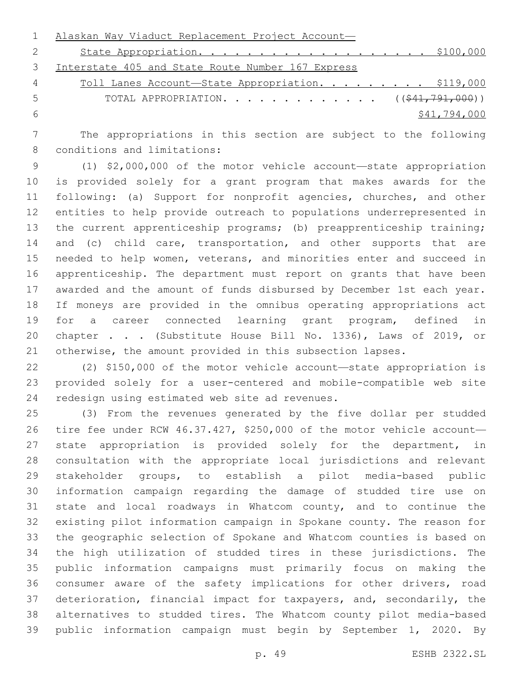|    | Alaskan Way Viaduct Replacement Project Account-      |
|----|-------------------------------------------------------|
|    |                                                       |
| 3  | Interstate 405 and State Route Number 167 Express     |
| 4  | Toll Lanes Account-State Appropriation. \$119,000     |
| -5 | TOTAL APPROPRIATION. $($ $($ $\frac{241,791,000}{1})$ |
| -6 | \$41,794,000                                          |

 The appropriations in this section are subject to the following 8 conditions and limitations:

 (1) \$2,000,000 of the motor vehicle account—state appropriation is provided solely for a grant program that makes awards for the following: (a) Support for nonprofit agencies, churches, and other entities to help provide outreach to populations underrepresented in 13 the current apprenticeship programs; (b) preapprenticeship training; 14 and (c) child care, transportation, and other supports that are needed to help women, veterans, and minorities enter and succeed in apprenticeship. The department must report on grants that have been awarded and the amount of funds disbursed by December 1st each year. If moneys are provided in the omnibus operating appropriations act for a career connected learning grant program, defined in chapter . . . (Substitute House Bill No. 1336), Laws of 2019, or otherwise, the amount provided in this subsection lapses.

 (2) \$150,000 of the motor vehicle account—state appropriation is provided solely for a user-centered and mobile-compatible web site 24 redesign using estimated web site ad revenues.

 (3) From the revenues generated by the five dollar per studded tire fee under RCW 46.37.427, \$250,000 of the motor vehicle account— 27 state appropriation is provided solely for the department, in consultation with the appropriate local jurisdictions and relevant stakeholder groups, to establish a pilot media-based public information campaign regarding the damage of studded tire use on state and local roadways in Whatcom county, and to continue the existing pilot information campaign in Spokane county. The reason for the geographic selection of Spokane and Whatcom counties is based on the high utilization of studded tires in these jurisdictions. The public information campaigns must primarily focus on making the consumer aware of the safety implications for other drivers, road deterioration, financial impact for taxpayers, and, secondarily, the alternatives to studded tires. The Whatcom county pilot media-based public information campaign must begin by September 1, 2020. By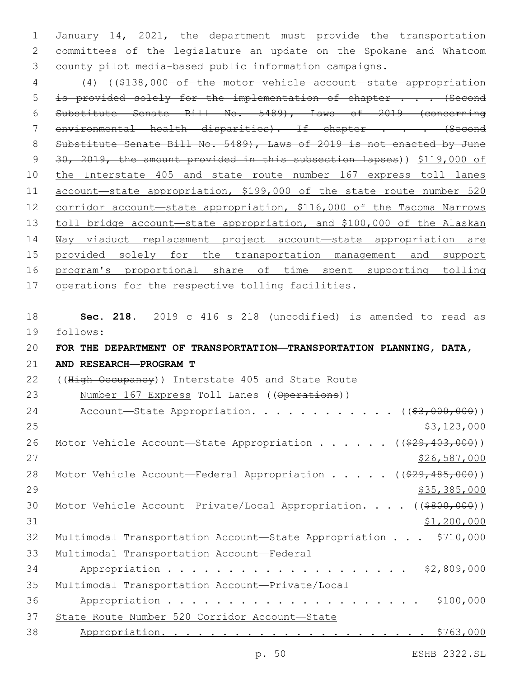1 January 14, 2021, the department must provide the transportation 2 committees of the legislature an update on the Spokane and Whatcom 3 county pilot media-based public information campaigns.

 (4) ((\$138,000 of the motor vehicle account—state appropriation 5 is provided solely for the implementation of chapter . . . (Second Substitute Senate Bill No. 5489), Laws of 2019 (concerning 7 environmental health disparities). If chapter . . . (Second 8 Substitute Senate Bill No. 5489), Laws of 2019 is not enacted by June 30, 2019, the amount provided in this subsection lapses)) \$119,000 of the Interstate 405 and state route number 167 express toll lanes account—state appropriation, \$199,000 of the state route number 520 12 corridor account—state appropriation, \$116,000 of the Tacoma Narrows toll bridge account—state appropriation, and \$100,000 of the Alaskan Way viaduct replacement project account—state appropriation are provided solely for the transportation management and support program's proportional share of time spent supporting tolling 17 operations for the respective tolling facilities.

18 **Sec. 218.** 2019 c 416 s 218 (uncodified) is amended to read as 19 follows: 20 **FOR THE DEPARTMENT OF TRANSPORTATION—TRANSPORTATION PLANNING, DATA,** 21 **AND RESEARCH—PROGRAM T** 22 ((High Occupancy)) Interstate 405 and State Route 23 Number 167 Express Toll Lanes ((Operations)) 24 Account—State Appropriation. . . . . . . . . . .  $($  $($ \$3,000,000))  $25$  \$3,123,000 26 Motor Vehicle Account-State Appropriation . . . . . ((\$29,403,000)) 27 \$26,587,000 28 Motor Vehicle Account—Federal Appropriation . . . . ((\$29,485,000)) 29 \$35,385,000 30 Motor Vehicle Account-Private/Local Appropriation. . . . ((\$800,000))  $31$  \$1,200,000 32 Multimodal Transportation Account—State Appropriation . . . \$710,000 33 Multimodal Transportation Account-Federal 34 Appropriation . . . . . . . . . . . . . . . . . . \$2,809,000 35 Multimodal Transportation Account-Private/Local 36 Appropriation . . . . . . . . . . . . . . . . . . . . . \$100,000 37 State Route Number 520 Corridor Account—State 38 Appropriation. . . . . . . . . . . . . . . . . . . . . . \$763,000

p. 50 ESHB 2322.SL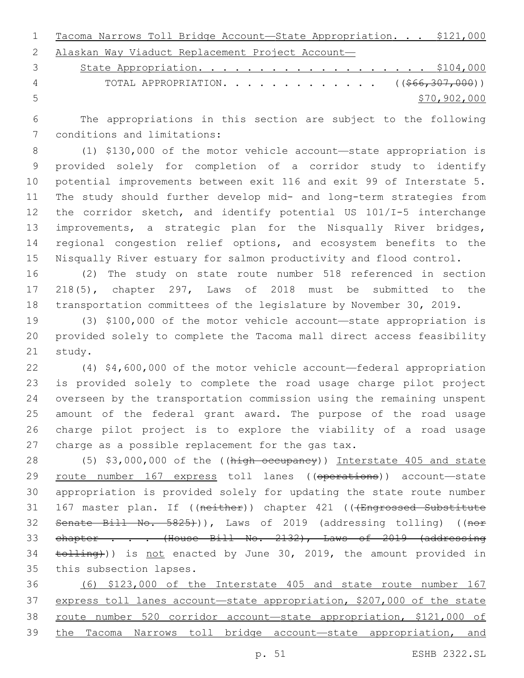Tacoma Narrows Toll Bridge Account—State Appropriation. . . \$121,000 Alaskan Way Viaduct Replacement Project Account—

3 State Appropriation. . . . . . . . . . . . . . . . . . \$104,000 4 TOTAL APPROPRIATION. . . . . . . . . . . . . ((\$66,307,000)) \$70,902,000

 The appropriations in this section are subject to the following 7 conditions and limitations:

 (1) \$130,000 of the motor vehicle account—state appropriation is provided solely for completion of a corridor study to identify potential improvements between exit 116 and exit 99 of Interstate 5. The study should further develop mid- and long-term strategies from the corridor sketch, and identify potential US 101/I-5 interchange improvements, a strategic plan for the Nisqually River bridges, regional congestion relief options, and ecosystem benefits to the Nisqually River estuary for salmon productivity and flood control.

 (2) The study on state route number 518 referenced in section 218(5), chapter 297, Laws of 2018 must be submitted to the transportation committees of the legislature by November 30, 2019.

 (3) \$100,000 of the motor vehicle account—state appropriation is provided solely to complete the Tacoma mall direct access feasibility 21 study.

 (4) \$4,600,000 of the motor vehicle account—federal appropriation is provided solely to complete the road usage charge pilot project overseen by the transportation commission using the remaining unspent amount of the federal grant award. The purpose of the road usage charge pilot project is to explore the viability of a road usage 27 charge as a possible replacement for the gas tax.

28 (5) \$3,000,000 of the ((high occupancy)) Interstate 405 and state 29 route number 167 express toll lanes ((operations)) account-state appropriation is provided solely for updating the state route number 31 167 master plan. If ((neither)) chapter 421 (((Engrossed Substitute 32 Senate Bill No. 5825))), Laws of 2019 (addressing tolling) ((nor 33 chapter . . . (House Bill No. 2132), Laws of 2019 (addressing 34 tolling))) is not enacted by June 30, 2019, the amount provided in 35 this subsection lapses.

 (6) \$123,000 of the Interstate 405 and state route number 167 express toll lanes account—state appropriation, \$207,000 of the state 38 route number 520 corridor account-state appropriation, \$121,000 of the Tacoma Narrows toll bridge account—state appropriation, and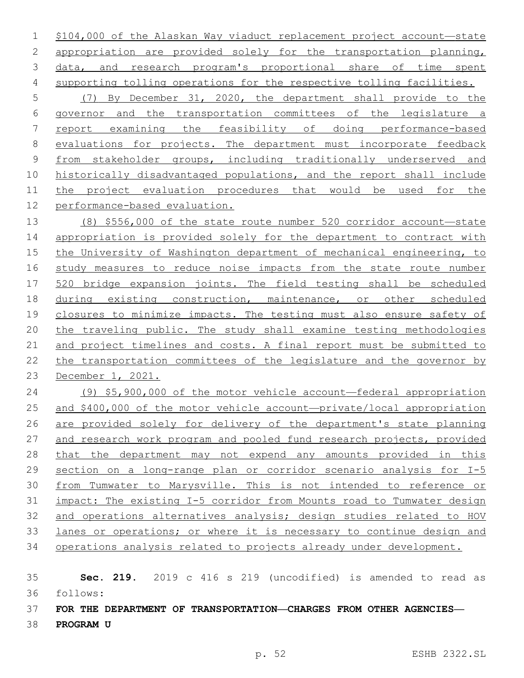\$104,000 of the Alaskan Way viaduct replacement project account—state appropriation are provided solely for the transportation planning, data, and research program's proportional share of time spent supporting tolling operations for the respective tolling facilities. (7) By December 31, 2020, the department shall provide to the governor and the transportation committees of the legislature a report examining the feasibility of doing performance-based evaluations for projects. The department must incorporate feedback from stakeholder groups, including traditionally underserved and historically disadvantaged populations, and the report shall include 11 the project evaluation procedures that would be used for the performance-based evaluation.

 (8) \$556,000 of the state route number 520 corridor account—state appropriation is provided solely for the department to contract with the University of Washington department of mechanical engineering, to study measures to reduce noise impacts from the state route number 520 bridge expansion joints. The field testing shall be scheduled during existing construction, maintenance, or other scheduled closures to minimize impacts. The testing must also ensure safety of the traveling public. The study shall examine testing methodologies and project timelines and costs. A final report must be submitted to the transportation committees of the legislature and the governor by December 1, 2021.

 (9) \$5,900,000 of the motor vehicle account—federal appropriation and \$400,000 of the motor vehicle account—private/local appropriation are provided solely for delivery of the department's state planning and research work program and pooled fund research projects, provided 28 that the department may not expend any amounts provided in this 29 section on a long-range plan or corridor scenario analysis for I-5 from Tumwater to Marysville. This is not intended to reference or impact: The existing I-5 corridor from Mounts road to Tumwater design and operations alternatives analysis; design studies related to HOV lanes or operations; or where it is necessary to continue design and operations analysis related to projects already under development.

## **Sec. 219.** 2019 c 416 s 219 (uncodified) is amended to read as follows:

**FOR THE DEPARTMENT OF TRANSPORTATION—CHARGES FROM OTHER AGENCIES—**

**PROGRAM U**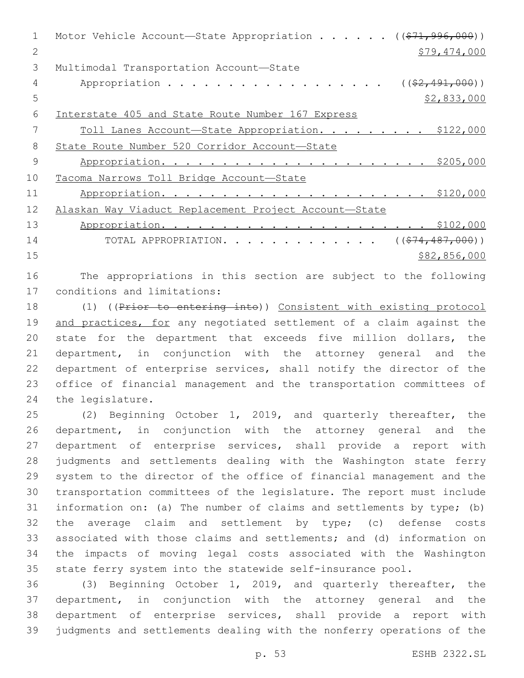| 1  | Motor Vehicle Account-State Appropriation ((\$71,996,000)) |
|----|------------------------------------------------------------|
| 2  | \$79,474,000                                               |
| 3  | Multimodal Transportation Account-State                    |
| 4  | Appropriation<br>$((\$2,491,000))$                         |
| 5  | \$2,833,000                                                |
| 6  | Interstate 405 and State Route Number 167 Express          |
|    | Toll Lanes Account-State Appropriation. \$122,000          |
| 8  | State Route Number 520 Corridor Account-State              |
| 9  |                                                            |
| 10 | Tacoma Narrows Toll Bridge Account-State                   |
| 11 |                                                            |
| 12 | Alaskan Way Viaduct Replacement Project Account-State      |
| 13 |                                                            |
| 14 | TOTAL APPROPRIATION. ( $(\frac{274}{100})$ )               |
| 15 | \$82,856,000                                               |
|    |                                                            |

 The appropriations in this section are subject to the following 17 conditions and limitations:

 (1) ((Prior to entering into)) Consistent with existing protocol 19 and practices, for any negotiated settlement of a claim against the state for the department that exceeds five million dollars, the department, in conjunction with the attorney general and the department of enterprise services, shall notify the director of the office of financial management and the transportation committees of 24 the legislature.

 (2) Beginning October 1, 2019, and quarterly thereafter, the department, in conjunction with the attorney general and the department of enterprise services, shall provide a report with judgments and settlements dealing with the Washington state ferry system to the director of the office of financial management and the transportation committees of the legislature. The report must include information on: (a) The number of claims and settlements by type; (b) the average claim and settlement by type; (c) defense costs associated with those claims and settlements; and (d) information on the impacts of moving legal costs associated with the Washington state ferry system into the statewide self-insurance pool.

 (3) Beginning October 1, 2019, and quarterly thereafter, the department, in conjunction with the attorney general and the department of enterprise services, shall provide a report with judgments and settlements dealing with the nonferry operations of the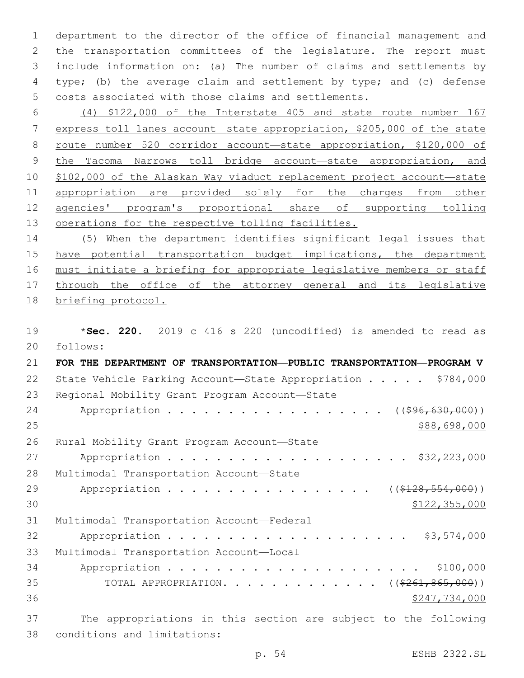department to the director of the office of financial management and the transportation committees of the legislature. The report must include information on: (a) The number of claims and settlements by type; (b) the average claim and settlement by type; and (c) defense costs associated with those claims and settlements.

 (4) \$122,000 of the Interstate 405 and state route number 167 express toll lanes account—state appropriation, \$205,000 of the state route number 520 corridor account—state appropriation, \$120,000 of the Tacoma Narrows toll bridge account—state appropriation, and \$102,000 of the Alaskan Way viaduct replacement project account—state 11 appropriation are provided solely for the charges from other agencies' program's proportional share of supporting tolling operations for the respective tolling facilities.

14 (5) When the department identifies significant legal issues that 15 have potential transportation budget implications, the department 16 must initiate a briefing for appropriate legislative members or staff 17 through the office of the attorney general and its legislative 18 briefing protocol.

19 \***Sec. 220.** 2019 c 416 s 220 (uncodified) is amended to read as 20 follows: 21 **FOR THE DEPARTMENT OF TRANSPORTATION—PUBLIC TRANSPORTATION—PROGRAM V** 22 State Vehicle Parking Account-State Appropriation . . . . \$784,000 23 Regional Mobility Grant Program Account-State 24 Appropriation . . . . . . . . . . . . . . . . ((\$96,630,000))  $25$  \$88,698,000 26 Rural Mobility Grant Program Account-State 27 Appropriation . . . . . . . . . . . . . . . . . . \$32,223,000 28 Multimodal Transportation Account-State 29 Appropriation . . . . . . . . . . . . . . . ((\$128,554,000)) 30 \$122,355,000 31 Multimodal Transportation Account—Federal 32 Appropriation . . . . . . . . . . . . . . . . . . \$3,574,000 33 Multimodal Transportation Account-Local 34 Appropriation . . . . . . . . . . . . . . . . . . . . . \$100,000 35 TOTAL APPROPRIATION. . . . . . . . . . . . . ((\$261,865,000))  $36$   $$247,734,000$ 37 The appropriations in this section are subject to the following 38 conditions and limitations:

p. 54 ESHB 2322.SL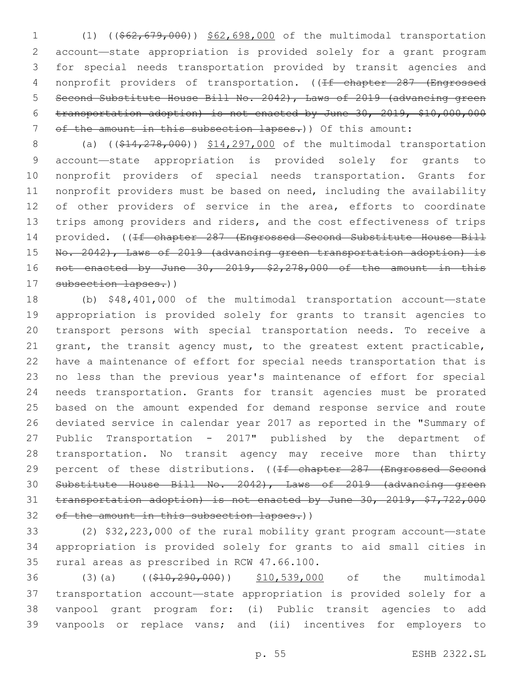(1) ((\$62,679,000)) \$62,698,000 of the multimodal transportation account—state appropriation is provided solely for a grant program for special needs transportation provided by transit agencies and 4 nonprofit providers of transportation. ((If chapter 287 (Engrossed Second Substitute House Bill No. 2042), Laws of 2019 (advancing green transportation adoption) is not enacted by June 30, 2019, \$10,000,000 7 of the amount in this subsection lapses.)) Of this amount:

8 (a) ((\$14,278,000)) \$14,297,000 of the multimodal transportation account—state appropriation is provided solely for grants to nonprofit providers of special needs transportation. Grants for nonprofit providers must be based on need, including the availability 12 of other providers of service in the area, efforts to coordinate 13 trips among providers and riders, and the cost effectiveness of trips 14 provided. ((<del>If chapter 287 (Engrossed Second Substitute House Bill</del> No. 2042), Laws of 2019 (advancing green transportation adoption) is not enacted by June 30, 2019, \$2,278,000 of the amount in this 17 subsection lapses.))

 (b) \$48,401,000 of the multimodal transportation account—state appropriation is provided solely for grants to transit agencies to transport persons with special transportation needs. To receive a grant, the transit agency must, to the greatest extent practicable, have a maintenance of effort for special needs transportation that is no less than the previous year's maintenance of effort for special needs transportation. Grants for transit agencies must be prorated based on the amount expended for demand response service and route deviated service in calendar year 2017 as reported in the "Summary of Public Transportation - 2017" published by the department of transportation. No transit agency may receive more than thirty 29 percent of these distributions. ((If chapter 287 (Engrossed Second Substitute House Bill No. 2042), Laws of 2019 (advancing green transportation adoption) is not enacted by June 30, 2019, \$7,722,000 32 of the amount in this subsection lapses.))

 (2) \$32,223,000 of the rural mobility grant program account—state appropriation is provided solely for grants to aid small cities in 35 rural areas as prescribed in RCW 47.66.100.

36 (3)(a) ((\$10,290,000)) \$10,539,000 of the multimodal transportation account—state appropriation is provided solely for a vanpool grant program for: (i) Public transit agencies to add vanpools or replace vans; and (ii) incentives for employers to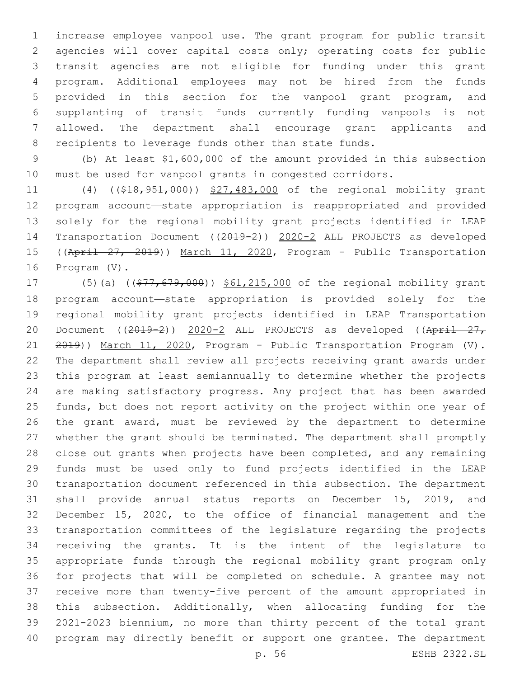increase employee vanpool use. The grant program for public transit agencies will cover capital costs only; operating costs for public transit agencies are not eligible for funding under this grant program. Additional employees may not be hired from the funds provided in this section for the vanpool grant program, and supplanting of transit funds currently funding vanpools is not allowed. The department shall encourage grant applicants and recipients to leverage funds other than state funds.

 (b) At least \$1,600,000 of the amount provided in this subsection must be used for vanpool grants in congested corridors.

11 (4) ((\$18,951,000)) \$27,483,000 of the regional mobility grant program account—state appropriation is reappropriated and provided solely for the regional mobility grant projects identified in LEAP Transportation Document ((2019-2)) 2020-2 ALL PROJECTS as developed 15 ((April 27, 2019)) March 11, 2020, Program - Public Transportation 16 Program (V).

17 (5)(a) ((\$77,679,000)) \$61,215,000 of the regional mobility grant program account—state appropriation is provided solely for the regional mobility grant projects identified in LEAP Transportation 20 Document ((2019-2)) 2020-2 ALL PROJECTS as developed ((April 27, 21 2019)) March 11, 2020, Program - Public Transportation Program (V). The department shall review all projects receiving grant awards under this program at least semiannually to determine whether the projects are making satisfactory progress. Any project that has been awarded funds, but does not report activity on the project within one year of the grant award, must be reviewed by the department to determine whether the grant should be terminated. The department shall promptly close out grants when projects have been completed, and any remaining funds must be used only to fund projects identified in the LEAP transportation document referenced in this subsection. The department shall provide annual status reports on December 15, 2019, and December 15, 2020, to the office of financial management and the transportation committees of the legislature regarding the projects receiving the grants. It is the intent of the legislature to appropriate funds through the regional mobility grant program only for projects that will be completed on schedule. A grantee may not receive more than twenty-five percent of the amount appropriated in this subsection. Additionally, when allocating funding for the 2021-2023 biennium, no more than thirty percent of the total grant program may directly benefit or support one grantee. The department

p. 56 ESHB 2322.SL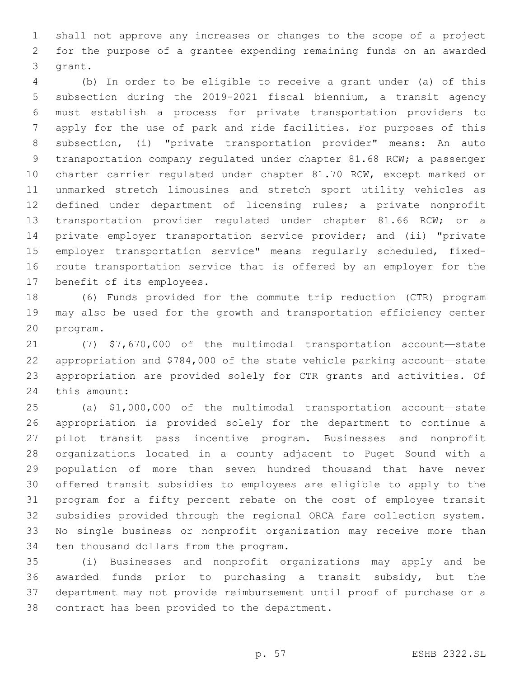shall not approve any increases or changes to the scope of a project for the purpose of a grantee expending remaining funds on an awarded 3 grant.

 (b) In order to be eligible to receive a grant under (a) of this subsection during the 2019-2021 fiscal biennium, a transit agency must establish a process for private transportation providers to apply for the use of park and ride facilities. For purposes of this subsection, (i) "private transportation provider" means: An auto transportation company regulated under chapter 81.68 RCW; a passenger charter carrier regulated under chapter 81.70 RCW, except marked or unmarked stretch limousines and stretch sport utility vehicles as defined under department of licensing rules; a private nonprofit transportation provider regulated under chapter 81.66 RCW; or a private employer transportation service provider; and (ii) "private employer transportation service" means regularly scheduled, fixed- route transportation service that is offered by an employer for the 17 benefit of its employees.

 (6) Funds provided for the commute trip reduction (CTR) program may also be used for the growth and transportation efficiency center 20 program.

 (7) \$7,670,000 of the multimodal transportation account—state appropriation and \$784,000 of the state vehicle parking account—state appropriation are provided solely for CTR grants and activities. Of 24 this amount:

 (a) \$1,000,000 of the multimodal transportation account—state appropriation is provided solely for the department to continue a pilot transit pass incentive program. Businesses and nonprofit organizations located in a county adjacent to Puget Sound with a population of more than seven hundred thousand that have never offered transit subsidies to employees are eligible to apply to the program for a fifty percent rebate on the cost of employee transit subsidies provided through the regional ORCA fare collection system. No single business or nonprofit organization may receive more than 34 ten thousand dollars from the program.

 (i) Businesses and nonprofit organizations may apply and be awarded funds prior to purchasing a transit subsidy, but the department may not provide reimbursement until proof of purchase or a 38 contract has been provided to the department.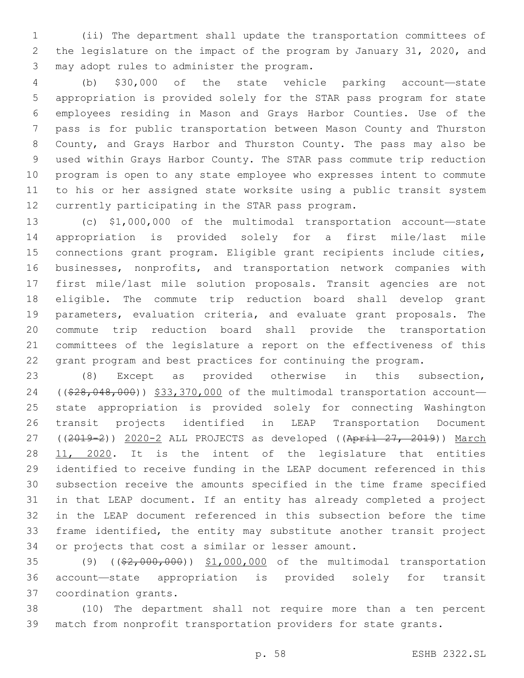(ii) The department shall update the transportation committees of the legislature on the impact of the program by January 31, 2020, and 3 may adopt rules to administer the program.

 (b) \$30,000 of the state vehicle parking account—state appropriation is provided solely for the STAR pass program for state employees residing in Mason and Grays Harbor Counties. Use of the pass is for public transportation between Mason County and Thurston County, and Grays Harbor and Thurston County. The pass may also be used within Grays Harbor County. The STAR pass commute trip reduction program is open to any state employee who expresses intent to commute to his or her assigned state worksite using a public transit system 12 currently participating in the STAR pass program.

 (c) \$1,000,000 of the multimodal transportation account—state appropriation is provided solely for a first mile/last mile connections grant program. Eligible grant recipients include cities, businesses, nonprofits, and transportation network companies with first mile/last mile solution proposals. Transit agencies are not eligible. The commute trip reduction board shall develop grant parameters, evaluation criteria, and evaluate grant proposals. The commute trip reduction board shall provide the transportation committees of the legislature a report on the effectiveness of this grant program and best practices for continuing the program.

 (8) Except as provided otherwise in this subsection, 24 ((\$28,048,000)) \$33,370,000 of the multimodal transportation account- state appropriation is provided solely for connecting Washington transit projects identified in LEAP Transportation Document 27 ((2019-2)) 2020-2 ALL PROJECTS as developed ((April 27, 2019)) March 11, 2020. It is the intent of the legislature that entities identified to receive funding in the LEAP document referenced in this subsection receive the amounts specified in the time frame specified in that LEAP document. If an entity has already completed a project in the LEAP document referenced in this subsection before the time frame identified, the entity may substitute another transit project 34 or projects that cost a similar or lesser amount.

 (9) ((\$2,000,000)) \$1,000,000 of the multimodal transportation account—state appropriation is provided solely for transit 37 coordination grants.

 (10) The department shall not require more than a ten percent match from nonprofit transportation providers for state grants.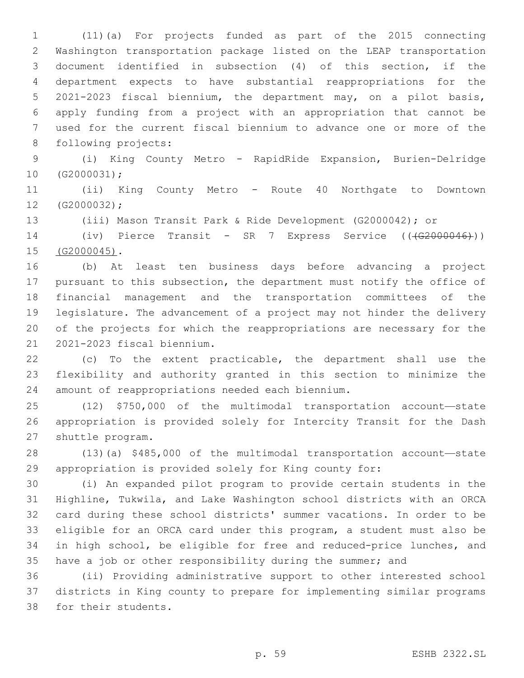(11)(a) For projects funded as part of the 2015 connecting Washington transportation package listed on the LEAP transportation document identified in subsection (4) of this section, if the department expects to have substantial reappropriations for the 2021-2023 fiscal biennium, the department may, on a pilot basis, apply funding from a project with an appropriation that cannot be used for the current fiscal biennium to advance one or more of the 8 following projects:

 (i) King County Metro - RapidRide Expansion, Burien-Delridge  $10 (G2000031);$ 

 (ii) King County Metro - Route 40 Northgate to Downtown 12 (G2000032);

(iii) Mason Transit Park & Ride Development (G2000042); or

14 (iv) Pierce Transit - SR 7 Express Service ((<del>(G2000046)</del>)) 15 (G2000045).

 (b) At least ten business days before advancing a project pursuant to this subsection, the department must notify the office of financial management and the transportation committees of the legislature. The advancement of a project may not hinder the delivery of the projects for which the reappropriations are necessary for the 2021-2023 fiscal biennium.21

 (c) To the extent practicable, the department shall use the flexibility and authority granted in this section to minimize the 24 amount of reappropriations needed each biennium.

 (12) \$750,000 of the multimodal transportation account—state appropriation is provided solely for Intercity Transit for the Dash 27 shuttle program.

 (13)(a) \$485,000 of the multimodal transportation account—state appropriation is provided solely for King county for:

 (i) An expanded pilot program to provide certain students in the Highline, Tukwila, and Lake Washington school districts with an ORCA card during these school districts' summer vacations. In order to be eligible for an ORCA card under this program, a student must also be in high school, be eligible for free and reduced-price lunches, and have a job or other responsibility during the summer; and

 (ii) Providing administrative support to other interested school districts in King county to prepare for implementing similar programs 38 for their students.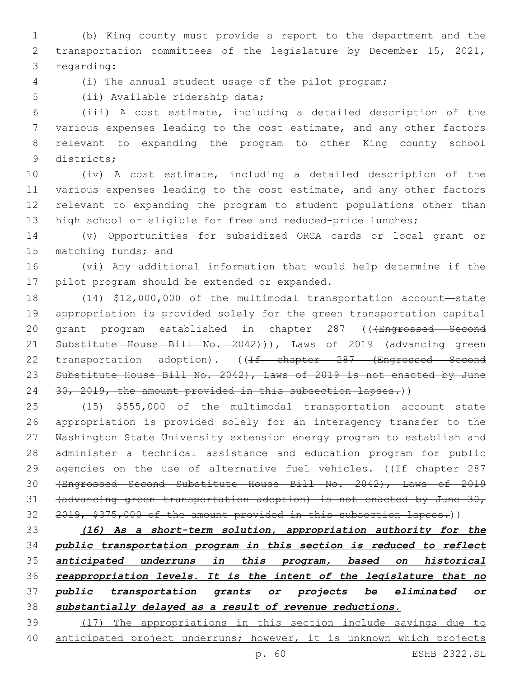(b) King county must provide a report to the department and the transportation committees of the legislature by December 15, 2021, 3 regarding:

(i) The annual student usage of the pilot program;

5 (ii) Available ridership data;

 (iii) A cost estimate, including a detailed description of the various expenses leading to the cost estimate, and any other factors relevant to expanding the program to other King county school 9 districts;

 (iv) A cost estimate, including a detailed description of the various expenses leading to the cost estimate, and any other factors relevant to expanding the program to student populations other than 13 high school or eligible for free and reduced-price lunches;

 (v) Opportunities for subsidized ORCA cards or local grant or 15 matching funds; and

 (vi) Any additional information that would help determine if the 17 pilot program should be extended or expanded.

 (14) \$12,000,000 of the multimodal transportation account—state appropriation is provided solely for the green transportation capital 20 grant program established in chapter 287 ((+Engrossed Second 21 Substitute House Bill No. 2042))), Laws of 2019 (advancing green 22 transportation adoption). ((If chapter 287 (Engrossed Second 23 Substitute House Bill No. 2042), Laws of 2019 is not enacted by June 24 30, 2019, the amount provided in this subsection lapses.))

 (15) \$555,000 of the multimodal transportation account—state appropriation is provided solely for an interagency transfer to the Washington State University extension energy program to establish and administer a technical assistance and education program for public 29 agencies on the use of alternative fuel vehicles. ((If chapter 287 (Engrossed Second Substitute House Bill No. 2042), Laws of 2019 (advancing green transportation adoption) is not enacted by June 30, 32 2019, \$375,000 of the amount provided in this subsection lapses.))

 *(16) As a short-term solution, appropriation authority for the public transportation program in this section is reduced to reflect anticipated underruns in this program, based on historical reappropriation levels. It is the intent of the legislature that no public transportation grants or projects be eliminated or substantially delayed as a result of revenue reductions.*

 (17) The appropriations in this section include savings due to anticipated project underruns; however, it is unknown which projects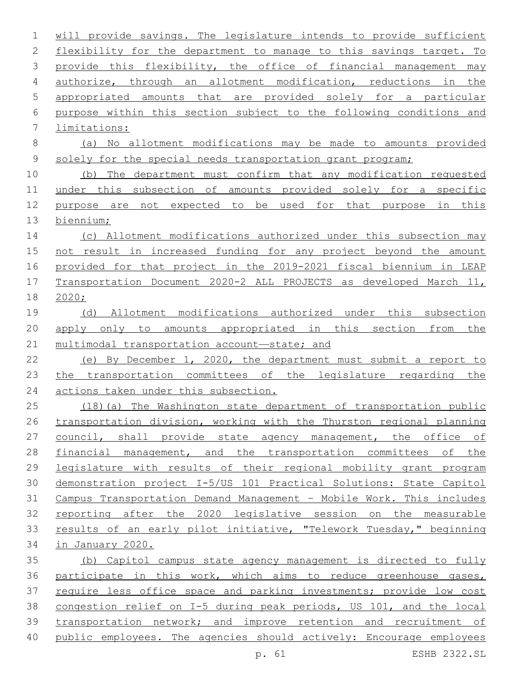will provide savings. The legislature intends to provide sufficient 2 flexibility for the department to manage to this savings target. To 3 provide this flexibility, the office of financial management may authorize, through an allotment modification, reductions in the appropriated amounts that are provided solely for a particular purpose within this section subject to the following conditions and 7 limitations: (a) No allotment modifications may be made to amounts provided 9 solely for the special needs transportation grant program; (b) The department must confirm that any modification requested under this subsection of amounts provided solely for a specific purpose are not expected to be used for that purpose in this biennium; (c) Allotment modifications authorized under this subsection may 15 not result in increased funding for any project beyond the amount provided for that project in the 2019-2021 fiscal biennium in LEAP Transportation Document 2020-2 ALL PROJECTS as developed March 11, 2020; (d) Allotment modifications authorized under this subsection 20 apply only to amounts appropriated in this section from the multimodal transportation account—state; and (e) By December 1, 2020, the department must submit a report to the transportation committees of the legislature regarding the actions taken under this subsection. (18)(a) The Washington state department of transportation public transportation division, working with the Thurston regional planning 27 council, shall provide state agency management, the office of financial management, and the transportation committees of the legislature with results of their regional mobility grant program demonstration project I-5/US 101 Practical Solutions: State Capitol Campus Transportation Demand Management – Mobile Work. This includes reporting after the 2020 legislative session on the measurable results of an early pilot initiative, "Telework Tuesday," beginning in January 2020. (b) Capitol campus state agency management is directed to fully participate in this work, which aims to reduce greenhouse gases, require less office space and parking investments; provide low cost congestion relief on I-5 during peak periods, US 101, and the local transportation network; and improve retention and recruitment of public employees. The agencies should actively: Encourage employees

p. 61 ESHB 2322.SL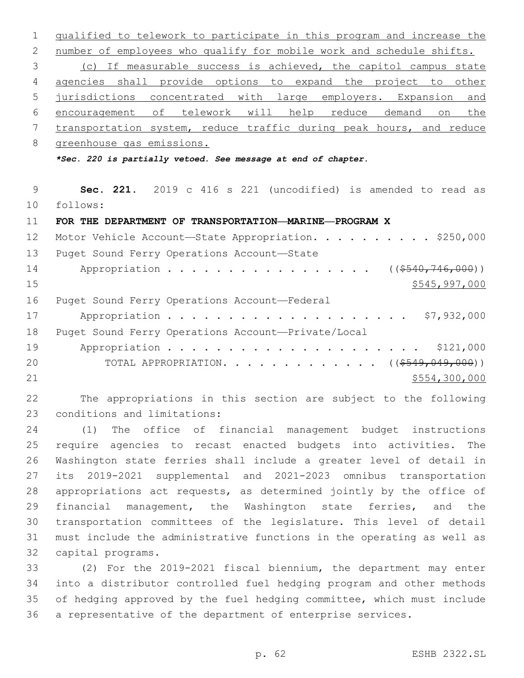qualified to telework to participate in this program and increase the number of employees who qualify for mobile work and schedule shifts. (c) If measurable success is achieved, the capitol campus state agencies shall provide options to expand the project to other jurisdictions concentrated with large employers. Expansion and encouragement of telework will help reduce demand on the transportation system, reduce traffic during peak hours, and reduce greenhouse gas emissions. *\*Sec. 220 is partially vetoed. See message at end of chapter.* **Sec. 221.** 2019 c 416 s 221 (uncodified) is amended to read as

- follows:
- **FOR THE DEPARTMENT OF TRANSPORTATION—MARINE—PROGRAM X**

| 12 | Motor Vehicle Account-State Appropriation. \$250,000 |
|----|------------------------------------------------------|
| 13 | Puget Sound Ferry Operations Account-State           |
| 14 | Appropriation ( $(\frac{\$540, 746, 000}{\$})$ )     |
| 15 | \$545,997,000                                        |
| 16 | Puget Sound Ferry Operations Account-Federal         |
| 17 | \$7,932,000                                          |
| 18 | Puget Sound Ferry Operations Account-Private/Local   |
| 19 |                                                      |
| 20 | TOTAL APPROPRIATION. ( $(\frac{\$549,049,000)}{}$ )  |
| 21 | \$554,300,000                                        |

 The appropriations in this section are subject to the following 23 conditions and limitations:

 (1) The office of financial management budget instructions require agencies to recast enacted budgets into activities. The Washington state ferries shall include a greater level of detail in its 2019-2021 supplemental and 2021-2023 omnibus transportation appropriations act requests, as determined jointly by the office of financial management, the Washington state ferries, and the transportation committees of the legislature. This level of detail must include the administrative functions in the operating as well as 32 capital programs.

 (2) For the 2019-2021 fiscal biennium, the department may enter into a distributor controlled fuel hedging program and other methods of hedging approved by the fuel hedging committee, which must include a representative of the department of enterprise services.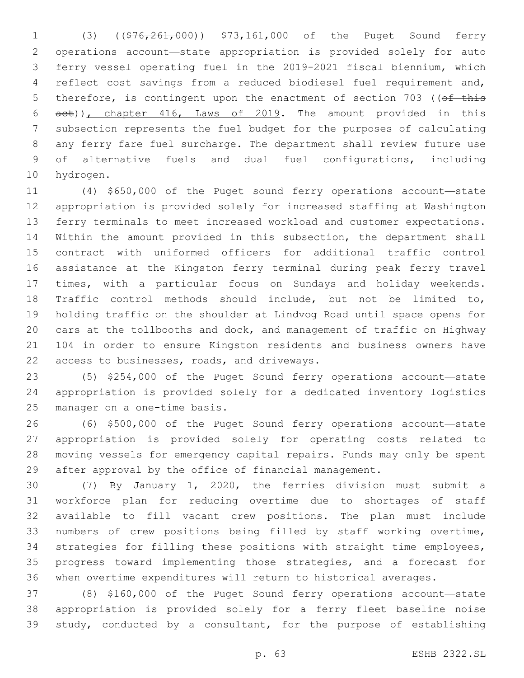1 (3) ((\$76,261,000)) \$73,161,000 of the Puget Sound ferry operations account—state appropriation is provided solely for auto ferry vessel operating fuel in the 2019-2021 fiscal biennium, which reflect cost savings from a reduced biodiesel fuel requirement and, 5 therefore, is contingent upon the enactment of section 703 ((of this act)), chapter 416, Laws of 2019. The amount provided in this subsection represents the fuel budget for the purposes of calculating any ferry fare fuel surcharge. The department shall review future use of alternative fuels and dual fuel configurations, including 10 hydrogen.

 (4) \$650,000 of the Puget sound ferry operations account—state appropriation is provided solely for increased staffing at Washington ferry terminals to meet increased workload and customer expectations. Within the amount provided in this subsection, the department shall contract with uniformed officers for additional traffic control assistance at the Kingston ferry terminal during peak ferry travel times, with a particular focus on Sundays and holiday weekends. Traffic control methods should include, but not be limited to, holding traffic on the shoulder at Lindvog Road until space opens for cars at the tollbooths and dock, and management of traffic on Highway 104 in order to ensure Kingston residents and business owners have 22 access to businesses, roads, and driveways.

 (5) \$254,000 of the Puget Sound ferry operations account—state appropriation is provided solely for a dedicated inventory logistics 25 manager on a one-time basis.

 (6) \$500,000 of the Puget Sound ferry operations account—state appropriation is provided solely for operating costs related to moving vessels for emergency capital repairs. Funds may only be spent after approval by the office of financial management.

 (7) By January 1, 2020, the ferries division must submit a workforce plan for reducing overtime due to shortages of staff available to fill vacant crew positions. The plan must include numbers of crew positions being filled by staff working overtime, strategies for filling these positions with straight time employees, progress toward implementing those strategies, and a forecast for when overtime expenditures will return to historical averages.

 (8) \$160,000 of the Puget Sound ferry operations account—state appropriation is provided solely for a ferry fleet baseline noise study, conducted by a consultant, for the purpose of establishing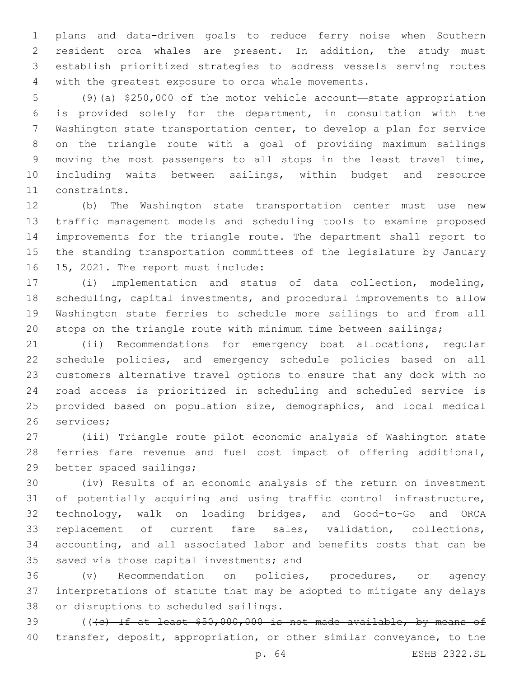plans and data-driven goals to reduce ferry noise when Southern resident orca whales are present. In addition, the study must establish prioritized strategies to address vessels serving routes with the greatest exposure to orca whale movements.

 (9)(a) \$250,000 of the motor vehicle account—state appropriation is provided solely for the department, in consultation with the Washington state transportation center, to develop a plan for service on the triangle route with a goal of providing maximum sailings moving the most passengers to all stops in the least travel time, including waits between sailings, within budget and resource 11 constraints.

 (b) The Washington state transportation center must use new traffic management models and scheduling tools to examine proposed improvements for the triangle route. The department shall report to the standing transportation committees of the legislature by January 16 15, 2021. The report must include:

 (i) Implementation and status of data collection, modeling, scheduling, capital investments, and procedural improvements to allow Washington state ferries to schedule more sailings to and from all stops on the triangle route with minimum time between sailings;

 (ii) Recommendations for emergency boat allocations, regular schedule policies, and emergency schedule policies based on all customers alternative travel options to ensure that any dock with no road access is prioritized in scheduling and scheduled service is provided based on population size, demographics, and local medical 26 services:

 (iii) Triangle route pilot economic analysis of Washington state ferries fare revenue and fuel cost impact of offering additional, 29 better spaced sailings;

 (iv) Results of an economic analysis of the return on investment of potentially acquiring and using traffic control infrastructure, technology, walk on loading bridges, and Good-to-Go and ORCA replacement of current fare sales, validation, collections, accounting, and all associated labor and benefits costs that can be 35 saved via those capital investments; and

 (v) Recommendation on policies, procedures, or agency interpretations of statute that may be adopted to mitigate any delays 38 or disruptions to scheduled sailings.

 (((c) If at least \$50,000,000 is not made available, by means of 40 transfer, deposit, appropriation, or other similar conveyance, to the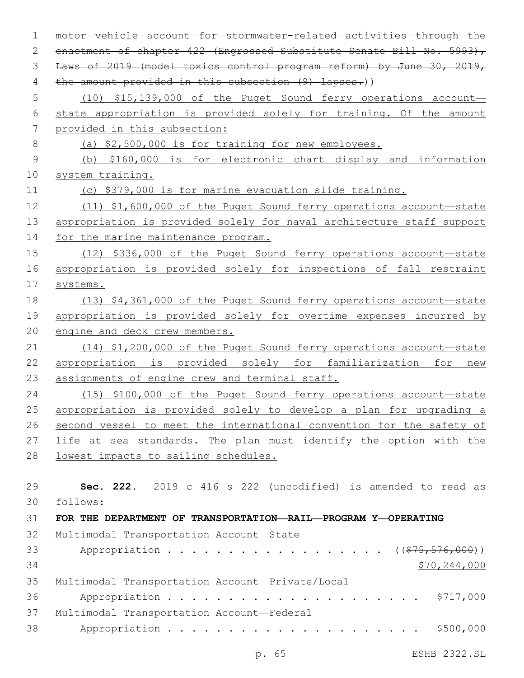motor vehicle account for stormwater-related activities through the 2 enactment of chapter 422 (Engrossed Substitute Senate Bill No. 5993), Laws of 2019 (model toxics control program reform) by June 30, 2019, 4 the amount provided in this subsection (9) lapses.)) (10) \$15,139,000 of the Puget Sound ferry operations account— state appropriation is provided solely for training. Of the amount provided in this subsection: (a) \$2,500,000 is for training for new employees. (b) \$160,000 is for electronic chart display and information system training. (c) \$379,000 is for marine evacuation slide training. (11) \$1,600,000 of the Puget Sound ferry operations account—state appropriation is provided solely for naval architecture staff support for the marine maintenance program. (12) \$336,000 of the Puget Sound ferry operations account—state appropriation is provided solely for inspections of fall restraint systems. (13) \$4,361,000 of the Puget Sound ferry operations account—state appropriation is provided solely for overtime expenses incurred by engine and deck crew members. (14) \$1,200,000 of the Puget Sound ferry operations account—state 22 appropriation is provided solely for familiarization for new 23 assignments of engine crew and terminal staff. (15) \$100,000 of the Puget Sound ferry operations account—state appropriation is provided solely to develop a plan for upgrading a second vessel to meet the international convention for the safety of life at sea standards. The plan must identify the option with the lowest impacts to sailing schedules. **Sec. 222.** 2019 c 416 s 222 (uncodified) is amended to read as follows: **FOR THE DEPARTMENT OF TRANSPORTATION—RAIL—PROGRAM Y—OPERATING** 32 Multimodal Transportation Account-State 33 Appropriation . . . . . . . . . . . . . . . . ((\$75,576,000)) \$70,244,000 35 Multimodal Transportation Account-Private/Local Appropriation . . . . . . . . . . . . . . . . . . . . . \$717,000 37 Multimodal Transportation Account-Federal Appropriation . . . . . . . . . . . . . . . . . . . . . \$500,000

p. 65 ESHB 2322.SL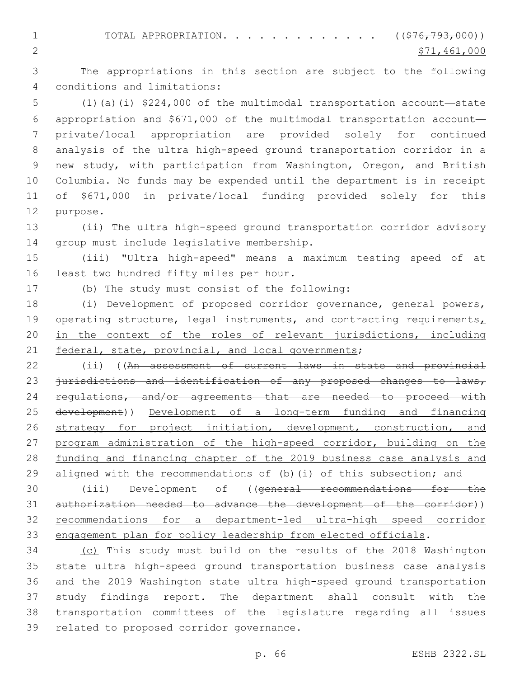1 TOTAL APPROPRIATION. . . . . . . . . . . . ((\$76,793,000)) 2  $\frac{$71,461,000}{ }$ 

 The appropriations in this section are subject to the following conditions and limitations:4

 (1)(a)(i) \$224,000 of the multimodal transportation account—state appropriation and \$671,000 of the multimodal transportation account— private/local appropriation are provided solely for continued analysis of the ultra high-speed ground transportation corridor in a new study, with participation from Washington, Oregon, and British Columbia. No funds may be expended until the department is in receipt of \$671,000 in private/local funding provided solely for this 12 purpose.

 (ii) The ultra high-speed ground transportation corridor advisory 14 group must include legislative membership.

 (iii) "Ultra high-speed" means a maximum testing speed of at 16 least two hundred fifty miles per hour.

17 (b) The study must consist of the following:

 (i) Development of proposed corridor governance, general powers, 19 operating structure, legal instruments, and contracting requirements, in the context of the roles of relevant jurisdictions, including federal, state, provincial, and local governments;

22 (ii) ((An assessment of current laws in state and provincial 23 jurisdictions and identification of any proposed changes to laws, 24 regulations, and/or agreements that are needed to proceed with development)) Development of a long-term funding and financing strategy for project initiation, development, construction, and program administration of the high-speed corridor, building on the funding and financing chapter of the 2019 business case analysis and 29 aligned with the recommendations of (b) (i) of this subsection; and

 (iii) Development of ((general recommendations for the authorization needed to advance the development of the corridor)) recommendations for a department-led ultra-high speed corridor engagement plan for policy leadership from elected officials.

 (c) This study must build on the results of the 2018 Washington state ultra high-speed ground transportation business case analysis and the 2019 Washington state ultra high-speed ground transportation study findings report. The department shall consult with the transportation committees of the legislature regarding all issues 39 related to proposed corridor governance.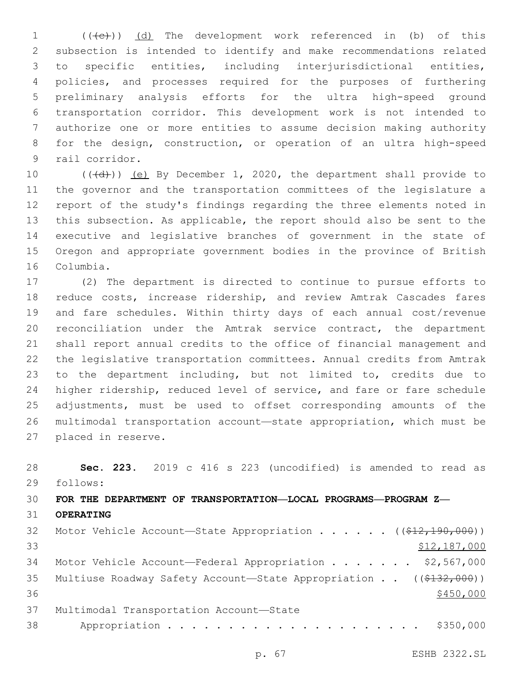(( $\left(\overline{e}\right)$ ) (d) The development work referenced in (b) of this subsection is intended to identify and make recommendations related to specific entities, including interjurisdictional entities, policies, and processes required for the purposes of furthering preliminary analysis efforts for the ultra high-speed ground transportation corridor. This development work is not intended to authorize one or more entities to assume decision making authority for the design, construction, or operation of an ultra high-speed 9 rail corridor.

10 (((d))) (e) By December 1, 2020, the department shall provide to the governor and the transportation committees of the legislature a report of the study's findings regarding the three elements noted in this subsection. As applicable, the report should also be sent to the executive and legislative branches of government in the state of Oregon and appropriate government bodies in the province of British 16 Columbia.

 (2) The department is directed to continue to pursue efforts to reduce costs, increase ridership, and review Amtrak Cascades fares and fare schedules. Within thirty days of each annual cost/revenue reconciliation under the Amtrak service contract, the department shall report annual credits to the office of financial management and the legislative transportation committees. Annual credits from Amtrak to the department including, but not limited to, credits due to higher ridership, reduced level of service, and fare or fare schedule adjustments, must be used to offset corresponding amounts of the multimodal transportation account—state appropriation, which must be 27 placed in reserve.

 **Sec. 223.** 2019 c 416 s 223 (uncodified) is amended to read as follows: **FOR THE DEPARTMENT OF TRANSPORTATION—LOCAL PROGRAMS—PROGRAM Z— OPERATING** 32 Motor Vehicle Account—State Appropriation . . . . . ((\$12,190,000)) 33 \$12,187,000 Motor Vehicle Account—Federal Appropriation . . . . . . . \$2,567,000 35 Multiuse Roadway Safety Account—State Appropriation . . ((\$132,000)) 37 Multimodal Transportation Account-State Appropriation . . . . . . . . . . . . . . . . . . . . . \$350,000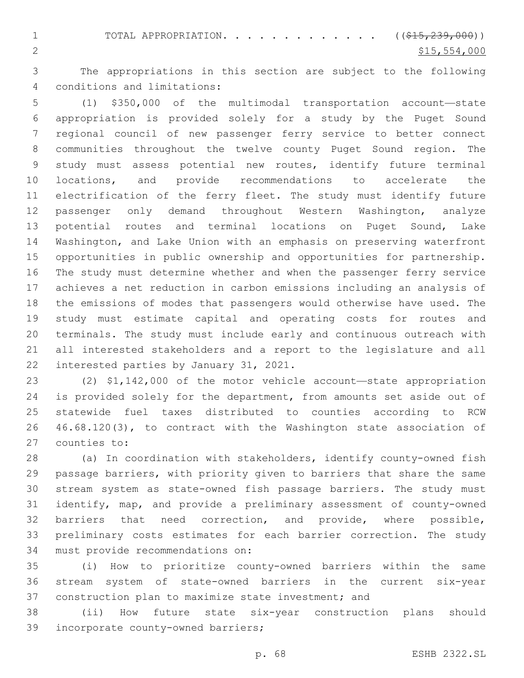1 TOTAL APPROPRIATION. . . . . . . . . . . . ((\$15,239,000)) 2  $\frac{$15,554,000}{ }$ 

 The appropriations in this section are subject to the following conditions and limitations:4

 (1) \$350,000 of the multimodal transportation account—state appropriation is provided solely for a study by the Puget Sound regional council of new passenger ferry service to better connect communities throughout the twelve county Puget Sound region. The study must assess potential new routes, identify future terminal locations, and provide recommendations to accelerate the electrification of the ferry fleet. The study must identify future passenger only demand throughout Western Washington, analyze 13 potential routes and terminal locations on Puget Sound, Lake Washington, and Lake Union with an emphasis on preserving waterfront opportunities in public ownership and opportunities for partnership. The study must determine whether and when the passenger ferry service achieves a net reduction in carbon emissions including an analysis of the emissions of modes that passengers would otherwise have used. The study must estimate capital and operating costs for routes and terminals. The study must include early and continuous outreach with all interested stakeholders and a report to the legislature and all 22 interested parties by January 31, 2021.

 (2) \$1,142,000 of the motor vehicle account—state appropriation 24 is provided solely for the department, from amounts set aside out of statewide fuel taxes distributed to counties according to RCW 46.68.120(3), to contract with the Washington state association of 27 counties to:

 (a) In coordination with stakeholders, identify county-owned fish passage barriers, with priority given to barriers that share the same stream system as state-owned fish passage barriers. The study must identify, map, and provide a preliminary assessment of county-owned barriers that need correction, and provide, where possible, preliminary costs estimates for each barrier correction. The study 34 must provide recommendations on:

 (i) How to prioritize county-owned barriers within the same stream system of state-owned barriers in the current six-year construction plan to maximize state investment; and

 (ii) How future state six-year construction plans should 39 incorporate county-owned barriers;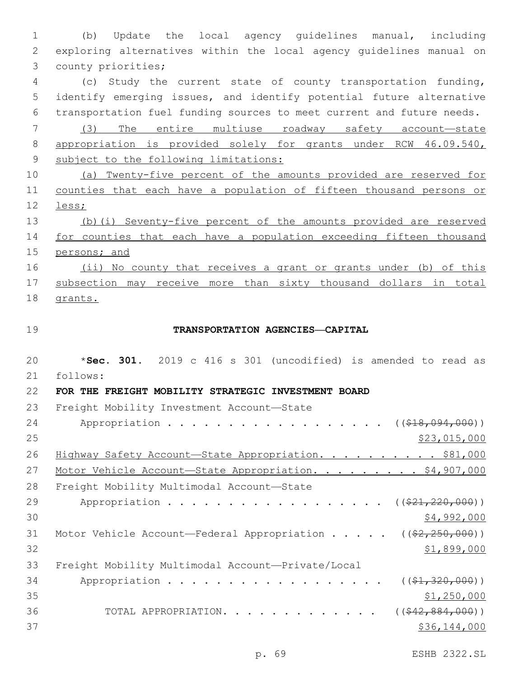(b) Update the local agency guidelines manual, including exploring alternatives within the local agency guidelines manual on 3 county priorities;

 (c) Study the current state of county transportation funding, identify emerging issues, and identify potential future alternative transportation fuel funding sources to meet current and future needs.

 (3) The entire multiuse roadway safety account—state appropriation is provided solely for grants under RCW 46.09.540, subject to the following limitations:

 (a) Twenty-five percent of the amounts provided are reserved for counties that each have a population of fifteen thousand persons or less;

 (b)(i) Seventy-five percent of the amounts provided are reserved for counties that each have a population exceeding fifteen thousand persons; and

16 (ii) No county that receives a grant or grants under (b) of this subsection may receive more than sixty thousand dollars in total grants.

### **TRANSPORTATION AGENCIES—CAPITAL**

 \***Sec. 301.** 2019 c 416 s 301 (uncodified) is amended to read as follows: **FOR THE FREIGHT MOBILITY STRATEGIC INVESTMENT BOARD** 23 Freight Mobility Investment Account-State 24 Appropriation . . . . . . . . . . . . . . . . (  $(\frac{218,094,000}{1})$ 25 \$23,015,000 26 Highway Safety Account—State Appropriation. . . . . . . . . \$81,000 27 Motor Vehicle Account-State Appropriation. . . . . . . . \$4,907,000 28 Freight Mobility Multimodal Account-State 29 Appropriation . . . . . . . . . . . . . . . . (  $(\frac{221,220,000)}{}$  $\frac{1}{2}4,992,000$ 31 Motor Vehicle Account—Federal Appropriation . . . .  $($   $(*2, 250, 000) )$  \$1,899,000 33 Freight Mobility Multimodal Account-Private/Local 34 Appropriation . . . . . . . . . . . . . . . . (  $(\frac{21}{320000})$ )  $\frac{$1,250,000}{2}$ 36 TOTAL APPROPRIATION. . . . . . . . . . . . . ((\$42,884,000)) \$36,144,000

p. 69 ESHB 2322.SL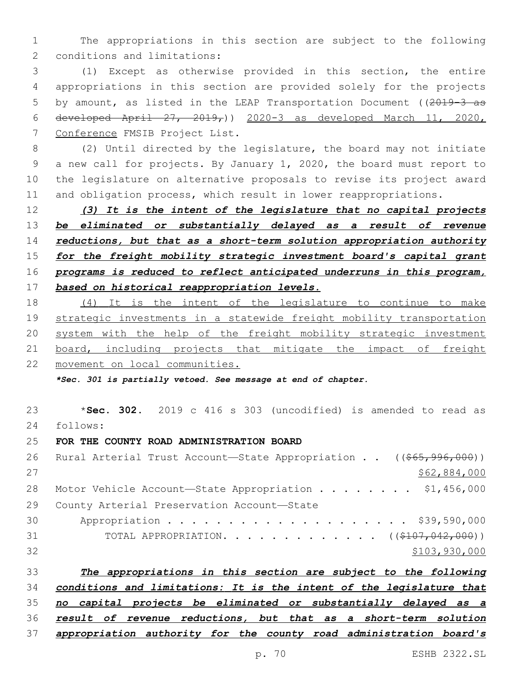The appropriations in this section are subject to the following 2 conditions and limitations:

 (1) Except as otherwise provided in this section, the entire appropriations in this section are provided solely for the projects 5 by amount, as listed in the LEAP Transportation Document ((2019-3 as 6 developed April  $27, 2019,$ ) 2020-3 as developed March 11, 2020, 7 Conference FMSIB Project List.

 (2) Until directed by the legislature, the board may not initiate a new call for projects. By January 1, 2020, the board must report to the legislature on alternative proposals to revise its project award and obligation process, which result in lower reappropriations.

 *(3) It is the intent of the legislature that no capital projects be eliminated or substantially delayed as a result of revenue reductions, but that as a short-term solution appropriation authority for the freight mobility strategic investment board's capital grant programs is reduced to reflect anticipated underruns in this program, based on historical reappropriation levels.*

 (4) It is the intent of the legislature to continue to make strategic investments in a statewide freight mobility transportation system with the help of the freight mobility strategic investment 21 board, including projects that mitigate the impact of freight movement on local communities.

*\*Sec. 301 is partially vetoed. See message at end of chapter.*

 \***Sec. 302.** 2019 c 416 s 303 (uncodified) is amended to read as follows: **FOR THE COUNTY ROAD ADMINISTRATION BOARD** 26 Rural Arterial Trust Account—State Appropriation . . ((\$65,996,000)) \$62,884,000 28 Motor Vehicle Account—State Appropriation . . . . . . . \$1,456,000 29 County Arterial Preservation Account-State Appropriation . . . . . . . . . . . . . . . . . . . . \$39,590,000 31 TOTAL APPROPRIATION. . . . . . . . . . . . . ((\$107,042,000)) \$103,930,000

 *The appropriations in this section are subject to the following conditions and limitations: It is the intent of the legislature that no capital projects be eliminated or substantially delayed as a result of revenue reductions, but that as a short-term solution appropriation authority for the county road administration board's*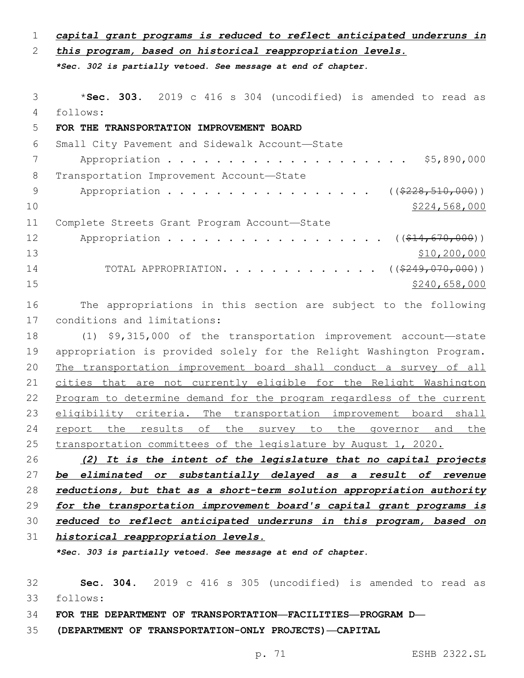| $\mathbf 1$ | capital grant programs is reduced to reflect anticipated underruns in |
|-------------|-----------------------------------------------------------------------|
| 2           | this program, based on historical reappropriation levels.             |
|             | *Sec. 302 is partially vetoed. See message at end of chapter.         |
|             |                                                                       |
| 3           | *Sec. 303. 2019 c 416 s 304 (uncodified) is amended to read as        |
| 4           | follows:                                                              |
| 5           | FOR THE TRANSPORTATION IMPROVEMENT BOARD                              |
| 6           | Small City Pavement and Sidewalk Account-State                        |
| 7           | \$5,890,000                                                           |
| 8           | Transportation Improvement Account-State                              |
| 9           | Appropriation<br>$((\$228, 510, 000))$                                |
| 10          | \$224,568,000                                                         |
| 11          | Complete Streets Grant Program Account-State                          |
| 12          | Appropriation<br>$((\$14, 670, 000))$                                 |
| 13          | \$10, 200, 000                                                        |
| 14          | ( ( \$249, 070, 000) )<br>TOTAL APPROPRIATION.                        |
| 15          | \$240,658,000                                                         |
| 16          | The appropriations in this section are subject to the following       |
| 17          | conditions and limitations:                                           |
| 18          | (1) \$9,315,000 of the transportation improvement account-state       |
| 19          | appropriation is provided solely for the Relight Washington Program.  |
| 20          | The transportation improvement board shall conduct a survey of all    |
| 21          | cities that are not currently eligible for the Relight Washington     |
| 22          | Program to determine demand for the program regardless of the current |
| 23          | eligibility criteria. The transportation improvement board<br>shall   |
| 24          | the results of the survey to the governor and<br>report<br><u>the</u> |
| 25          | transportation committees of the legislature by August 1, 2020.       |
| 26          | (2) It is the intent of the legislature that no capital projects      |
| 27          | be eliminated or substantially delayed as a result of revenue         |
| 28          | reductions, but that as a short-term solution appropriation authority |
| 29          | for the transportation improvement board's capital grant programs is  |
|             |                                                                       |

*reduced to reflect anticipated underruns in this program, based on*

*historical reappropriation levels.*

*\*Sec. 303 is partially vetoed. See message at end of chapter.*

 **Sec. 304.** 2019 c 416 s 305 (uncodified) is amended to read as follows:

**FOR THE DEPARTMENT OF TRANSPORTATION—FACILITIES—PROGRAM D—**

**(DEPARTMENT OF TRANSPORTATION-ONLY PROJECTS)—CAPITAL**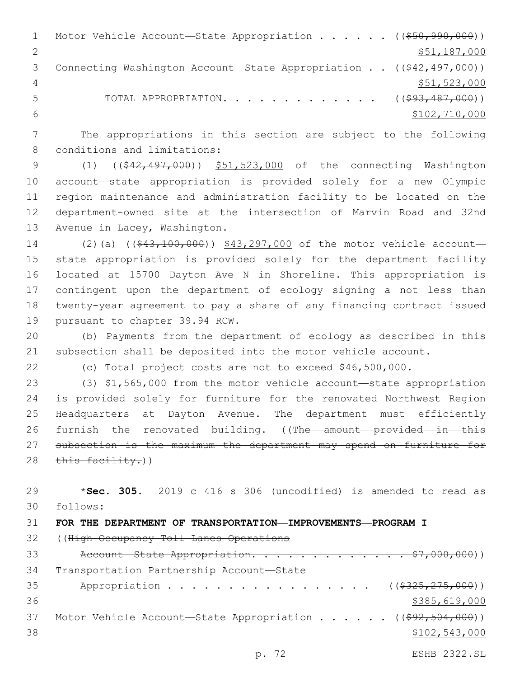1 Motor Vehicle Account—State Appropriation . . . . . . ((\$50,990,000)) \$51,187,000 3 Connecting Washington Account—State Appropriation . . ((\$42,497,000)) \$51,523,000 5 TOTAL APPROPRIATION. . . . . . . . . . . . . ((\$93,487,000)) \$102,710,000

 The appropriations in this section are subject to the following 8 conditions and limitations:

 (1) ((\$42,497,000)) \$51,523,000 of the connecting Washington account—state appropriation is provided solely for a new Olympic region maintenance and administration facility to be located on the department-owned site at the intersection of Marvin Road and 32nd 13 Avenue in Lacey, Washington.

14 (2)(a) ((\$43,100,000)) \$43,297,000 of the motor vehicle account- state appropriation is provided solely for the department facility located at 15700 Dayton Ave N in Shoreline. This appropriation is contingent upon the department of ecology signing a not less than twenty-year agreement to pay a share of any financing contract issued 19 pursuant to chapter 39.94 RCW.

 (b) Payments from the department of ecology as described in this subsection shall be deposited into the motor vehicle account.

(c) Total project costs are not to exceed \$46,500,000.

 (3) \$1,565,000 from the motor vehicle account—state appropriation is provided solely for furniture for the renovated Northwest Region Headquarters at Dayton Avenue. The department must efficiently 26 furnish the renovated building. ((The amount provided in this subsection is the maximum the department may spend on furniture for this facility.)

 \***Sec. 305.** 2019 c 416 s 306 (uncodified) is amended to read as follows:

```
31 FOR THE DEPARTMENT OF TRANSPORTATION—IMPROVEMENTS—PROGRAM I
```
((High Occupancy Toll Lanes Operations

33 Account State Appropriation. . . . . . . . . . . . \$7,000,000)) 34 Transportation Partnership Account-State 35 Appropriation . . . . . . . . . . . . . . . . ((\$325,275,000))  $$385,619,000$ 37 Motor Vehicle Account-State Appropriation . . . . . ((\$92,504,000)) \$102,543,000

p. 72 ESHB 2322.SL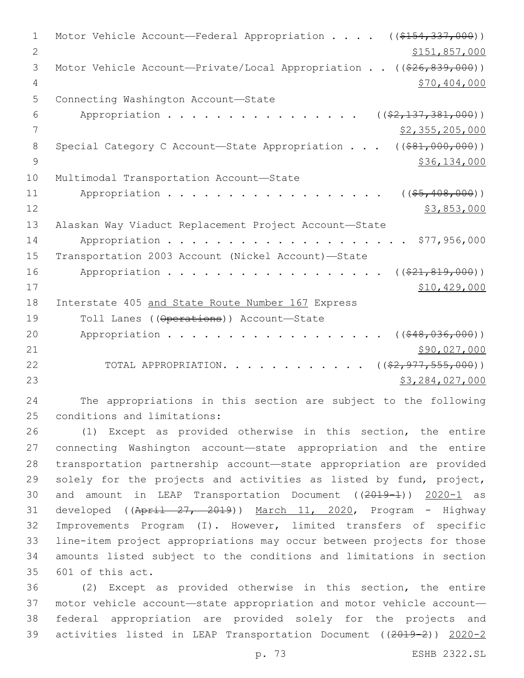1 Motor Vehicle Account—Federal Appropriation . . . ((\$154,337,000)) 2 \$151,857,000 3 Motor Vehicle Account—Private/Local Appropriation . . ((\$26,839,000)) 4 \$70,404,000 5 Connecting Washington Account-State 6 Appropriation . . . . . . . . . . . . . . .  $($  $($  $$\frac{27.137.381.000}{2})$$ 7 \$2,355,205,000 8 Special Category C Account—State Appropriation . . . ((\$81,000,000))  $9$  \$36,134,000 10 Multimodal Transportation Account-State 11 Appropriation . . . . . . . . . . . . . . . . ((\$5,408,000))  $12$  \$3,853,000 13 Alaskan Way Viaduct Replacement Project Account—State 14 Appropriation . . . . . . . . . . . . . . . . . . \$77,956,000 15 Transportation 2003 Account (Nickel Account)—State 16 Appropriation . . . . . . . . . . . . . . . . (  $(*21,819,000)$  ) 17 \$10,429,000 18 Interstate 405 and State Route Number 167 Express 19 Toll Lanes ((Operations)) Account—State 20 Appropriation . . . . . . . . . . . . . . . . (  $($  \$48,036,000)) 21 \$90,027,000 \$90,027,000 22 TOTAL APPROPRIATION. . . . . . . . . . . ((\$2,977,555,000))  $23$   $53,284,027,000$ 

24 The appropriations in this section are subject to the following 25 conditions and limitations:

26 (1) Except as provided otherwise in this section, the entire 27 connecting Washington account—state appropriation and the entire 28 transportation partnership account—state appropriation are provided 29 solely for the projects and activities as listed by fund, project, 30 and amount in LEAP Transportation Document ((2019-1)) 2020-1 as 31 developed ((April 27, 2019)) March 11, 2020, Program - Highway 32 Improvements Program (I). However, limited transfers of specific 33 line-item project appropriations may occur between projects for those 34 amounts listed subject to the conditions and limitations in section 35 601 of this act.

 (2) Except as provided otherwise in this section, the entire motor vehicle account—state appropriation and motor vehicle account— federal appropriation are provided solely for the projects and activities listed in LEAP Transportation Document ((2019-2)) 2020-2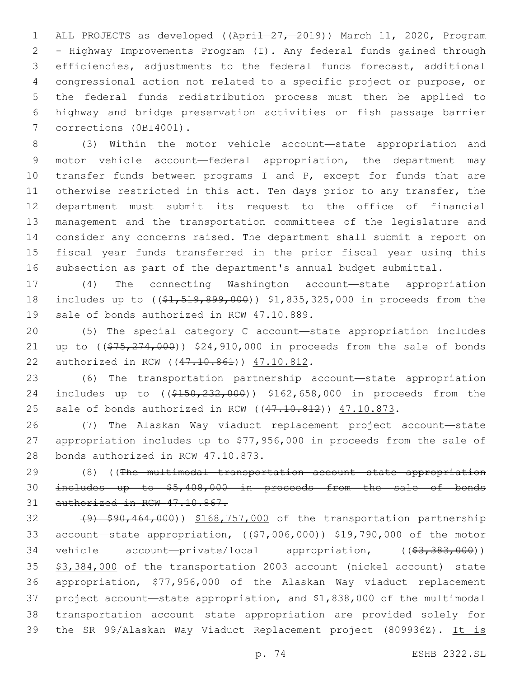ALL PROJECTS as developed ((April 27, 2019)) March 11, 2020, Program - Highway Improvements Program (I). Any federal funds gained through efficiencies, adjustments to the federal funds forecast, additional congressional action not related to a specific project or purpose, or the federal funds redistribution process must then be applied to highway and bridge preservation activities or fish passage barrier 7 corrections (0BI4001).

 (3) Within the motor vehicle account—state appropriation and motor vehicle account—federal appropriation, the department may 10 transfer funds between programs I and P, except for funds that are 11 otherwise restricted in this act. Ten days prior to any transfer, the department must submit its request to the office of financial management and the transportation committees of the legislature and consider any concerns raised. The department shall submit a report on fiscal year funds transferred in the prior fiscal year using this subsection as part of the department's annual budget submittal.

 (4) The connecting Washington account—state appropriation 18 includes up to ( $(\frac{1}{2}, \frac{519}{60}, \frac{899}{600})$ ) \$1,835,325,000 in proceeds from the 19 sale of bonds authorized in RCW 47.10.889.

 (5) The special category C account—state appropriation includes 21 up to ((\$75,274,000)) \$24,910,000 in proceeds from the sale of bonds 22 authorized in RCW ((47.10.861)) 47.10.812.

 (6) The transportation partnership account—state appropriation 24 includes up to ((\$150,232,000)) \$162,658,000 in proceeds from the 25 sale of bonds authorized in RCW ((47.10.812)) 47.10.873.

 (7) The Alaskan Way viaduct replacement project account—state appropriation includes up to \$77,956,000 in proceeds from the sale of 28 bonds authorized in RCW 47.10.873.

 (8) ((The multimodal transportation account—state appropriation includes up to \$5,408,000 in proceeds from the sale of bonds 31 authorized in RCW 47.10.867.

32 (9) \$90,464,000)) \$168,757,000 of the transportation partnership 33 account—state appropriation,  $((\$7,006,000))$   $\$19,790,000$  of the motor 34 vehicle account—private/local appropriation, ((\$3,383,000)) \$3,384,000 of the transportation 2003 account (nickel account)—state appropriation, \$77,956,000 of the Alaskan Way viaduct replacement project account—state appropriation, and \$1,838,000 of the multimodal transportation account—state appropriation are provided solely for the SR 99/Alaskan Way Viaduct Replacement project (809936Z). It is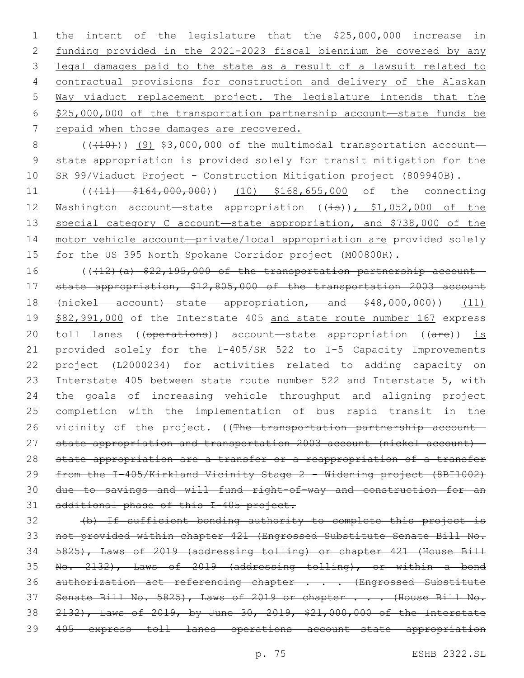1 the intent of the legislature that the \$25,000,000 increase in funding provided in the 2021-2023 fiscal biennium be covered by any legal damages paid to the state as a result of a lawsuit related to contractual provisions for construction and delivery of the Alaskan Way viaduct replacement project. The legislature intends that the \$25,000,000 of the transportation partnership account—state funds be 7 repaid when those damages are recovered.

 ( $(\overline{+10})$ ) (9) \$3,000,000 of the multimodal transportation account— state appropriation is provided solely for transit mitigation for the SR 99/Viaduct Project - Construction Mitigation project (809940B).

11 (( $(11)$   $$164,000,000)$ ) (10) \$168,655,000 of the connecting 12 Washington account—state appropriation ((is)), \$1,052,000 of the 13 special category C account-state appropriation, and \$738,000 of the motor vehicle account—private/local appropriation are provided solely for the US 395 North Spokane Corridor project (M00800R).

16 (((12)(a) \$22,195,000 of the transportation partnership account- state appropriation, \$12,805,000 of the transportation 2003 account (nickel account)—state appropriation, and \$48,000,000)) (11) \$82,991,000 of the Interstate 405 and state route number 167 express 20 toll lanes ((operations)) account—state appropriation ((are)) is provided solely for the I-405/SR 522 to I-5 Capacity Improvements project (L2000234) for activities related to adding capacity on Interstate 405 between state route number 522 and Interstate 5, with the goals of increasing vehicle throughput and aligning project completion with the implementation of bus rapid transit in the 26 vicinity of the project. ((The transportation partnership account- state appropriation and transportation 2003 account (nickel account)— state appropriation are a transfer or a reappropriation of a transfer from the I-405/Kirkland Vicinity Stage 2 - Widening project (8BI1002) due to savings and will fund right-of-way and construction for an additional phase of this I-405 project.

 (b) If sufficient bonding authority to complete this project is not provided within chapter 421 (Engrossed Substitute Senate Bill No. 5825), Laws of 2019 (addressing tolling) or chapter 421 (House Bill No. 2132), Laws of 2019 (addressing tolling), or within a bond 36 authorization act referencing chapter . . . (Engrossed Substitute 37 Senate Bill No. 5825), Laws of 2019 or chapter . . . (House Bill No. 2132), Laws of 2019, by June 30, 2019, \$21,000,000 of the Interstate 405 express toll lanes operations account—state appropriation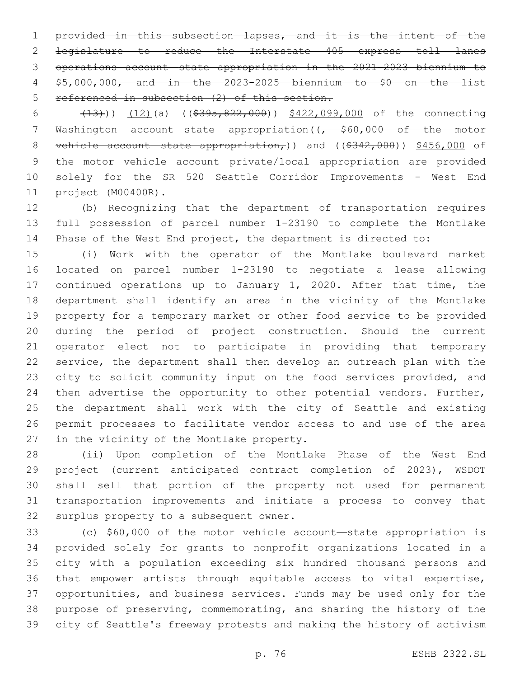provided in this subsection lapses, and it is the intent of the legislature to reduce the Interstate 405 express toll lanes operations account—state appropriation in the 2021-2023 biennium to \$5,000,000, and in the 2023-2025 biennium to \$0 on the list referenced in subsection (2) of this section.

 (13))) (12)(a) ((\$395,822,000)) \$422,099,000 of the connecting 7 Washington account—state appropriation((, \$60,000 of the motor 8 vehicle account—state appropriation,)) and  $($   $(*342,000)$   $)$   $*456,000$  of the motor vehicle account—private/local appropriation are provided solely for the SR 520 Seattle Corridor Improvements - West End project (M00400R).11

 (b) Recognizing that the department of transportation requires full possession of parcel number 1-23190 to complete the Montlake Phase of the West End project, the department is directed to:

 (i) Work with the operator of the Montlake boulevard market located on parcel number 1-23190 to negotiate a lease allowing 17 continued operations up to January 1, 2020. After that time, the department shall identify an area in the vicinity of the Montlake property for a temporary market or other food service to be provided during the period of project construction. Should the current operator elect not to participate in providing that temporary service, the department shall then develop an outreach plan with the 23 city to solicit community input on the food services provided, and 24 then advertise the opportunity to other potential vendors. Further, the department shall work with the city of Seattle and existing permit processes to facilitate vendor access to and use of the area 27 in the vicinity of the Montlake property.

 (ii) Upon completion of the Montlake Phase of the West End project (current anticipated contract completion of 2023), WSDOT shall sell that portion of the property not used for permanent transportation improvements and initiate a process to convey that 32 surplus property to a subsequent owner.

 (c) \$60,000 of the motor vehicle account—state appropriation is provided solely for grants to nonprofit organizations located in a city with a population exceeding six hundred thousand persons and that empower artists through equitable access to vital expertise, opportunities, and business services. Funds may be used only for the purpose of preserving, commemorating, and sharing the history of the city of Seattle's freeway protests and making the history of activism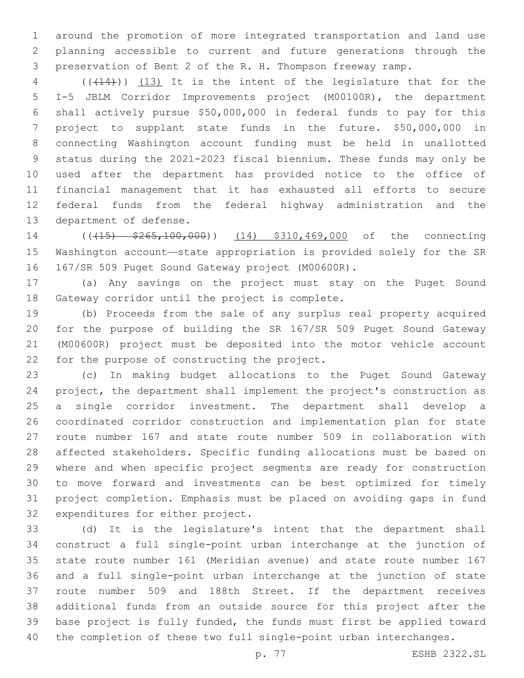around the promotion of more integrated transportation and land use planning accessible to current and future generations through the preservation of Bent 2 of the R. H. Thompson freeway ramp.

 (((14))) (13) It is the intent of the legislature that for the I-5 JBLM Corridor Improvements project (M00100R), the department shall actively pursue \$50,000,000 in federal funds to pay for this project to supplant state funds in the future. \$50,000,000 in connecting Washington account funding must be held in unallotted status during the 2021-2023 fiscal biennium. These funds may only be used after the department has provided notice to the office of financial management that it has exhausted all efforts to secure federal funds from the federal highway administration and the 13 department of defense.

14 (( $(15)$  \$265,100,000)) (14) \$310,469,000 of the connecting Washington account—state appropriation is provided solely for the SR 16 167/SR 509 Puget Sound Gateway project (M00600R).

 (a) Any savings on the project must stay on the Puget Sound 18 Gateway corridor until the project is complete.

 (b) Proceeds from the sale of any surplus real property acquired for the purpose of building the SR 167/SR 509 Puget Sound Gateway (M00600R) project must be deposited into the motor vehicle account 22 for the purpose of constructing the project.

 (c) In making budget allocations to the Puget Sound Gateway project, the department shall implement the project's construction as a single corridor investment. The department shall develop a coordinated corridor construction and implementation plan for state route number 167 and state route number 509 in collaboration with affected stakeholders. Specific funding allocations must be based on where and when specific project segments are ready for construction to move forward and investments can be best optimized for timely project completion. Emphasis must be placed on avoiding gaps in fund 32 expenditures for either project.

 (d) It is the legislature's intent that the department shall construct a full single-point urban interchange at the junction of state route number 161 (Meridian avenue) and state route number 167 and a full single-point urban interchange at the junction of state route number 509 and 188th Street. If the department receives additional funds from an outside source for this project after the base project is fully funded, the funds must first be applied toward the completion of these two full single-point urban interchanges.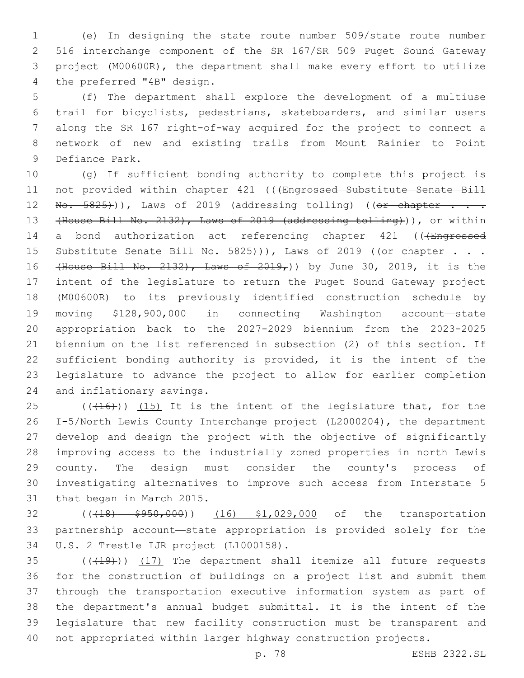(e) In designing the state route number 509/state route number 516 interchange component of the SR 167/SR 509 Puget Sound Gateway project (M00600R), the department shall make every effort to utilize 4 the preferred "4B" design.

 (f) The department shall explore the development of a multiuse trail for bicyclists, pedestrians, skateboarders, and similar users along the SR 167 right-of-way acquired for the project to connect a network of new and existing trails from Mount Rainier to Point 9 Defiance Park.

 (g) If sufficient bonding authority to complete this project is 11 not provided within chapter 421 ((4Engrossed Substitute Senate Bill  $\text{No. } 5825)$ )), Laws of 2019 (addressing tolling) (( $\text{or } \text{chapters } \ldots$  (House Bill No. 2132), Laws of 2019 (addressing tolling))), or within 14 a bond authorization act referencing chapter 421 (((Engrossed 15 Substitute Senate Bill No. 5825+)), Laws of 2019 ((or chapter . . . 16 (House Bill No. 2132), Laws of  $2019<sub>r</sub>$ ) by June 30, 2019, it is the intent of the legislature to return the Puget Sound Gateway project (M00600R) to its previously identified construction schedule by moving \$128,900,000 in connecting Washington account—state appropriation back to the 2027-2029 biennium from the 2023-2025 biennium on the list referenced in subsection (2) of this section. If sufficient bonding authority is provided, it is the intent of the legislature to advance the project to allow for earlier completion 24 and inflationary savings.

 $(16)$  ( $(16)$ )) (15) It is the intent of the legislature that, for the I-5/North Lewis County Interchange project (L2000204), the department develop and design the project with the objective of significantly improving access to the industrially zoned properties in north Lewis county. The design must consider the county's process of investigating alternatives to improve such access from Interstate 5 31 that began in March 2015.

32 ((418)  $\frac{1}{5}950,000$ ) (16) \$1,029,000 of the transportation partnership account—state appropriation is provided solely for the 34 U.S. 2 Trestle IJR project (L1000158).

 $(1, 19)$  (17) The department shall itemize all future requests for the construction of buildings on a project list and submit them through the transportation executive information system as part of the department's annual budget submittal. It is the intent of the legislature that new facility construction must be transparent and not appropriated within larger highway construction projects.

p. 78 ESHB 2322.SL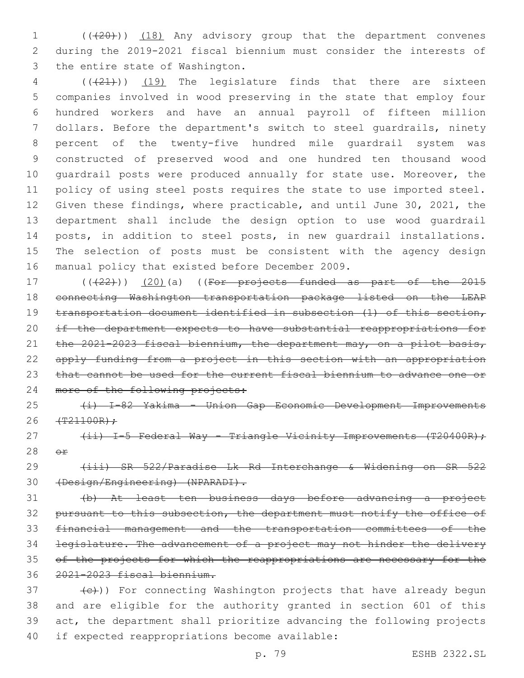1 (( $(20)$ )) (18) Any advisory group that the department convenes during the 2019-2021 fiscal biennium must consider the interests of 3 the entire state of Washington.

 (((21))) (19) The legislature finds that there are sixteen companies involved in wood preserving in the state that employ four hundred workers and have an annual payroll of fifteen million dollars. Before the department's switch to steel guardrails, ninety percent of the twenty-five hundred mile guardrail system was constructed of preserved wood and one hundred ten thousand wood guardrail posts were produced annually for state use. Moreover, the policy of using steel posts requires the state to use imported steel. Given these findings, where practicable, and until June 30, 2021, the department shall include the design option to use wood guardrail 14 posts, in addition to steel posts, in new quardrail installations. The selection of posts must be consistent with the agency design 16 manual policy that existed before December 2009.

 $((22))$   $(20)$  (a) ((For projects funded as part of the 2015 connecting Washington transportation package listed on the LEAP 19 transportation document identified in subsection (1) of this section, if the department expects to have substantial reappropriations for 21 the 2021-2023 fiscal biennium, the department may, on a pilot basis, 22 apply funding from a project in this section with an appropriation 23 that cannot be used for the current fiscal biennium to advance one or 24 more of the following projects:

 (i) I-82 Yakima - Union Gap Economic Development Improvements (T21100R);

27 (ii) I-5 Federal Way - Triangle Vicinity Improvements (T20400R);  $\Theta$  $\mathbf{r}$ 

 (iii) SR 522/Paradise Lk Rd Interchange & Widening on SR 522 (Design/Engineering) (NPARADI).

 (b) At least ten business days before advancing a project 32 pursuant to this subsection, the department must notify the office of financial management and the transportation committees of the legislature. The advancement of a project may not hinder the delivery 35 of the projects for which the reappropriations are necessary for the 2021-2023 fiscal biennium.

 $\left\{\frac{c}{c}\right\}$ ) For connecting Washington projects that have already begun and are eligible for the authority granted in section 601 of this act, the department shall prioritize advancing the following projects 40 if expected reappropriations become available: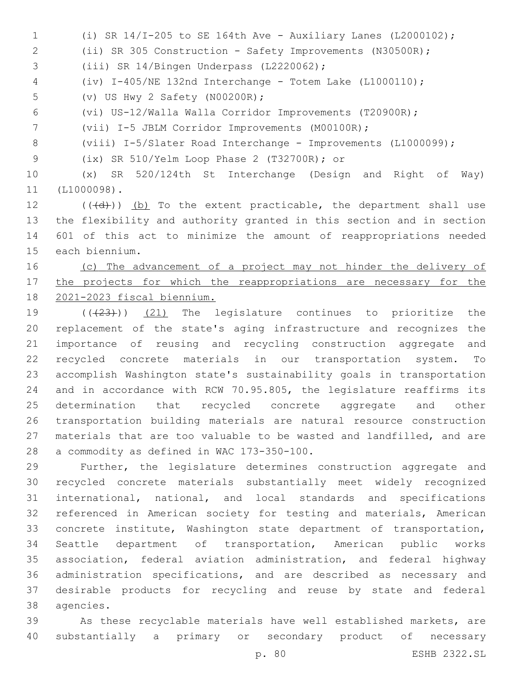(ii) SR 305 Construction - Safety Improvements (N30500R); 3 (iii) SR 14/Bingen Underpass (L2220062); (iv) I-405/NE 132nd Interchange - Totem Lake (L1000110); 5 (v) US Hwy 2 Safety (N00200R); (vi) US-12/Walla Walla Corridor Improvements (T20900R); (vii) I-5 JBLM Corridor Improvements (M00100R);

(i) SR 14/I-205 to SE 164th Ave - Auxiliary Lanes (L2000102);

8 (viii) I-5/Slater Road Interchange - Improvements (L1000099);

(ix) SR 510/Yelm Loop Phase 2 (T32700R); or9

 (x) SR 520/124th St Interchange (Design and Right of Way) 11 (L1000098).

 (( $\left(\frac{d}{d}\right)$ ) (b) To the extent practicable, the department shall use the flexibility and authority granted in this section and in section 601 of this act to minimize the amount of reappropriations needed 15 each biennium.

 (c) The advancement of a project may not hinder the delivery of 17 the projects for which the reappropriations are necessary for the 2021-2023 fiscal biennium.

 $((+23))$   $(21)$  The legislature continues to prioritize the replacement of the state's aging infrastructure and recognizes the importance of reusing and recycling construction aggregate and recycled concrete materials in our transportation system. To accomplish Washington state's sustainability goals in transportation and in accordance with RCW 70.95.805, the legislature reaffirms its determination that recycled concrete aggregate and other transportation building materials are natural resource construction materials that are too valuable to be wasted and landfilled, and are 28 a commodity as defined in WAC 173-350-100.

 Further, the legislature determines construction aggregate and recycled concrete materials substantially meet widely recognized international, national, and local standards and specifications referenced in American society for testing and materials, American concrete institute, Washington state department of transportation, Seattle department of transportation, American public works association, federal aviation administration, and federal highway administration specifications, and are described as necessary and desirable products for recycling and reuse by state and federal 38 agencies.

 As these recyclable materials have well established markets, are substantially a primary or secondary product of necessary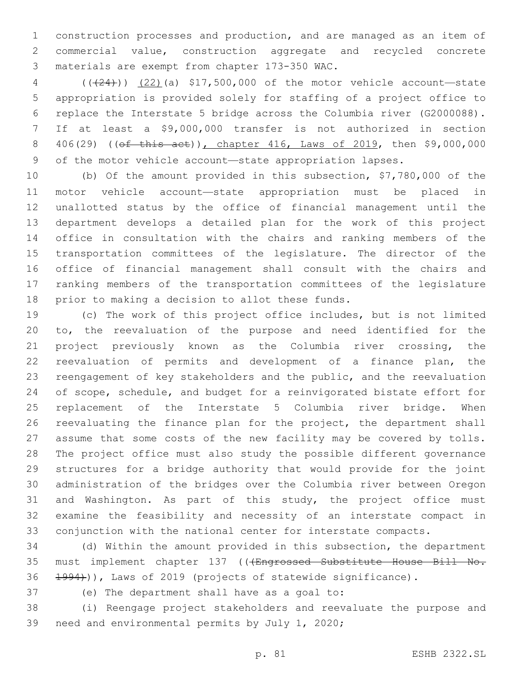construction processes and production, and are managed as an item of commercial value, construction aggregate and recycled concrete 3 materials are exempt from chapter 173-350 WAC.

 (((24))) (22)(a) \$17,500,000 of the motor vehicle account—state appropriation is provided solely for staffing of a project office to replace the Interstate 5 bridge across the Columbia river (G2000088). If at least a \$9,000,000 transfer is not authorized in section 8 406(29) ((of this act)), chapter 416, Laws of 2019, then \$9,000,000 of the motor vehicle account—state appropriation lapses.

 (b) Of the amount provided in this subsection, \$7,780,000 of the motor vehicle account—state appropriation must be placed in unallotted status by the office of financial management until the department develops a detailed plan for the work of this project office in consultation with the chairs and ranking members of the transportation committees of the legislature. The director of the office of financial management shall consult with the chairs and ranking members of the transportation committees of the legislature 18 prior to making a decision to allot these funds.

 (c) The work of this project office includes, but is not limited to, the reevaluation of the purpose and need identified for the project previously known as the Columbia river crossing, the reevaluation of permits and development of a finance plan, the reengagement of key stakeholders and the public, and the reevaluation of scope, schedule, and budget for a reinvigorated bistate effort for replacement of the Interstate 5 Columbia river bridge. When reevaluating the finance plan for the project, the department shall assume that some costs of the new facility may be covered by tolls. The project office must also study the possible different governance structures for a bridge authority that would provide for the joint administration of the bridges over the Columbia river between Oregon and Washington. As part of this study, the project office must examine the feasibility and necessity of an interstate compact in conjunction with the national center for interstate compacts.

 (d) Within the amount provided in this subsection, the department 35 must implement chapter 137 (((Engrossed Substitute House Bill No. 1994))), Laws of 2019 (projects of statewide significance).

37 (e) The department shall have as a goal to:

 (i) Reengage project stakeholders and reevaluate the purpose and 39 need and environmental permits by July 1, 2020;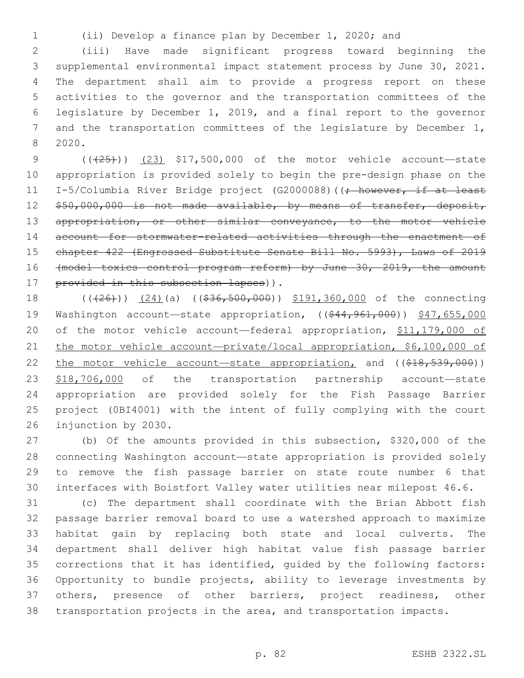(ii) Develop a finance plan by December 1, 2020; and

 (iii) Have made significant progress toward beginning the supplemental environmental impact statement process by June 30, 2021. The department shall aim to provide a progress report on these activities to the governor and the transportation committees of the legislature by December 1, 2019, and a final report to the governor and the transportation committees of the legislature by December 1, 2020.8

9 (( $(25)$ )) (23) \$17,500,000 of the motor vehicle account—state appropriation is provided solely to begin the pre-design phase on the 11 I-5/Columbia River Bridge project (G2000088) ((; however, if at least 12 \$50,000,000 is not made available, by means of transfer, deposit, 13 appropriation, or other similar conveyance, to the motor vehicle account for stormwater-related activities through the enactment of chapter 422 (Engrossed Substitute Senate Bill No. 5993), Laws of 2019 (model toxics control program reform) by June 30, 2019, the amount 17 provided in this subsection lapses)).

18 (((26))) (24)(a) ((\$36,500,000)) \$191,360,000 of the connecting 19 Washington account—state appropriation, ((\$44,961,000)) \$47,655,000 of the motor vehicle account—federal appropriation, \$11,179,000 of 21 the motor vehicle account-private/local appropriation, \$6,100,000 of 22 the motor vehicle account—state appropriation, and ((\$18,539,000)) 23 \$18,706,000 of the transportation partnership account-state appropriation are provided solely for the Fish Passage Barrier project (0BI4001) with the intent of fully complying with the court 26 injunction by 2030.

 (b) Of the amounts provided in this subsection, \$320,000 of the connecting Washington account—state appropriation is provided solely to remove the fish passage barrier on state route number 6 that interfaces with Boistfort Valley water utilities near milepost 46.6.

 (c) The department shall coordinate with the Brian Abbott fish passage barrier removal board to use a watershed approach to maximize habitat gain by replacing both state and local culverts. The department shall deliver high habitat value fish passage barrier corrections that it has identified, guided by the following factors: Opportunity to bundle projects, ability to leverage investments by others, presence of other barriers, project readiness, other transportation projects in the area, and transportation impacts.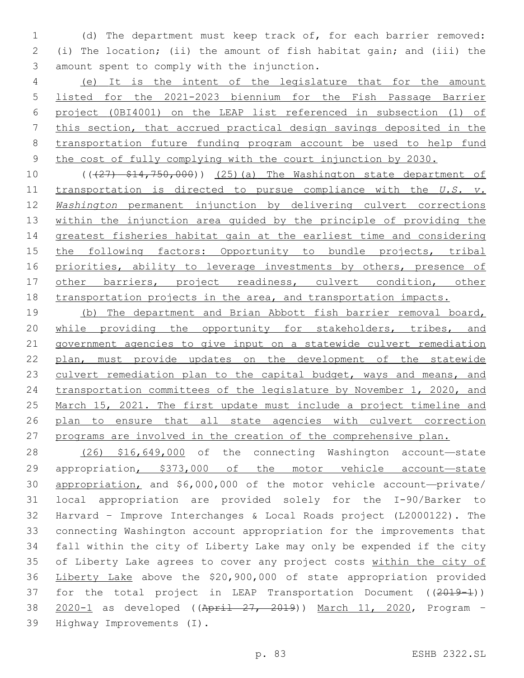(d) The department must keep track of, for each barrier removed: (i) The location; (ii) the amount of fish habitat gain; and (iii) the 3 amount spent to comply with the injunction.

 (e) It is the intent of the legislature that for the amount listed for the 2021-2023 biennium for the Fish Passage Barrier project (0BI4001) on the LEAP list referenced in subsection (1) of this section, that accrued practical design savings deposited in the transportation future funding program account be used to help fund the cost of fully complying with the court injunction by 2030.

10 (( $\left(\frac{27}{7}, \frac{214}{750}, \frac{000}{00}\right)$ ) (25)(a) The Washington state department of transportation is directed to pursue compliance with the *U.S. v. Washington* permanent injunction by delivering culvert corrections within the injunction area guided by the principle of providing the greatest fisheries habitat gain at the earliest time and considering the following factors: Opportunity to bundle projects, tribal 16 priorities, ability to leverage investments by others, presence of 17 other barriers, project readiness, culvert condition, other transportation projects in the area, and transportation impacts.

 (b) The department and Brian Abbott fish barrier removal board, while providing the opportunity for stakeholders, tribes, and government agencies to give input on a statewide culvert remediation plan, must provide updates on the development of the statewide 23 culvert remediation plan to the capital budget, ways and means, and transportation committees of the legislature by November 1, 2020, and March 15, 2021. The first update must include a project timeline and plan to ensure that all state agencies with culvert correction programs are involved in the creation of the comprehensive plan.

 (26) \$16,649,000 of the connecting Washington account—state appropriation, \$373,000 of the motor vehicle account—state appropriation, and \$6,000,000 of the motor vehicle account—private/ local appropriation are provided solely for the I-90/Barker to Harvard – Improve Interchanges & Local Roads project (L2000122). The connecting Washington account appropriation for the improvements that fall within the city of Liberty Lake may only be expended if the city of Liberty Lake agrees to cover any project costs within the city of Liberty Lake above the \$20,900,000 of state appropriation provided 37 for the total project in LEAP Transportation Document ((2019-1)) 2020-1 as developed ((April 27, 2019)) March 11, 2020, Program – 39 Highway Improvements (I).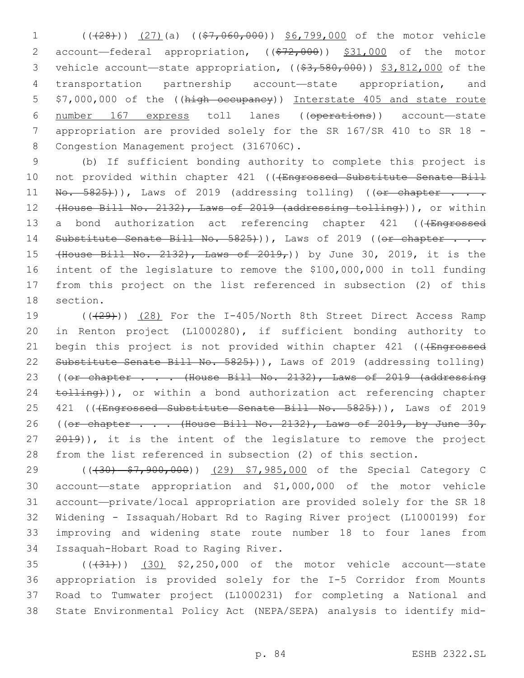1 (( $(28)$ )) (27)(a) ( $($ \$7,060,000)) \$6,799,000 of the motor vehicle 2 account—federal appropriation, ((\$72,000)) \$31,000 of the motor 3 vehicle account—state appropriation,  $((\frac{2}{3}, \frac{580}{600}))$  \$3,812,000 of the 4 transportation partnership account—state appropriation, and 5 \$7,000,000 of the ((high occupancy)) Interstate 405 and state route 6 number 167 express toll lanes ((operations)) account—state 7 appropriation are provided solely for the SR 167/SR 410 to SR 18 - 8 Congestion Management project (316706C).

9 (b) If sufficient bonding authority to complete this project is 10 not provided within chapter 421 (((Engrossed Substitute Senate Bill 11 No. 5825+)), Laws of 2019 (addressing tolling) ((or chapter . . . 12 (House Bill No. 2132), Laws of 2019 (addressing tolling))), or within 13 a bond authorization act referencing chapter 421 ((+Engrossed 14 Substitute Senate Bill No. 5825))), Laws of 2019 ((or chapter . . . 15 (House Bill No. 2132), Laws of 2019,)) by June 30, 2019, it is the 16 intent of the legislature to remove the \$100,000,000 in toll funding 17 from this project on the list referenced in subsection (2) of this 18 section.

19 (((29))) (28) For the I-405/North 8th Street Direct Access Ramp 20 in Renton project (L1000280), if sufficient bonding authority to 21 begin this project is not provided within chapter 421 ((+Engrossed 22 Substitute Senate Bill No. 5825+)), Laws of 2019 (addressing tolling) 23 ((or chapter . . . (House Bill No. 2132), Laws of 2019 (addressing 24 tolling)), or within a bond authorization act referencing chapter 25 421 ((<del>(Engrossed Substitute Senate Bill No. 5825)</del>)), Laws of 2019 26 ((or chapter . . . (House Bill No. 2132), Laws of 2019, by June 30, 27 2019)), it is the intent of the legislature to remove the project 28 from the list referenced in subsection (2) of this section.

29 ((430) \$7,900,000)) (29) \$7,985,000 of the Special Category C account—state appropriation and \$1,000,000 of the motor vehicle account—private/local appropriation are provided solely for the SR 18 Widening - Issaquah/Hobart Rd to Raging River project (L1000199) for improving and widening state route number 18 to four lanes from 34 Issaquah-Hobart Road to Raging River.

35 (((31)) (30) \$2,250,000 of the motor vehicle account-state appropriation is provided solely for the I-5 Corridor from Mounts Road to Tumwater project (L1000231) for completing a National and State Environmental Policy Act (NEPA/SEPA) analysis to identify mid-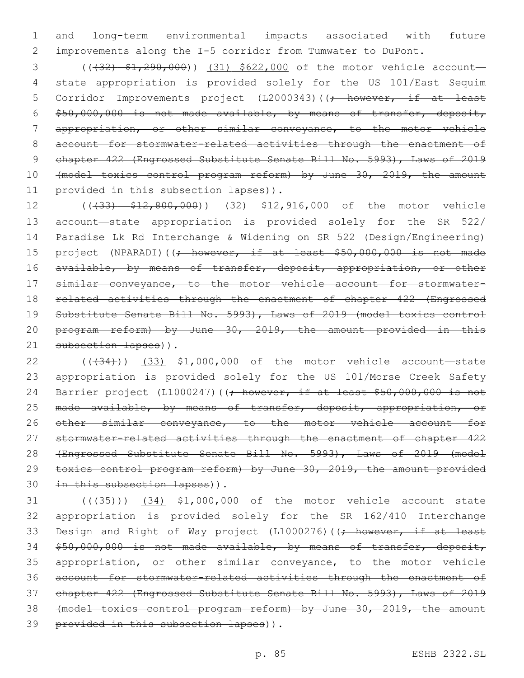1 and long-term environmental impacts associated with future 2 improvements along the I-5 corridor from Tumwater to DuPont.

3 (( $(32)$   $\frac{1}{290}$ ,  $\frac{000}{1}$ ) (31) \$622,000 of the motor vehicle account-4 state appropriation is provided solely for the US 101/East Sequim 5 Corridor Improvements project (L2000343)((; however, if at least 6  $$50,000,000$  is not made available, by means of transfer, deposit, 7 appropriation, or other similar conveyance, to the motor vehicle 8 account for stormwater-related activities through the enactment of 9 chapter 422 (Engrossed Substitute Senate Bill No. 5993), Laws of 2019 10 (model toxics control program reform) by June 30, 2019, the amount 11 provided in this subsection lapses)).

12 ((433) \$12,800,000)) (32) \$12,916,000 of the motor vehicle 13 account—state appropriation is provided solely for the SR 522/ 14 Paradise Lk Rd Interchange & Widening on SR 522 (Design/Engineering) 15 project (NPARADI)((; however, if at least \$50,000,000 is not made 16 available, by means of transfer, deposit, appropriation, or other 17 similar conveyance, to the motor vehicle account for stormwater-18 related activities through the enactment of chapter 422 (Engrossed 19 Substitute Senate Bill No. 5993), Laws of 2019 (model toxics control 20 program reform) by June 30, 2019, the amount provided in this 21 subsection lapses)).

22 ((+34))) (33) \$1,000,000 of the motor vehicle account—state 23 appropriation is provided solely for the US 101/Morse Creek Safety 24 Barrier project (L1000247)((; however, if at least \$50,000,000 is not 25 made available, by means of transfer, deposit, appropriation, or 26 other similar conveyance, to the motor vehicle account for 27 stormwater-related activities through the enactment of chapter 422 28 (Engrossed Substitute Senate Bill No. 5993), Laws of 2019 (model 29 toxics control program reform) by June 30, 2019, the amount provided 30 in this subsection lapses)).

31 (((435))) (34) \$1,000,000 of the motor vehicle account—state 32 appropriation is provided solely for the SR 162/410 Interchange 33 Design and Right of Way project (L1000276)((<del>; however, if at least</del> 34 \$50,000,000 is not made available, by means of transfer, deposit, 35 appropriation, or other similar conveyance, to the motor vehicle 36 account for stormwater-related activities through the enactment of 37 chapter 422 (Engrossed Substitute Senate Bill No. 5993), Laws of 2019 38 (model toxics control program reform) by June 30, 2019, the amount 39 provided in this subsection lapses)).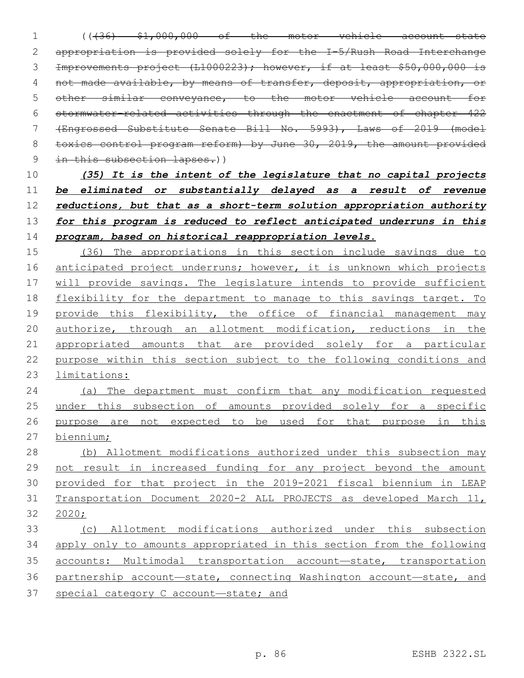(((36) \$1,000,000 of the motor vehicle account—state appropriation is provided solely for the I-5/Rush Road Interchange Improvements project (L1000223); however, if at least \$50,000,000 is not made available, by means of transfer, deposit, appropriation, or other similar conveyance, to the motor vehicle account for stormwater-related activities through the enactment of chapter 422 (Engrossed Substitute Senate Bill No. 5993), Laws of 2019 (model 8 toxics control program reform) by June 30, 2019, the amount provided 9 in this subsection lapses.))

 *(35) It is the intent of the legislature that no capital projects be eliminated or substantially delayed as a result of revenue reductions, but that as a short-term solution appropriation authority for this program is reduced to reflect anticipated underruns in this program, based on historical reappropriation levels.*

 (36) The appropriations in this section include savings due to 16 anticipated project underruns; however, it is unknown which projects will provide savings. The legislature intends to provide sufficient flexibility for the department to manage to this savings target. To provide this flexibility, the office of financial management may 20 authorize, through an allotment modification, reductions in the appropriated amounts that are provided solely for a particular purpose within this section subject to the following conditions and limitations:

 (a) The department must confirm that any modification requested under this subsection of amounts provided solely for a specific 26 purpose are not expected to be used for that purpose in this biennium;

 (b) Allotment modifications authorized under this subsection may not result in increased funding for any project beyond the amount provided for that project in the 2019-2021 fiscal biennium in LEAP Transportation Document 2020-2 ALL PROJECTS as developed March 11, 2020;

 (c) Allotment modifications authorized under this subsection apply only to amounts appropriated in this section from the following accounts: Multimodal transportation account—state, transportation partnership account—state, connecting Washington account—state, and special category C account—state; and

p. 86 ESHB 2322.SL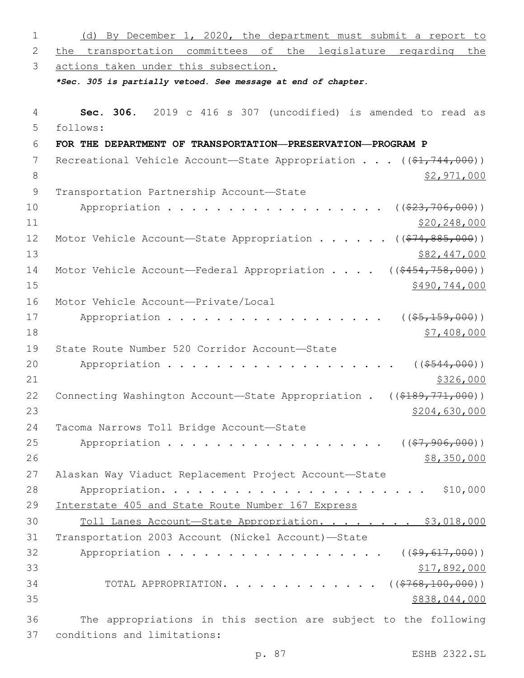| $\mathbf 1$  | (d) By December 1, 2020, the department must submit a report to                        |
|--------------|----------------------------------------------------------------------------------------|
| $\mathbf{2}$ | the transportation committees of the legislature regarding the                         |
| 3            | actions taken under this subsection.                                                   |
|              | *Sec. 305 is partially vetoed. See message at end of chapter.                          |
|              |                                                                                        |
| 4            | Sec. 306. 2019 c 416 s 307 (uncodified) is amended to read as                          |
| 5            | follows:                                                                               |
| 6            | FOR THE DEPARTMENT OF TRANSPORTATION-PRESERVATION-PROGRAM P                            |
| 7            | Recreational Vehicle Account—State Appropriation $((\frac{21}{744}, \frac{744}{600}))$ |
| $\,8\,$      | \$2,971,000                                                                            |
| $\mathsf 9$  | Transportation Partnership Account-State                                               |
| 10           | Appropriation<br>( ( \$23, 706, 000) )                                                 |
| 11           | \$20, 248, 000                                                                         |
| 12           | Motor Vehicle Account-State Appropriation ( $(\frac{274,885,000}{s})$ )                |
| 13           | \$82,447,000                                                                           |
| 14           | Motor Vehicle Account-Federal Appropriation $($ $($ $\frac{6454}{758}$ , 000))         |
| 15           | \$490,744,000                                                                          |
| 16           | Motor Vehicle Account-Private/Local                                                    |
| 17           | Appropriation<br>$((\$5,159,000))$                                                     |
| 18           | \$7,408,000                                                                            |
| 19           | State Route Number 520 Corridor Account-State                                          |
| 20           | ( ( \$544, 000) )<br>Appropriation                                                     |
| 21           | \$326,000                                                                              |
| 22           | $((\$189,771,000))$<br>Connecting Washington Account-State Appropriation .             |
| 23           | <u>\$204,630,000</u>                                                                   |
| 24           | Tacoma Narrows Toll Bridge Account-State                                               |
| 25           | Appropriation<br>$((\frac{27}{7}, \frac{906}{900})$                                    |
| 26           | \$8,350,000                                                                            |
| 27           | Alaskan Way Viaduct Replacement Project Account-State                                  |
| 28           | \$10,000                                                                               |
| 29           | Interstate 405 and State Route Number 167 Express                                      |
| 30           | Toll Lanes Account-State Appropriation. \$3,018,000                                    |
| 31           | Transportation 2003 Account (Nickel Account)-State                                     |
| 32           | Appropriation<br>$((\frac{159}{617},000))$                                             |
| 33           | \$17,892,000                                                                           |
| 34           | $((\$768,100,000))$<br>TOTAL APPROPRIATION.                                            |
| 35           | \$838,044,000                                                                          |
| 36           | The appropriations in this section are subject to the following                        |
| 37           | conditions and limitations:                                                            |

p. 87 ESHB 2322.SL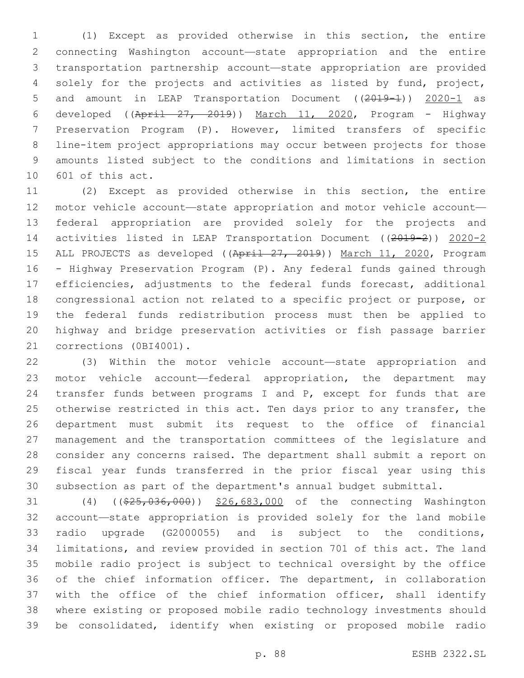(1) Except as provided otherwise in this section, the entire connecting Washington account—state appropriation and the entire transportation partnership account—state appropriation are provided solely for the projects and activities as listed by fund, project, 5 and amount in LEAP Transportation Document ((2019-1)) 2020-1 as 6 developed ( $(Apri1 27, 2019)$ ) March 11, 2020, Program - Highway Preservation Program (P). However, limited transfers of specific line-item project appropriations may occur between projects for those amounts listed subject to the conditions and limitations in section 10 601 of this act.

 (2) Except as provided otherwise in this section, the entire motor vehicle account—state appropriation and motor vehicle account— federal appropriation are provided solely for the projects and activities listed in LEAP Transportation Document ((2019-2)) 2020-2 15 ALL PROJECTS as developed ((April 27, 2019)) March 11, 2020, Program - Highway Preservation Program (P). Any federal funds gained through efficiencies, adjustments to the federal funds forecast, additional congressional action not related to a specific project or purpose, or the federal funds redistribution process must then be applied to highway and bridge preservation activities or fish passage barrier 21 corrections (0BI4001).

 (3) Within the motor vehicle account—state appropriation and 23 motor vehicle account—federal appropriation, the department may 24 transfer funds between programs I and P, except for funds that are otherwise restricted in this act. Ten days prior to any transfer, the department must submit its request to the office of financial management and the transportation committees of the legislature and consider any concerns raised. The department shall submit a report on fiscal year funds transferred in the prior fiscal year using this subsection as part of the department's annual budget submittal.

31 (4) ((\$25,036,000)) \$26,683,000 of the connecting Washington account—state appropriation is provided solely for the land mobile radio upgrade (G2000055) and is subject to the conditions, limitations, and review provided in section 701 of this act. The land mobile radio project is subject to technical oversight by the office of the chief information officer. The department, in collaboration 37 with the office of the chief information officer, shall identify where existing or proposed mobile radio technology investments should be consolidated, identify when existing or proposed mobile radio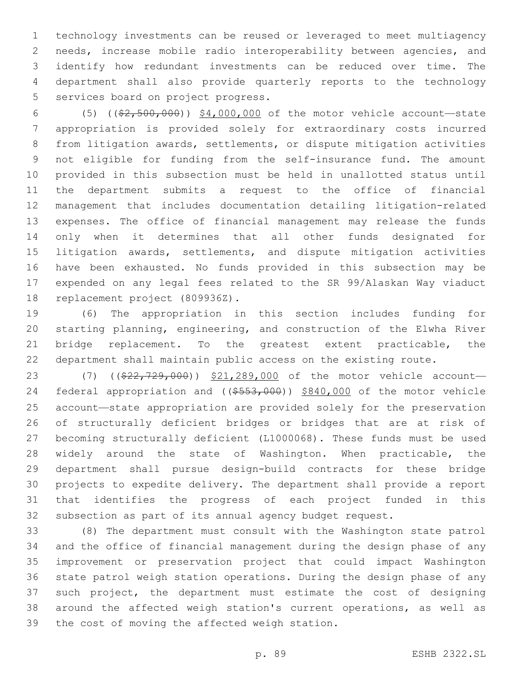technology investments can be reused or leveraged to meet multiagency needs, increase mobile radio interoperability between agencies, and identify how redundant investments can be reduced over time. The department shall also provide quarterly reports to the technology 5 services board on project progress.

 (5) ((\$2,500,000)) \$4,000,000 of the motor vehicle account—state appropriation is provided solely for extraordinary costs incurred from litigation awards, settlements, or dispute mitigation activities not eligible for funding from the self-insurance fund. The amount provided in this subsection must be held in unallotted status until the department submits a request to the office of financial management that includes documentation detailing litigation-related expenses. The office of financial management may release the funds only when it determines that all other funds designated for litigation awards, settlements, and dispute mitigation activities have been exhausted. No funds provided in this subsection may be expended on any legal fees related to the SR 99/Alaskan Way viaduct 18 replacement project (809936Z).

 (6) The appropriation in this section includes funding for starting planning, engineering, and construction of the Elwha River 21 bridge replacement. To the greatest extent practicable, the department shall maintain public access on the existing route.

23 (7) ((\$22,729,000)) \$21,289,000 of the motor vehicle account- federal appropriation and ((\$553,000)) \$840,000 of the motor vehicle account—state appropriation are provided solely for the preservation of structurally deficient bridges or bridges that are at risk of becoming structurally deficient (L1000068). These funds must be used widely around the state of Washington. When practicable, the department shall pursue design-build contracts for these bridge projects to expedite delivery. The department shall provide a report that identifies the progress of each project funded in this subsection as part of its annual agency budget request.

 (8) The department must consult with the Washington state patrol and the office of financial management during the design phase of any improvement or preservation project that could impact Washington state patrol weigh station operations. During the design phase of any such project, the department must estimate the cost of designing around the affected weigh station's current operations, as well as 39 the cost of moving the affected weigh station.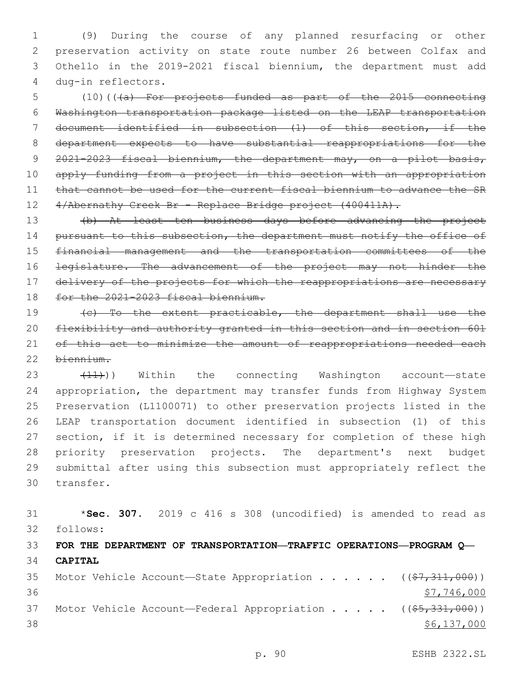(9) During the course of any planned resurfacing or other preservation activity on state route number 26 between Colfax and Othello in the 2019-2021 fiscal biennium, the department must add dug-in reflectors.4

 (10)(((a) For projects funded as part of the 2015 connecting Washington transportation package listed on the LEAP transportation document identified in subsection (1) of this section, if the department expects to have substantial reappropriations for the 2021-2023 fiscal biennium, the department may, on a pilot basis, 10 apply funding from a project in this section with an appropriation 11 that cannot be used for the current fiscal biennium to advance the SR 12 4/Abernathy Creek Br - Replace Bridge project (400411A).

 (b) At least ten business days before advancing the project 14 pursuant to this subsection, the department must notify the office of financial management and the transportation committees of the 16 <del>legislature. The advancement of the project may not hinder the</del> 17 delivery of the projects for which the reappropriations are necessary 18 for the 2021-2023 fiscal biennium.

 (c) To the extent practicable, the department shall use the flexibility and authority granted in this section and in section 601 21 of this act to minimize the amount of reappropriations needed each biennium.

23 (11)) Within the connecting Washington account—state appropriation, the department may transfer funds from Highway System Preservation (L1100071) to other preservation projects listed in the LEAP transportation document identified in subsection (1) of this section, if it is determined necessary for completion of these high priority preservation projects. The department's next budget submittal after using this subsection must appropriately reflect the 30 transfer.

 \***Sec. 307.** 2019 c 416 s 308 (uncodified) is amended to read as follows: **FOR THE DEPARTMENT OF TRANSPORTATION—TRAFFIC OPERATIONS—PROGRAM Q— CAPITAL** 35 Motor Vehicle Account—State Appropriation . . . . .  $($   $($ \$7,311,000))  $$7,746,000$ 37 Motor Vehicle Account—Federal Appropriation . . . . ((\$5,331,000))  $\frac{$6,137,000}{ }$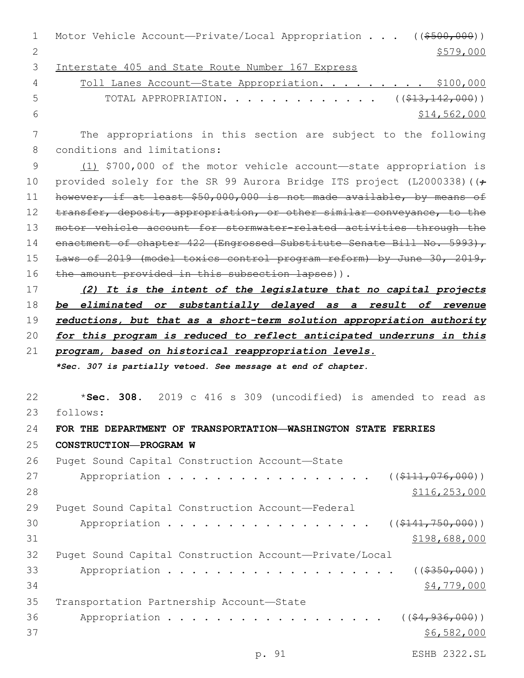1 Motor Vehicle Account—Private/Local Appropriation . . . ((\$500,000)) 2  $\frac{$579,000}{ }$ 

3 Interstate 405 and State Route Number 167 Express

| $\overline{4}$ | Toll Lanes Account-State Appropriation. \$100,000            |              |
|----------------|--------------------------------------------------------------|--------------|
| $5 \sim 5$     | TOTAL APPROPRIATION. ( $(\frac{\xi}{43}, \frac{142}{100})$ ) |              |
| - 6 -          |                                                              | \$14,562,000 |

7 The appropriations in this section are subject to the following 8 conditions and limitations:

9 (1) \$700,000 of the motor vehicle account—state appropriation is 10 provided solely for the SR 99 Aurora Bridge ITS project (L2000338) ( $\left(\frac{1}{t}\right)$ 11 however, if at least \$50,000,000 is not made available, by means of 12 transfer, deposit, appropriation, or other similar conveyance, to the 13 motor vehicle account for stormwater-related activities through the 14 enactment of chapter 422 (Engrossed Substitute Senate Bill No. 5993), 15 Laws of 2019 (model toxics control program reform) by June 30, 2019, 16 the amount provided in this subsection lapses)).

 *(2) It is the intent of the legislature that no capital projects be eliminated or substantially delayed as a result of revenue reductions, but that as a short-term solution appropriation authority for this program is reduced to reflect anticipated underruns in this program, based on historical reappropriation levels.*

*\*Sec. 307 is partially vetoed. See message at end of chapter.*

22 \***Sec. 308.** 2019 c 416 s 309 (uncodified) is amended to read as 23 follows: 24 **FOR THE DEPARTMENT OF TRANSPORTATION—WASHINGTON STATE FERRIES** 25 **CONSTRUCTION—PROGRAM W** 26 Puget Sound Capital Construction Account-State 27 Appropriation . . . . . . . . . . . . . . . (  $(\frac{111}{10000})$ 28 \$116,253,000 29 Puget Sound Capital Construction Account-Federal 30 Appropriation . . . . . . . . . . . . . . . (  $(\frac{1441, 750, 000}{1})$  $31$  \$198,688,000 32 Puget Sound Capital Construction Account—Private/Local 33 Appropriation . . . . . . . . . . . . . . . . . . ((\$350,000))  $34$   $$4,779,000$ 35 Transportation Partnership Account-State 36 Appropriation . . . . . . . . . . . . . . . . (  $(\frac{64,936,000}{2})$  $37$  \$6,582,000

p. 91 ESHB 2322.SL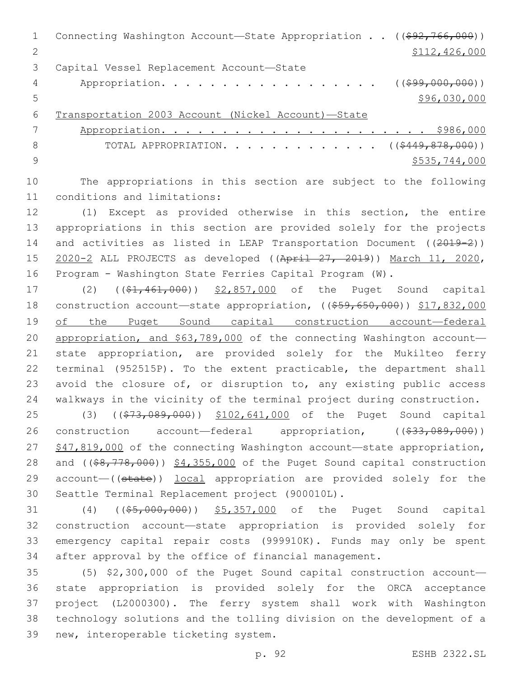1 Connecting Washington Account—State Appropriation . . ((\$92,766,000)) 2 \$112,426,000 3 Capital Vessel Replacement Account-State 4 Appropriation. . . . . . . . . . . . . . . . . (  $(\frac{299}{100}, 000, 000)$  ) 5  $\frac{1}{2}$  \$96,030,000 6 Transportation 2003 Account (Nickel Account)—State 7 Appropriation. . . . . . . . . . . . . . . . . . . . . . \$986,000 8 TOTAL APPROPRIATION. . . . . . . . . . . . . ((\$449,878,000)) 9 \$535,744,000

10 The appropriations in this section are subject to the following 11 conditions and limitations:

 (1) Except as provided otherwise in this section, the entire appropriations in this section are provided solely for the projects 14 and activities as listed in LEAP Transportation Document ((2019-2)) 2020-2 ALL PROJECTS as developed ((April 27, 2019)) March 11, 2020, Program - Washington State Ferries Capital Program (W).

17 (2) ((\$1,461,000)) \$2,857,000 of the Puget Sound capital 18 construction account—state appropriation, ((\$59,650,000)) \$17,832,000 of the Puget Sound capital construction account—federal appropriation, and \$63,789,000 of the connecting Washington account— state appropriation, are provided solely for the Mukilteo ferry terminal (952515P). To the extent practicable, the department shall avoid the closure of, or disruption to, any existing public access walkways in the vicinity of the terminal project during construction.

25 (3) ((\$73,089,000)) \$102,641,000 of the Puget Sound capital 26 construction account—federal appropriation, ((\$33,089,000)) 27 \$47,819,000 of the connecting Washington account—state appropriation, 28 and ((\$8,778,000)) \$4,355,000 of the Puget Sound capital construction 29 account—((state)) local appropriation are provided solely for the Seattle Terminal Replacement project (900010L).

31 (4) ((\$5,000,000)) \$5,357,000 of the Puget Sound capital construction account—state appropriation is provided solely for emergency capital repair costs (999910K). Funds may only be spent after approval by the office of financial management.

 (5) \$2,300,000 of the Puget Sound capital construction account— state appropriation is provided solely for the ORCA acceptance project (L2000300). The ferry system shall work with Washington technology solutions and the tolling division on the development of a 39 new, interoperable ticketing system.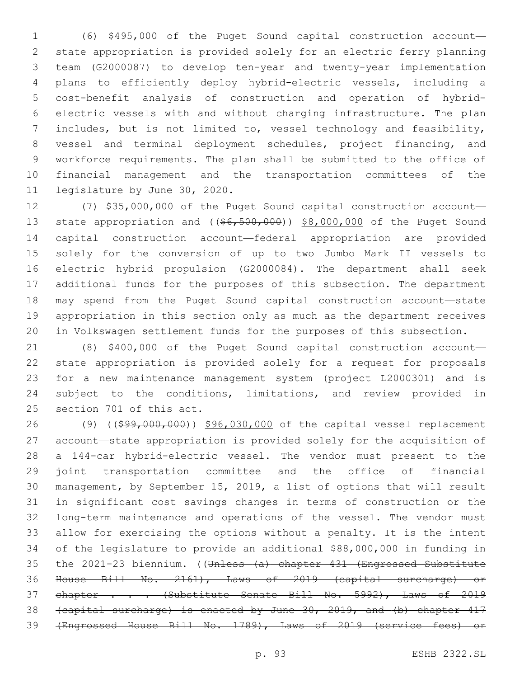(6) \$495,000 of the Puget Sound capital construction account— state appropriation is provided solely for an electric ferry planning team (G2000087) to develop ten-year and twenty-year implementation plans to efficiently deploy hybrid-electric vessels, including a cost-benefit analysis of construction and operation of hybrid- electric vessels with and without charging infrastructure. The plan includes, but is not limited to, vessel technology and feasibility, vessel and terminal deployment schedules, project financing, and workforce requirements. The plan shall be submitted to the office of financial management and the transportation committees of the 11 legislature by June 30, 2020.

 (7) \$35,000,000 of the Puget Sound capital construction account— 13 state appropriation and ((\$6,500,000)) \$8,000,000 of the Puget Sound capital construction account—federal appropriation are provided solely for the conversion of up to two Jumbo Mark II vessels to electric hybrid propulsion (G2000084). The department shall seek additional funds for the purposes of this subsection. The department may spend from the Puget Sound capital construction account—state appropriation in this section only as much as the department receives in Volkswagen settlement funds for the purposes of this subsection.

 (8) \$400,000 of the Puget Sound capital construction account— state appropriation is provided solely for a request for proposals for a new maintenance management system (project L2000301) and is subject to the conditions, limitations, and review provided in 25 section 701 of this act.

26 (9) ((\$99,000,000)) \$96,030,000 of the capital vessel replacement account—state appropriation is provided solely for the acquisition of a 144-car hybrid-electric vessel. The vendor must present to the joint transportation committee and the office of financial management, by September 15, 2019, a list of options that will result in significant cost savings changes in terms of construction or the long-term maintenance and operations of the vessel. The vendor must allow for exercising the options without a penalty. It is the intent of the legislature to provide an additional \$88,000,000 in funding in 35 the 2021-23 biennium. ((Unless (a) chapter 431 (Engrossed Substitute House Bill No. 2161), Laws of 2019 (capital surcharge) or 37 chapter . . . (Substitute Senate Bill No. 5992), Laws of 2019 (capital surcharge) is enacted by June 30, 2019, and (b) chapter 417 (Engrossed House Bill No. 1789), Laws of 2019 (service fees) or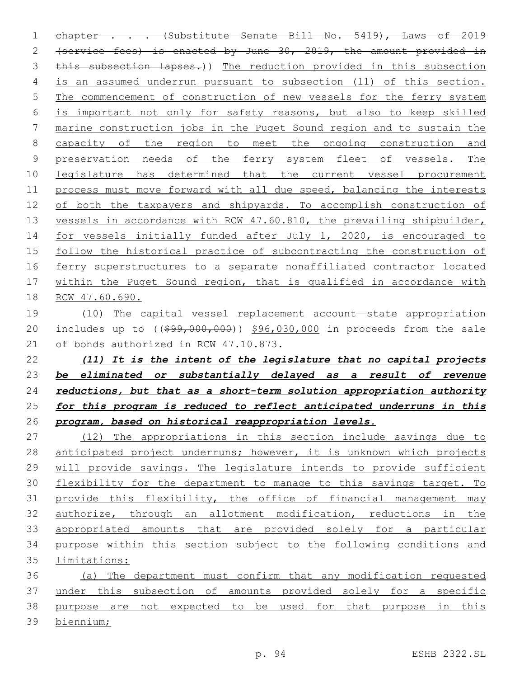1 chapter . . . (Substitute Senate Bill No. 5419), Laws of 2019 (service fees) is enacted by June 30, 2019, the amount provided in this subsection lapses.)) The reduction provided in this subsection is an assumed underrun pursuant to subsection (11) of this section. The commencement of construction of new vessels for the ferry system is important not only for safety reasons, but also to keep skilled marine construction jobs in the Puget Sound region and to sustain the 8 capacity of the region to meet the ongoing construction and 9 preservation needs of the ferry system fleet of vessels. The legislature has determined that the current vessel procurement process must move forward with all due speed, balancing the interests of both the taxpayers and shipyards. To accomplish construction of 13 vessels in accordance with RCW 47.60.810, the prevailing shipbuilder, 14 for vessels initially funded after July 1, 2020, is encouraged to follow the historical practice of subcontracting the construction of ferry superstructures to a separate nonaffiliated contractor located within the Puget Sound region, that is qualified in accordance with RCW 47.60.690.

 (10) The capital vessel replacement account—state appropriation 20 includes up to ((\$99,000,000)) \$96,030,000 in proceeds from the sale 21 of bonds authorized in RCW 47.10.873.

 *(11) It is the intent of the legislature that no capital projects be eliminated or substantially delayed as a result of revenue reductions, but that as a short-term solution appropriation authority for this program is reduced to reflect anticipated underruns in this program, based on historical reappropriation levels.*

 (12) The appropriations in this section include savings due to 28 anticipated project underruns; however, it is unknown which projects will provide savings. The legislature intends to provide sufficient flexibility for the department to manage to this savings target. To provide this flexibility, the office of financial management may authorize, through an allotment modification, reductions in the appropriated amounts that are provided solely for a particular purpose within this section subject to the following conditions and limitations:

 (a) The department must confirm that any modification requested 37 under this subsection of amounts provided solely for a specific purpose are not expected to be used for that purpose in this biennium;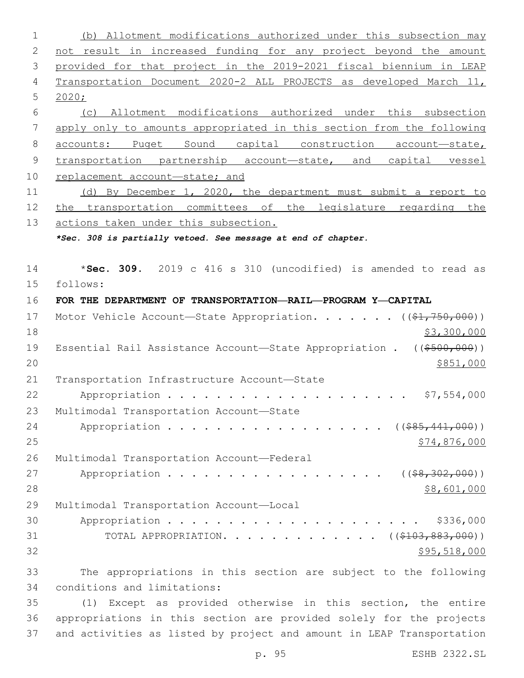(b) Allotment modifications authorized under this subsection may not result in increased funding for any project beyond the amount provided for that project in the 2019-2021 fiscal biennium in LEAP Transportation Document 2020-2 ALL PROJECTS as developed March 11, 2020; (c) Allotment modifications authorized under this subsection apply only to amounts appropriated in this section from the following accounts: Puget Sound capital construction account—state, transportation partnership account—state, and capital vessel 10 replacement account-state; and (d) By December 1, 2020, the department must submit a report to the transportation committees of the legislature regarding the actions taken under this subsection. *\*Sec. 308 is partially vetoed. See message at end of chapter.* \***Sec. 309.** 2019 c 416 s 310 (uncodified) is amended to read as follows: **FOR THE DEPARTMENT OF TRANSPORTATION—RAIL—PROGRAM Y—CAPITAL** 17 Motor Vehicle Account—State Appropriation. . . . . . ((\$1,750,000))  $\frac{1}{2}3,300,000$ 19 Essential Rail Assistance Account—State Appropriation . ((\$500,000))  $20 \frac{\$851,000}{}$ 21 Transportation Infrastructure Account-State Appropriation . . . . . . . . . . . . . . . . . . . . \$7,554,000 23 Multimodal Transportation Account-State 24 Appropriation . . . . . . . . . . . . . . . . (  $(\frac{285,441,000}{s})$   $\frac{1}{274,876,000}$ 26 Multimodal Transportation Account-Federal 27 Appropriation . . . . . . . . . . . . . . . . (  $(\frac{28}{30200})$  ) \$8,601,000 29 Multimodal Transportation Account-Local Appropriation . . . . . . . . . . . . . . . . . . . . . \$336,000 31 TOTAL APPROPRIATION. . . . . . . . . . . . . ((\$103,883,000)) \$95,518,000 The appropriations in this section are subject to the following 34 conditions and limitations: (1) Except as provided otherwise in this section, the entire appropriations in this section are provided solely for the projects

and activities as listed by project and amount in LEAP Transportation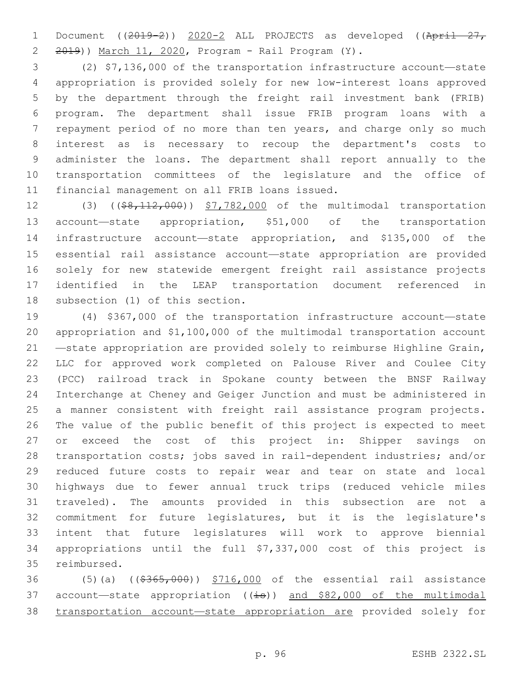1 Document ((2019-2)) 2020-2 ALL PROJECTS as developed ((April 27, 2 2019)) March 11, 2020, Program - Rail Program (Y).

 (2) \$7,136,000 of the transportation infrastructure account—state appropriation is provided solely for new low-interest loans approved by the department through the freight rail investment bank (FRIB) program. The department shall issue FRIB program loans with a repayment period of no more than ten years, and charge only so much interest as is necessary to recoup the department's costs to administer the loans. The department shall report annually to the transportation committees of the legislature and the office of 11 financial management on all FRIB loans issued.

12 (3) ((\$8,112,000)) \$7,782,000 of the multimodal transportation account—state appropriation, \$51,000 of the transportation infrastructure account—state appropriation, and \$135,000 of the essential rail assistance account—state appropriation are provided solely for new statewide emergent freight rail assistance projects identified in the LEAP transportation document referenced in 18 subsection (1) of this section.

 (4) \$367,000 of the transportation infrastructure account—state appropriation and \$1,100,000 of the multimodal transportation account —state appropriation are provided solely to reimburse Highline Grain, LLC for approved work completed on Palouse River and Coulee City (PCC) railroad track in Spokane county between the BNSF Railway Interchange at Cheney and Geiger Junction and must be administered in a manner consistent with freight rail assistance program projects. The value of the public benefit of this project is expected to meet 27 or exceed the cost of this project in: Shipper savings on transportation costs; jobs saved in rail-dependent industries; and/or reduced future costs to repair wear and tear on state and local highways due to fewer annual truck trips (reduced vehicle miles traveled). The amounts provided in this subsection are not a commitment for future legislatures, but it is the legislature's intent that future legislatures will work to approve biennial appropriations until the full \$7,337,000 cost of this project is 35 reimbursed.

36 (5)(a) ((\$365,000)) \$716,000 of the essential rail assistance 37 account—state appropriation  $((\frac{1}{15}))$  and \$82,000 of the multimodal transportation account—state appropriation are provided solely for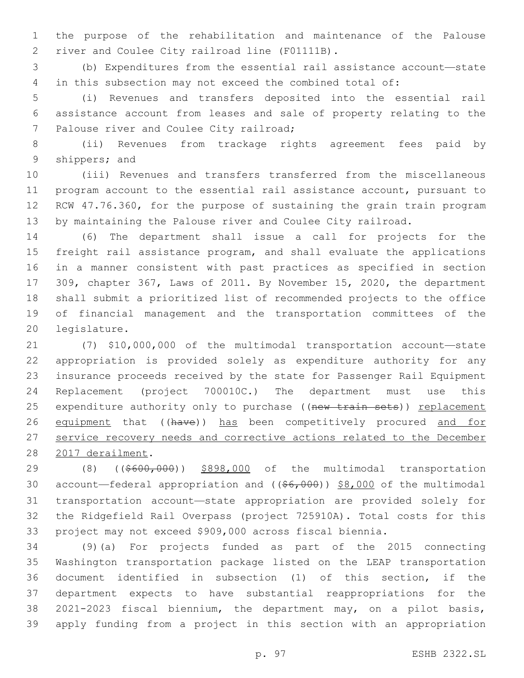the purpose of the rehabilitation and maintenance of the Palouse 2 river and Coulee City railroad line (F01111B).

 (b) Expenditures from the essential rail assistance account—state in this subsection may not exceed the combined total of:

 (i) Revenues and transfers deposited into the essential rail assistance account from leases and sale of property relating to the 7 Palouse river and Coulee City railroad;

 (ii) Revenues from trackage rights agreement fees paid by 9 shippers; and

 (iii) Revenues and transfers transferred from the miscellaneous program account to the essential rail assistance account, pursuant to RCW 47.76.360, for the purpose of sustaining the grain train program by maintaining the Palouse river and Coulee City railroad.

 (6) The department shall issue a call for projects for the freight rail assistance program, and shall evaluate the applications in a manner consistent with past practices as specified in section 309, chapter 367, Laws of 2011. By November 15, 2020, the department shall submit a prioritized list of recommended projects to the office of financial management and the transportation committees of the 20 legislature.

 (7) \$10,000,000 of the multimodal transportation account—state appropriation is provided solely as expenditure authority for any insurance proceeds received by the state for Passenger Rail Equipment Replacement (project 700010C.) The department must use this 25 expenditure authority only to purchase ((new train sets)) replacement 26 equipment that ((have)) has been competitively procured and for service recovery needs and corrective actions related to the December 28 2017 derailment.

29 (8) ((\$600,000)) \$898,000 of the multimodal transportation 30 account—federal appropriation and ((\$6,000)) \$8,000 of the multimodal transportation account—state appropriation are provided solely for the Ridgefield Rail Overpass (project 725910A). Total costs for this project may not exceed \$909,000 across fiscal biennia.

 (9)(a) For projects funded as part of the 2015 connecting Washington transportation package listed on the LEAP transportation document identified in subsection (1) of this section, if the department expects to have substantial reappropriations for the 2021-2023 fiscal biennium, the department may, on a pilot basis, apply funding from a project in this section with an appropriation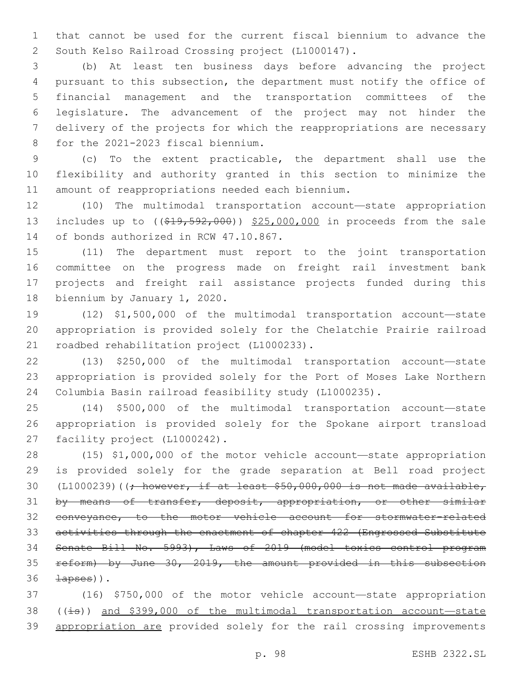that cannot be used for the current fiscal biennium to advance the 2 South Kelso Railroad Crossing project (L1000147).

 (b) At least ten business days before advancing the project pursuant to this subsection, the department must notify the office of financial management and the transportation committees of the legislature. The advancement of the project may not hinder the delivery of the projects for which the reappropriations are necessary 8 for the 2021-2023 fiscal biennium.

 (c) To the extent practicable, the department shall use the flexibility and authority granted in this section to minimize the 11 amount of reappropriations needed each biennium.

 (10) The multimodal transportation account—state appropriation 13 includes up to ((\$19,592,000)) \$25,000,000 in proceeds from the sale 14 of bonds authorized in RCW 47.10.867.

 (11) The department must report to the joint transportation committee on the progress made on freight rail investment bank projects and freight rail assistance projects funded during this 18 biennium by January 1, 2020.

 (12) \$1,500,000 of the multimodal transportation account—state appropriation is provided solely for the Chelatchie Prairie railroad 21 roadbed rehabilitation project (L1000233).

 (13) \$250,000 of the multimodal transportation account—state appropriation is provided solely for the Port of Moses Lake Northern Columbia Basin railroad feasibility study (L1000235).

 (14) \$500,000 of the multimodal transportation account—state appropriation is provided solely for the Spokane airport transload 27 facility project (L1000242).

 (15) \$1,000,000 of the motor vehicle account—state appropriation is provided solely for the grade separation at Bell road project 30 (L1000239)(( $\div$  however, if at least \$50,000,000 is not made available, 31 by means of transfer, deposit, appropriation, or other similar conveyance, to the motor vehicle account for stormwater-related activities through the enactment of chapter 422 (Engrossed Substitute Senate Bill No. 5993), Laws of 2019 (model toxics control program reform) by June 30, 2019, the amount provided in this subsection  $\pm$ apses)).

 (16) \$750,000 of the motor vehicle account—state appropriation 38 ( $(i\text{--}s)$ ) and \$399,000 of the multimodal transportation account—state appropriation are provided solely for the rail crossing improvements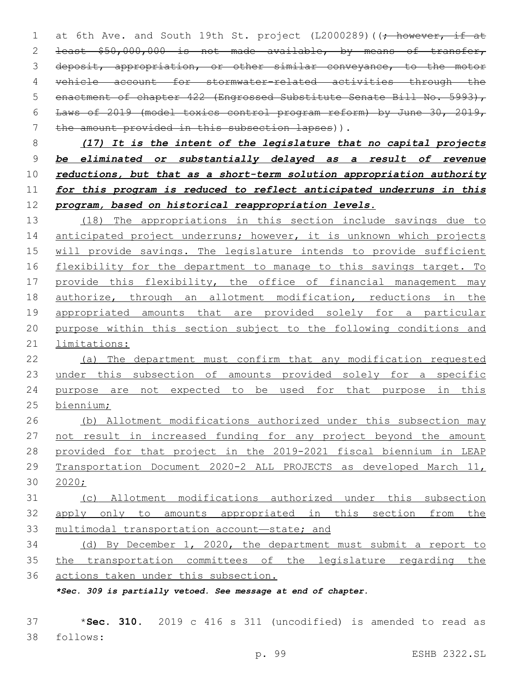1 at 6th Ave. and South 19th St. project (L2000289) ((; however, if at least \$50,000,000 is not made available, by means of transfer, 3 deposit, appropriation, or other similar conveyance, to the motor vehicle account for stormwater-related activities through the 5 enactment of chapter 422 (Engrossed Substitute Senate Bill No. 5993), Laws of 2019 (model toxics control program reform) by June 30, 2019, 7 the amount provided in this subsection lapses)).

 *(17) It is the intent of the legislature that no capital projects be eliminated or substantially delayed as a result of revenue reductions, but that as a short-term solution appropriation authority for this program is reduced to reflect anticipated underruns in this program, based on historical reappropriation levels.*

 (18) The appropriations in this section include savings due to 14 anticipated project underruns; however, it is unknown which projects will provide savings. The legislature intends to provide sufficient 16 flexibility for the department to manage to this savings target. To 17 provide this flexibility, the office of financial management may authorize, through an allotment modification, reductions in the appropriated amounts that are provided solely for a particular purpose within this section subject to the following conditions and limitations:

 (a) The department must confirm that any modification requested 23 under this subsection of amounts provided solely for a specific purpose are not expected to be used for that purpose in this biennium;

 (b) Allotment modifications authorized under this subsection may 27 not result in increased funding for any project beyond the amount provided for that project in the 2019-2021 fiscal biennium in LEAP Transportation Document 2020-2 ALL PROJECTS as developed March 11, 2020;

 (c) Allotment modifications authorized under this subsection apply only to amounts appropriated in this section from the multimodal transportation account—state; and

 (d) By December 1, 2020, the department must submit a report to 35 the transportation committees of the legislature regarding the actions taken under this subsection.

*\*Sec. 309 is partially vetoed. See message at end of chapter.*

 \***Sec. 310.** 2019 c 416 s 311 (uncodified) is amended to read as follows: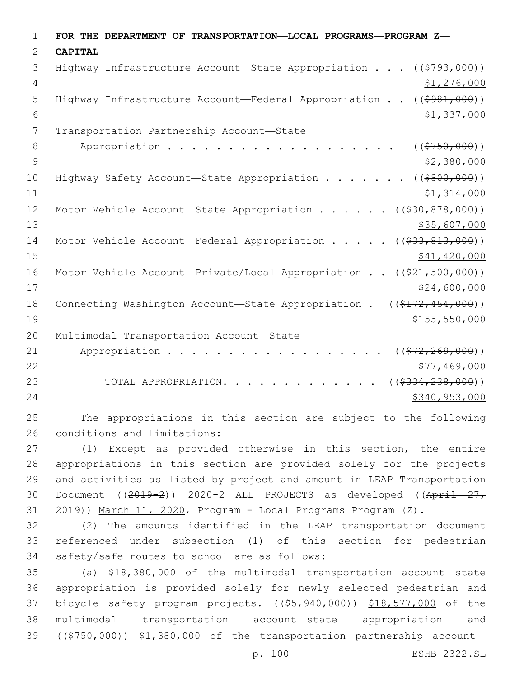| $\mathbf{1}$  | FOR THE DEPARTMENT OF TRANSPORTATION-LOCAL PROGRAMS-PROGRAM Z-                     |
|---------------|------------------------------------------------------------------------------------|
| $\mathcal{L}$ | <b>CAPITAL</b>                                                                     |
| 3             | Highway Infrastructure Account—State Appropriation $($ $($ \$793,000) $)$          |
| 4             | \$1,276,000                                                                        |
| 5             | Highway Infrastructure Account-Federal Appropriation ((\$981,000))                 |
| 6             | \$1,337,000                                                                        |
| 7             | Transportation Partnership Account-State                                           |
| 8             | Appropriation<br>( ( \$750,000) )                                                  |
| 9             | \$2,380,000                                                                        |
| 10            | ( ( \$800, 000) )<br>Highway Safety Account-State Appropriation                    |
| 11            | \$1,314,000                                                                        |
| 12            | Motor Vehicle Account-State Appropriation ( $(\frac{230}{830}, \frac{878}{800})$ ) |
| 13            | \$35,607,000                                                                       |
| 14            | Motor Vehicle Account—Federal Appropriation $($ $($ $\frac{233}{131}$ , 000))      |
| 15            | \$41, 420, 000                                                                     |
| 16            | Motor Vehicle Account-Private/Local Appropriation $((\$21, 500, 000))$             |
| 17            | \$24,600,000                                                                       |
| 18            | Connecting Washington Account-State Appropriation .<br>$((\$172,454,000))$         |
| 19            | \$155,550,000                                                                      |
| 20            | Multimodal Transportation Account-State                                            |
| 21            | Appropriation<br>$($ (\$72,269,000))                                               |
| 22            | \$77,469,000                                                                       |
| 23            | ( ( \$334, 238, 000) )<br>TOTAL APPROPRIATION.                                     |
| 24            | \$340,953,000                                                                      |

 The appropriations in this section are subject to the following 26 conditions and limitations:

 (1) Except as provided otherwise in this section, the entire appropriations in this section are provided solely for the projects and activities as listed by project and amount in LEAP Transportation Document ((2019-2)) 2020-2 ALL PROJECTS as developed ((April 27, 31 2019)) March 11, 2020, Program - Local Programs Program (Z).

 (2) The amounts identified in the LEAP transportation document referenced under subsection (1) of this section for pedestrian 34 safety/safe routes to school are as follows:

 (a) \$18,380,000 of the multimodal transportation account—state appropriation is provided solely for newly selected pedestrian and 37 bicycle safety program projects. ((\$5,940,000)) \$18,577,000 of the multimodal transportation account—state appropriation and 39 ((\$750,000)) \$1,380,000 of the transportation partnership account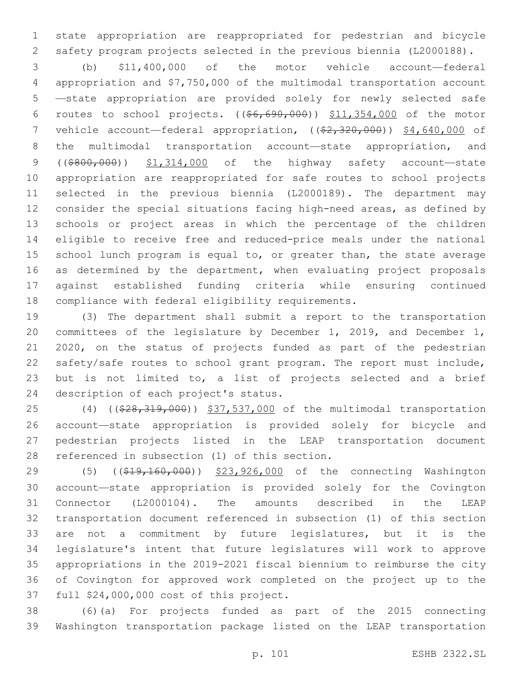state appropriation are reappropriated for pedestrian and bicycle safety program projects selected in the previous biennia (L2000188).

 (b) \$11,400,000 of the motor vehicle account—federal appropriation and \$7,750,000 of the multimodal transportation account —state appropriation are provided solely for newly selected safe routes to school projects. ((\$6,690,000)) \$11,354,000 of the motor 7 vehicle account—federal appropriation, ((\$2,320,000)) \$4,640,000 of the multimodal transportation account—state appropriation, and 9 ((\$800,000)) \$1,314,000 of the highway safety account-state appropriation are reappropriated for safe routes to school projects selected in the previous biennia (L2000189). The department may consider the special situations facing high-need areas, as defined by schools or project areas in which the percentage of the children eligible to receive free and reduced-price meals under the national school lunch program is equal to, or greater than, the state average 16 as determined by the department, when evaluating project proposals against established funding criteria while ensuring continued 18 compliance with federal eligibility requirements.

 (3) The department shall submit a report to the transportation committees of the legislature by December 1, 2019, and December 1, 2020, on the status of projects funded as part of the pedestrian safety/safe routes to school grant program. The report must include, but is not limited to, a list of projects selected and a brief 24 description of each project's status.

25 (4) ((\$28,319,000)) \$37,537,000 of the multimodal transportation account—state appropriation is provided solely for bicycle and pedestrian projects listed in the LEAP transportation document 28 referenced in subsection (1) of this section.

29 (5) ((\$19,160,000)) \$23,926,000 of the connecting Washington account—state appropriation is provided solely for the Covington Connector (L2000104). The amounts described in the LEAP transportation document referenced in subsection (1) of this section are not a commitment by future legislatures, but it is the legislature's intent that future legislatures will work to approve appropriations in the 2019-2021 fiscal biennium to reimburse the city of Covington for approved work completed on the project up to the 37 full \$24,000,000 cost of this project.

 (6)(a) For projects funded as part of the 2015 connecting Washington transportation package listed on the LEAP transportation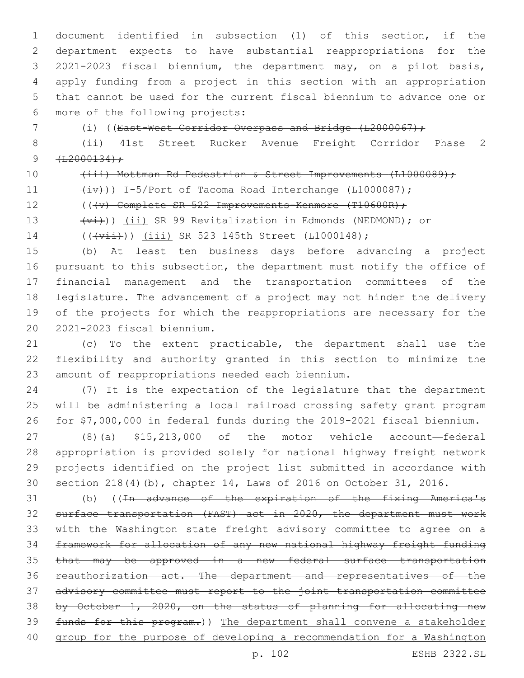document identified in subsection (1) of this section, if the department expects to have substantial reappropriations for the 2021-2023 fiscal biennium, the department may, on a pilot basis, apply funding from a project in this section with an appropriation that cannot be used for the current fiscal biennium to advance one or 6 more of the following projects:

(i) ((East-West Corridor Overpass and Bridge (L2000067);

8 (ii) 41st Street Rucker Avenue Freight Corridor Phase 2  $9 + \frac{12000134}{r}$ 

10 (iii) Mottman Rd Pedestrian & Street Improvements (L1000089);

11  $(iv)$ ) I-5/Port of Tacoma Road Interchange (L1000087);

12 (((v) Complete SR 522 Improvements-Kenmore (T10600R);

13 (vi))) (ii) SR 99 Revitalization in Edmonds (NEDMOND); or

14 ((( $\overline{v}$ iii) SR 523 145th Street (L1000148);

 (b) At least ten business days before advancing a project pursuant to this subsection, the department must notify the office of financial management and the transportation committees of the legislature. The advancement of a project may not hinder the delivery of the projects for which the reappropriations are necessary for the 2021-2023 fiscal biennium.20

 (c) To the extent practicable, the department shall use the flexibility and authority granted in this section to minimize the 23 amount of reappropriations needed each biennium.

 (7) It is the expectation of the legislature that the department will be administering a local railroad crossing safety grant program for \$7,000,000 in federal funds during the 2019-2021 fiscal biennium.

 (8)(a) \$15,213,000 of the motor vehicle account—federal appropriation is provided solely for national highway freight network projects identified on the project list submitted in accordance with section 218(4)(b), chapter 14, Laws of 2016 on October 31, 2016.

31 (b) ((<del>In advance of the expiration of the fixing America's</del> surface transportation (FAST) act in 2020, the department must work with the Washington state freight advisory committee to agree on a framework for allocation of any new national highway freight funding that may be approved in a new federal surface transportation reauthorization act. The department and representatives of the advisory committee must report to the joint transportation committee 38 by October 1, 2020, on the status of planning for allocating new funds for this program.)) The department shall convene a stakeholder group for the purpose of developing a recommendation for a Washington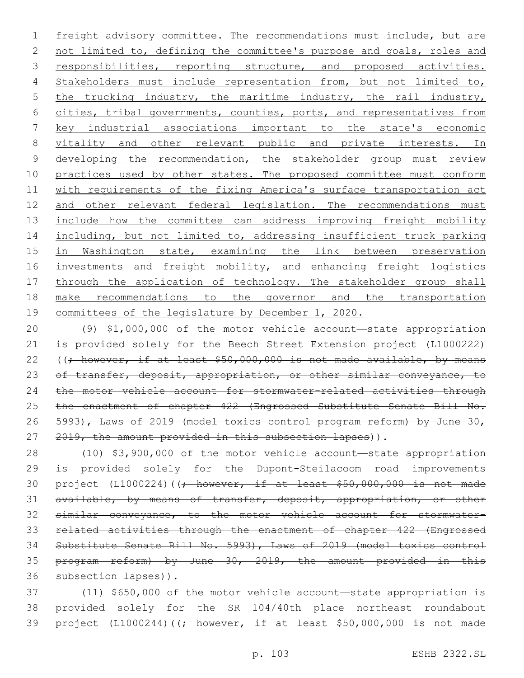1 freight advisory committee. The recommendations must include, but are 2 not limited to, defining the committee's purpose and goals, roles and 3 responsibilities, reporting structure, and proposed activities. 4 Stakeholders must include representation from, but not limited to, 5 the trucking industry, the maritime industry, the rail industry, 6 cities, tribal governments, counties, ports, and representatives from 7 key industrial associations important to the state's economic 8 vitality and other relevant public and private interests. In 9 developing the recommendation, the stakeholder group must review 10 practices used by other states. The proposed committee must conform 11 with requirements of the fixing America's surface transportation act 12 and other relevant federal legislation. The recommendations must 13 include how the committee can address improving freight mobility 14 including, but not limited to, addressing insufficient truck parking 15 in Washington state, examining the link between preservation 16 investments and freight mobility, and enhancing freight logistics 17 through the application of technology. The stakeholder group shall 18 make recommendations to the governor and the transportation 19 committees of the legislature by December 1, 2020.

20 (9) \$1,000,000 of the motor vehicle account—state appropriation 21 is provided solely for the Beech Street Extension project (L1000222) 22 ((; however, if at least \$50,000,000 is not made available, by means 23 of transfer, deposit, appropriation, or other similar conveyance, to 24 the motor vehicle account for stormwater-related activities through 25 the enactment of chapter 422 (Engrossed Substitute Senate Bill No. 26 5993), Laws of 2019 (model toxics control program reform) by June 30, 27 2019, the amount provided in this subsection lapses)).

 (10) \$3,900,000 of the motor vehicle account—state appropriation is provided solely for the Dupont-Steilacoom road improvements 30 project (L1000224)( $\frac{1}{2}$  however, if at least \$50,000,000 is not made 31 available, by means of transfer, deposit, appropriation, or other similar conveyance, to the motor vehicle account for stormwater- related activities through the enactment of chapter 422 (Engrossed Substitute Senate Bill No. 5993), Laws of 2019 (model toxics control program reform) by June 30, 2019, the amount provided in this 36 subsection lapses)).

37 (11) \$650,000 of the motor vehicle account—state appropriation is 38 provided solely for the SR 104/40th place northeast roundabout 39 project (L1000244)((; however, if at least \$50,000,000 is not made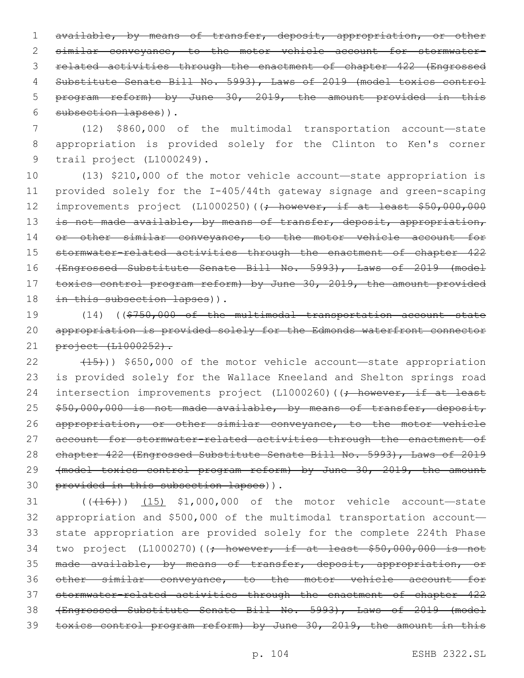available, by means of transfer, deposit, appropriation, or other similar conveyance, to the motor vehicle account for stormwater- related activities through the enactment of chapter 422 (Engrossed Substitute Senate Bill No. 5993), Laws of 2019 (model toxics control program reform) by June 30, 2019, the amount provided in this 6 subsection lapses)).

7 (12) \$860,000 of the multimodal transportation account—state 8 appropriation is provided solely for the Clinton to Ken's corner 9 trail project (L1000249).

10 (13) \$210,000 of the motor vehicle account—state appropriation is 11 provided solely for the I-405/44th gateway signage and green-scaping 12 improvements project (L1000250)((; however, if at least \$50,000,000 13 is not made available, by means of transfer, deposit, appropriation, 14 or other similar conveyance, to the motor vehicle account for 15 stormwater-related activities through the enactment of chapter 422 16 (Engrossed Substitute Senate Bill No. 5993), Laws of 2019 (model 17 toxics control program reform) by June 30, 2019, the amount provided 18 in this subsection lapses)).

19 (14) ((\$750,000 of the multimodal transportation account—state 20 appropriation is provided solely for the Edmonds waterfront connector 21 project (L1000252).

22 (15)) \$650,000 of the motor vehicle account—state appropriation 23 is provided solely for the Wallace Kneeland and Shelton springs road 24 intersection improvements project (L1000260) ((; however, if at least 25 \$50,000,000 is not made available, by means of transfer, deposit, 26 appropriation, or other similar conveyance, to the motor vehicle 27 account for stormwater-related activities through the enactment of 28 chapter 422 (Engrossed Substitute Senate Bill No. 5993), Laws of 2019 29 (model toxics control program reform) by June 30, 2019, the amount 30 provided in this subsection lapses)).

31 (((16)) (15) \$1,000,000 of the motor vehicle account—state appropriation and \$500,000 of the multimodal transportation account— state appropriation are provided solely for the complete 224th Phase 34 two project (L1000270)( $\left(-\right)$  however, if at least \$50,000,000 is not 35 made available, by means of transfer, deposit, appropriation, or other similar conveyance, to the motor vehicle account for stormwater-related activities through the enactment of chapter 422 (Engrossed Substitute Senate Bill No. 5993), Laws of 2019 (model toxics control program reform) by June 30, 2019, the amount in this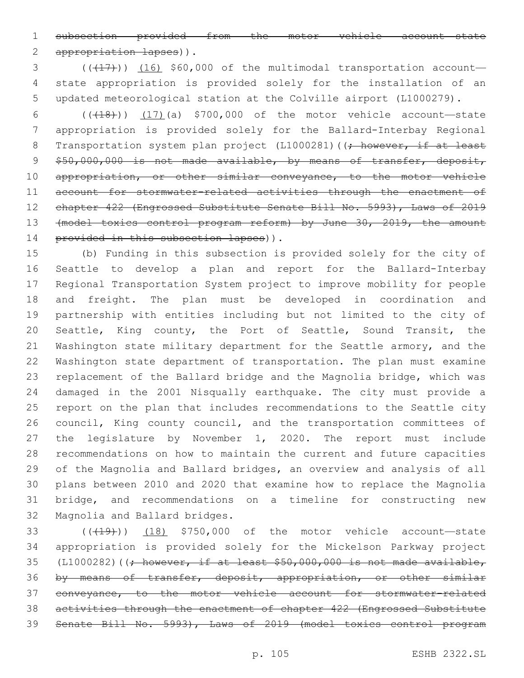subsection provided from the motor vehicle account—state 2 appropriation lapses)).

 $(1)$   $(1)$   $(16)$  \$60,000 of the multimodal transportation account— state appropriation is provided solely for the installation of an updated meteorological station at the Colville airport (L1000279).

 (((18))) (17)(a) \$700,000 of the motor vehicle account—state appropriation is provided solely for the Ballard-Interbay Regional 8 Transportation system plan project (L1000281)((; however, if at least 9 \$50,000,000 is not made available, by means of transfer, deposit, 10 appropriation, or other similar conveyance, to the motor vehicle 11 account for stormwater-related activities through the enactment of 12 chapter 422 (Engrossed Substitute Senate Bill No. 5993), Laws of 2019 (model toxics control program reform) by June 30, 2019, the amount 14 provided in this subsection lapses)).

 (b) Funding in this subsection is provided solely for the city of Seattle to develop a plan and report for the Ballard-Interbay Regional Transportation System project to improve mobility for people and freight. The plan must be developed in coordination and partnership with entities including but not limited to the city of Seattle, King county, the Port of Seattle, Sound Transit, the Washington state military department for the Seattle armory, and the Washington state department of transportation. The plan must examine replacement of the Ballard bridge and the Magnolia bridge, which was damaged in the 2001 Nisqually earthquake. The city must provide a report on the plan that includes recommendations to the Seattle city 26 council, King county council, and the transportation committees of the legislature by November 1, 2020. The report must include recommendations on how to maintain the current and future capacities of the Magnolia and Ballard bridges, an overview and analysis of all plans between 2010 and 2020 that examine how to replace the Magnolia bridge, and recommendations on a timeline for constructing new 32 Magnolia and Ballard bridges.

33 (((419)) (18) \$750,000 of the motor vehicle account-state appropriation is provided solely for the Mickelson Parkway project 35 (L1000282)( $\rightarrow$  however, if at least \$50,000,000 is not made available, by means of transfer, deposit, appropriation, or other similar conveyance, to the motor vehicle account for stormwater-related activities through the enactment of chapter 422 (Engrossed Substitute Senate Bill No. 5993), Laws of 2019 (model toxics control program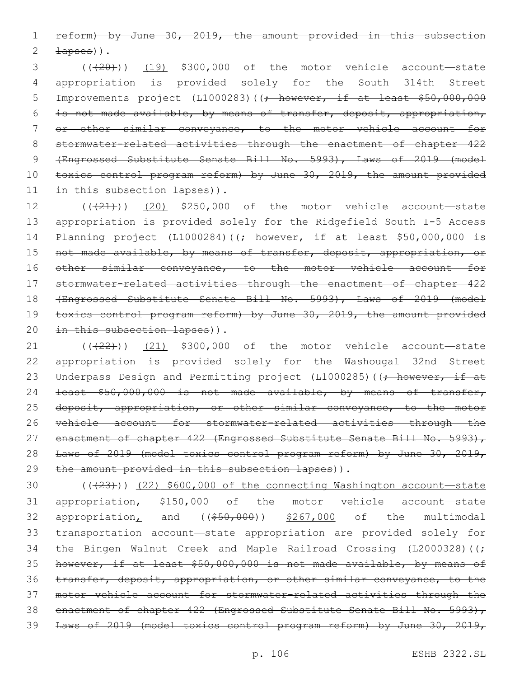1 reform) by June 30, 2019, the amount provided in this subsection 2  $\pm$ apses)).

3 (( $(20)$ ) (19) \$300,000 of the motor vehicle account—state 4 appropriation is provided solely for the South 314th Street 5 Improvements project (L1000283)((; however, if at least \$50,000,000 6 is not made available, by means of transfer, deposit, appropriation, 7 or other similar conveyance, to the motor vehicle account for 8 stormwater-related activities through the enactment of chapter 422 9 (Engrossed Substitute Senate Bill No. 5993), Laws of 2019 (model 10 toxics control program reform) by June 30, 2019, the amount provided 11 in this subsection lapses)).

 $12$  ( $(\frac{21}{21})$ ) (20) \$250,000 of the motor vehicle account—state 13 appropriation is provided solely for the Ridgefield South I-5 Access 14 Planning project (L1000284)((; however, if at least \$50,000,000 is 15 not made available, by means of transfer, deposit, appropriation, or 16 other similar conveyance, to the motor vehicle account for 17 stormwater-related activities through the enactment of chapter 422 18 (Engrossed Substitute Senate Bill No. 5993), Laws of 2019 (model 19 toxics control program reform) by June 30, 2019, the amount provided 20 in this subsection lapses)).

 $(1)$  (( $(22)$ )) (21) \$300,000 of the motor vehicle account—state 22 appropriation is provided solely for the Washougal 32nd Street 23 Underpass Design and Permitting project (L1000285) ((; however, if at 24 least \$50,000,000 is not made available, by means of transfer, 25 deposit, appropriation, or other similar conveyance, to the motor 26 vehicle account for stormwater-related activities through the 27 enactment of chapter 422 (Engrossed Substitute Senate Bill No. 5993), 28 Laws of 2019 (model toxics control program reform) by June 30, 2019, 29 the amount provided in this subsection lapses)).

30 (( $(23)$ )) (22) \$600,000 of the connecting Washington account-state 31 appropriation, \$150,000 of the motor vehicle account—state 32 appropriation<sub>L</sub> and  $((\$50,000))$   $\$267,000$  of the multimodal 33 transportation account—state appropriation are provided solely for 34 the Bingen Walnut Creek and Maple Railroad Crossing (L2000328) ( $\leftrightarrow$ 35 however, if at least \$50,000,000 is not made available, by means of 36 transfer, deposit, appropriation, or other similar conveyance, to the 37 motor vehicle account for stormwater-related activities through the 38 enactment of chapter 422 (Engrossed Substitute Senate Bill No. 5993), 39 Laws of 2019 (model toxics control program reform) by June 30, 2019,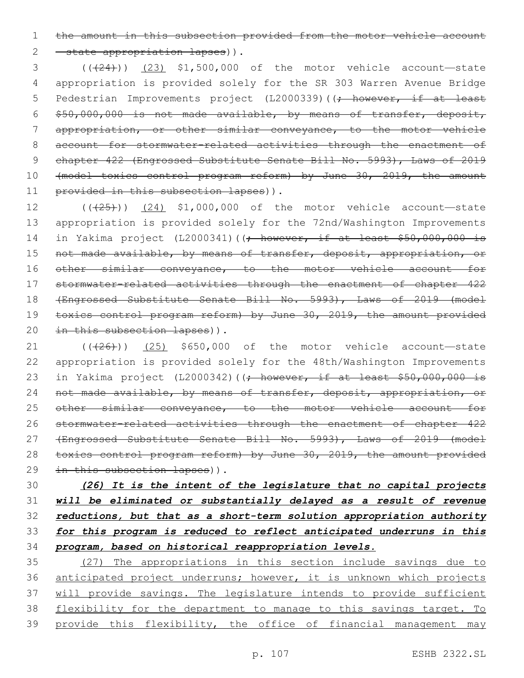1 the amount in this subsection provided from the motor vehicle account 2 - state appropriation lapses)).

 $(3$  ( $(\frac{24}{2})$ ) (23) \$1,500,000 of the motor vehicle account—state 4 appropriation is provided solely for the SR 303 Warren Avenue Bridge 5 Pedestrian Improvements project (L2000339)((<del>; however, if at least</del> 6 \$50,000,000 is not made available, by means of transfer, deposit, 7 appropriation, or other similar conveyance, to the motor vehicle 8 account for stormwater-related activities through the enactment of 9 chapter 422 (Engrossed Substitute Senate Bill No. 5993), Laws of 2019 10 (model toxics control program reform) by June 30, 2019, the amount 11 provided in this subsection lapses)).

12 (( $(25)$ )) (24) \$1,000,000 of the motor vehicle account—state 13 appropriation is provided solely for the 72nd/Washington Improvements 14 in Yakima project (L2000341)((; however, if at least \$50,000,000 is 15 not made available, by means of transfer, deposit, appropriation, or 16 other similar conveyance, to the motor vehicle account for 17 stormwater-related activities through the enactment of chapter 422 18 (Engrossed Substitute Senate Bill No. 5993), Laws of 2019 (model 19 toxics control program reform) by June 30, 2019, the amount provided 20 in this subsection lapses)).

21  $((+26))$   $(25)$  \$650,000 of the motor vehicle account—state 22 appropriation is provided solely for the 48th/Washington Improvements 23 in Yakima project (L2000342)((; however, if at least \$50,000,000 is 24 not made available, by means of transfer, deposit, appropriation, or 25 other similar conveyance, to the motor vehicle account for 26 stormwater-related activities through the enactment of chapter 422 27 (Engrossed Substitute Senate Bill No. 5993), Laws of 2019 (model 28 toxics control program reform) by June 30, 2019, the amount provided 29 in this subsection lapses)).

 *(26) It is the intent of the legislature that no capital projects will be eliminated or substantially delayed as a result of revenue reductions, but that as a short-term solution appropriation authority for this program is reduced to reflect anticipated underruns in this program, based on historical reappropriation levels.*

35 (27) The appropriations in this section include savings due to 36 anticipated project underruns; however, it is unknown which projects 37 will provide savings. The legislature intends to provide sufficient 38 flexibility for the department to manage to this savings target. To 39 provide this flexibility, the office of financial management may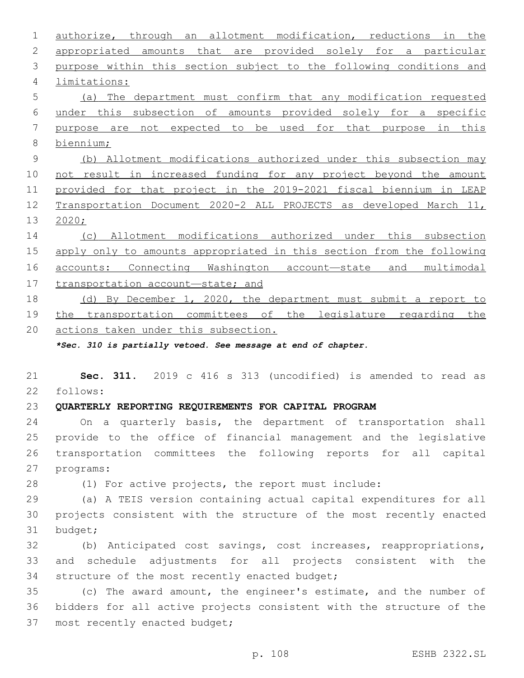authorize, through an allotment modification, reductions in the appropriated amounts that are provided solely for a particular purpose within this section subject to the following conditions and limitations:4 (a) The department must confirm that any modification requested under this subsection of amounts provided solely for a specific purpose are not expected to be used for that purpose in this biennium; (b) Allotment modifications authorized under this subsection may not result in increased funding for any project beyond the amount provided for that project in the 2019-2021 fiscal biennium in LEAP Transportation Document 2020-2 ALL PROJECTS as developed March 11, 2020; (c) Allotment modifications authorized under this subsection apply only to amounts appropriated in this section from the following accounts: Connecting Washington account—state and multimodal transportation account—state; and (d) By December 1, 2020, the department must submit a report to the transportation committees of the legislature regarding the actions taken under this subsection. *\*Sec. 310 is partially vetoed. See message at end of chapter.* **Sec. 311.** 2019 c 416 s 313 (uncodified) is amended to read as follows: **QUARTERLY REPORTING REQUIREMENTS FOR CAPITAL PROGRAM** On a quarterly basis, the department of transportation shall provide to the office of financial management and the legislative transportation committees the following reports for all capital 27 programs: (1) For active projects, the report must include: (a) A TEIS version containing actual capital expenditures for all projects consistent with the structure of the most recently enacted 31 budget; (b) Anticipated cost savings, cost increases, reappropriations, and schedule adjustments for all projects consistent with the 34 structure of the most recently enacted budget; (c) The award amount, the engineer's estimate, and the number of bidders for all active projects consistent with the structure of the 37 most recently enacted budget;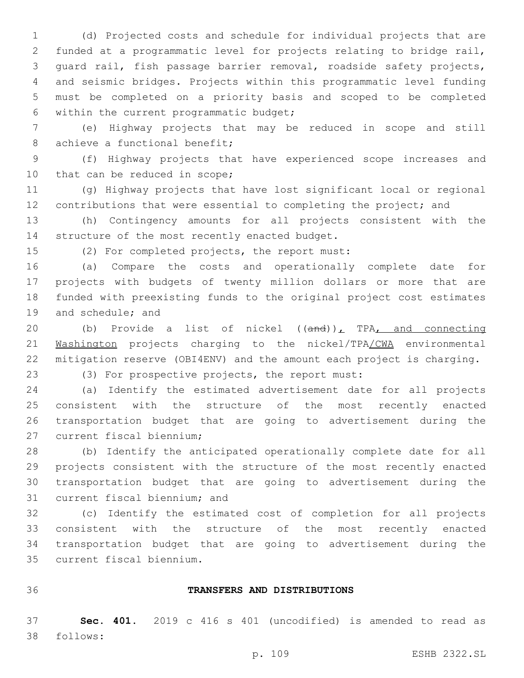(d) Projected costs and schedule for individual projects that are funded at a programmatic level for projects relating to bridge rail, guard rail, fish passage barrier removal, roadside safety projects, and seismic bridges. Projects within this programmatic level funding must be completed on a priority basis and scoped to be completed 6 within the current programmatic budget;

 (e) Highway projects that may be reduced in scope and still 8 achieve a functional benefit;

 (f) Highway projects that have experienced scope increases and 10 that can be reduced in scope;

 (g) Highway projects that have lost significant local or regional 12 contributions that were essential to completing the project; and

 (h) Contingency amounts for all projects consistent with the 14 structure of the most recently enacted budget.

15 (2) For completed projects, the report must:

 (a) Compare the costs and operationally complete date for projects with budgets of twenty million dollars or more that are funded with preexisting funds to the original project cost estimates 19 and schedule; and

20 (b) Provide a list of nickel ((and)), TPA, and connecting Washington projects charging to the nickel/TPA/CWA environmental mitigation reserve (OBI4ENV) and the amount each project is charging.

(3) For prospective projects, the report must:

 (a) Identify the estimated advertisement date for all projects consistent with the structure of the most recently enacted transportation budget that are going to advertisement during the 27 current fiscal biennium;

 (b) Identify the anticipated operationally complete date for all projects consistent with the structure of the most recently enacted transportation budget that are going to advertisement during the 31 current fiscal biennium; and

 (c) Identify the estimated cost of completion for all projects consistent with the structure of the most recently enacted transportation budget that are going to advertisement during the current fiscal biennium.35

#### **TRANSFERS AND DISTRIBUTIONS**

 **Sec. 401.** 2019 c 416 s 401 (uncodified) is amended to read as follows: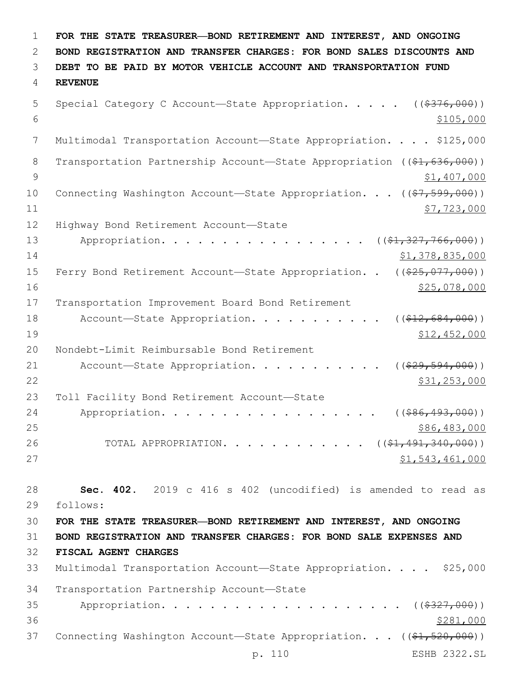1 **FOR THE STATE TREASURER—BOND RETIREMENT AND INTEREST, AND ONGOING** 2 **BOND REGISTRATION AND TRANSFER CHARGES: FOR BOND SALES DISCOUNTS AND** 3 **DEBT TO BE PAID BY MOTOR VEHICLE ACCOUNT AND TRANSPORTATION FUND** 4 **REVENUE** 5 Special Category C Account—State Appropriation. . . . . ((\$376,000))  $\frac{$105,000}{ }$ 7 Multimodal Transportation Account—State Appropriation. . . . \$125,000 8 Transportation Partnership Account—State Appropriation ((\$1,636,000)) 9  $\frac{1}{2}$   $\frac{1}{407}$ ,000 10 Connecting Washington Account—State Appropriation. . . ((\$7,599,000)) 11 \$7,723,000 12 Highway Bond Retirement Account-State 13 Appropriation. . . . . . . . . . . . . . . . ((\$1,327,766,000)) 14 \$1,378,835,000 15 Ferry Bond Retirement Account—State Appropriation. . ((\$25,077,000)) 16 \$25,078,000 17 Transportation Improvement Board Bond Retirement 18 Account—State Appropriation. . . . . . . . . . ((\$12,684,000)) 19 \$12,452,000 20 Nondebt-Limit Reimbursable Bond Retirement 21 Account—State Appropriation. . . . . . . . . . ((\$29,594,000)) 22 \$31,253,000 23 Toll Facility Bond Retirement Account-State 24 Appropriation. . . . . . . . . . . . . . . . ((\$86,493,000))  $25$   $\frac{$86,483,000}{ }$ 26 TOTAL APPROPRIATION. . . . . . . . . . . ((\$1,491,340,000))  $27$   $51,543,461,000$ 28 **Sec. 402.** 2019 c 416 s 402 (uncodified) is amended to read as 29 follows: 30 **FOR THE STATE TREASURER—BOND RETIREMENT AND INTEREST, AND ONGOING** 31 **BOND REGISTRATION AND TRANSFER CHARGES: FOR BOND SALE EXPENSES AND** 32 **FISCAL AGENT CHARGES** 33 Multimodal Transportation Account—State Appropriation. . . . \$25,000 34 Transportation Partnership Account-State 35 Appropriation. . . . . . . . . . . . . . . . . . ( (\$327,000))  $36$   $\frac{$281,000}{2}$ 37 Connecting Washington Account-State Appropriation. . . ((\$1,520,000)) p. 110 ESHB 2322.SL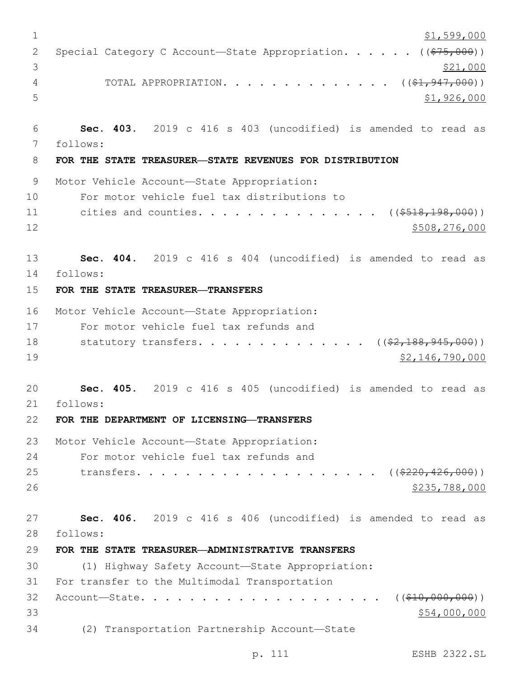```
1 \frac{$1,599,000}{ }2 Special Category C Account—State Appropriation. . . . . (($75,000))
\frac{$21,000}{ }4 TOTAL APPROPRIATION. . . . . . . . . . . . . (($1,947,000))
5 $1,926,000
6 Sec. 403. 2019 c 416 s 403 (uncodified) is amended to read as
7 follows: 
8 FOR THE STATE TREASURER—STATE REVENUES FOR DISTRIBUTION
9 Motor Vehicle Account-State Appropriation:
10 For motor vehicle fuel tax distributions to
11 cities and counties. . . . . . . . . . . . . . ( ($518,198,000))
12 $508,276,000
13 Sec. 404. 2019 c 416 s 404 (uncodified) is amended to read as
14 follows: 
15 FOR THE STATE TREASURER—TRANSFERS
16 Motor Vehicle Account-State Appropriation:
17 For motor vehicle fuel tax refunds and
18 statutory transfers. . . . . . . . . . . . . ((\frac{2}{7} + \frac{188}{945}, \frac{945}{900}))
19 $2,146,790,000
20 Sec. 405. 2019 c 416 s 405 (uncodified) is amended to read as
21 follows: 
22 FOR THE DEPARTMENT OF LICENSING—TRANSFERS
23 Motor Vehicle Account-State Appropriation:
24 For motor vehicle fuel tax refunds and
25 transfers. . . . . . . . . . . . . . . . . . ( (\frac{2220, 426, 000)}{2}26 $235,788,00027 Sec. 406. 2019 c 416 s 406 (uncodified) is amended to read as
28 follows: 
29 FOR THE STATE TREASURER—ADMINISTRATIVE TRANSFERS
30 (1) Highway Safety Account—State Appropriation:
31 For transfer to the Multimodal Transportation
32 Account—State. . . . . . . . . . . . . . . . . . . . (($10,000,000))
33 $54,000,000 $54,000,000 $54,000 $54,000 $54,000 $54,000 $54,000 $54,000 $54,000 $54,000 $54,000 $554,000 $
(2) Transportation Partnership Account—State34
```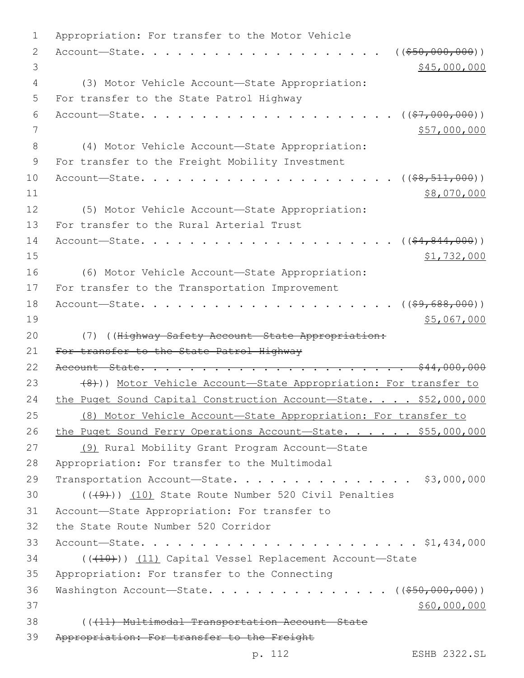```
1 Appropriation: For transfer to the Motor Vehicle
2 Account—State. . . . . . . . . . . . . . . . . . . . (($50,000,000))
 3 \times 45,000,000(3) Motor Vehicle Account—State Appropriation:4
 5 For transfer to the State Patrol Highway
 6 Account—State. . . . . . . . . . . . . . . . . . . . . (($7,000,000))
7 857,000,000(4) Motor Vehicle Account—State Appropriation:8
9 For transfer to the Freight Mobility Investment
10 Account—State. . . . . . . . . . . . . . . . . . . . . (($8,511,000))
11 $8,070,000
12 (5) Motor Vehicle Account—State Appropriation:
13 For transfer to the Rural Arterial Trust
14 Account—State. . . . . . . . . . . . . . . . . . . . . (($4,844,000))
15 $1,732,000
16 (6) Motor Vehicle Account—State Appropriation:
17 For transfer to the Transportation Improvement
18 Account—State. . . . . . . . . . . . . . . . . . . . . (($9,688,000))
19 $5,067,000
20 (7) ((Highway Safety Account—State Appropriation:
21 For transfer to the State Patrol Highway
22 Account—State. . . . . . . . . . . . . . . . . . . . . . $44,000,000
23 (8))) Motor Vehicle Account—State Appropriation: For transfer to
24 the Puget Sound Capital Construction Account-State. . . . $52,000,000
25 (8) Motor Vehicle Account—State Appropriation: For transfer to
26 the Puget Sound Ferry Operations Account—State. . . . . $55,000,000
27 (9) Rural Mobility Grant Program Account—State
28 Appropriation: For transfer to the Multimodal
29 Transportation Account-State. . . . . . . . . . . . . . $3,000,000
(1) (10) State Route Number 520 Civil Penalties
31 Account-State Appropriation: For transfer to
32 the State Route Number 520 Corridor
33 Account—State. . . . . . . . . . . . . . . . . . . . . . . $1,434,000
34 ((+10)) (11) Capital Vessel Replacement Account-State
35 Appropriation: For transfer to the Connecting
36 Washington Account-State. . . . . . . . . . . . . . (($50,000,000))
37 $60,000,000 $60,000,000 $60,000 $60,000 $60,000 $60,000 $60,000 $60,000 $60,000 $60,000 $60,000 $60,000 $60,000 $60,000 $60,000 $60,000 $60,000 $60,000 $60,000 $60,000 $60,000 $60,000 $60,000 $60,000 $60,000 $60,000 
38 (((11) Multimodal Transportation Account—State
39 Appropriation: For transfer to the Freight
```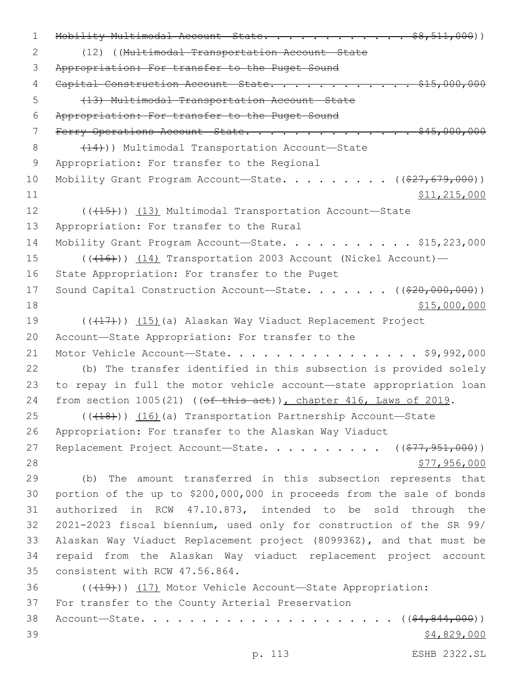1 Mobility Multimodal Account State. . . . . . . . . . . \$8,511,000)) 2 (12) ((Multimodal Transportation Account—State 3 Appropriation: For transfer to the Puget Sound 4 Capital Construction Account State. . . . . . . . . . . . \$15,000,000 5 (13) Multimodal Transportation Account—State 6 Appropriation: For transfer to the Puget Sound 7 Ferry Operations Account-State. . . . . . . . . . . . . . \$45,000,000 8 (14))) Multimodal Transportation Account—State 9 Appropriation: For transfer to the Regional 10 Mobility Grant Program Account—State. . . . . . . . ((\$27,679,000))  $11$  \$11,215,000 12 (( $(15)$ )) (13) Multimodal Transportation Account—State 13 Appropriation: For transfer to the Rural 14 Mobility Grant Program Account—State. . . . . . . . . . \$15,223,000 15 (((16)) (14) Transportation 2003 Account (Nickel Account) -16 State Appropriation: For transfer to the Puget 17 Sound Capital Construction Account—State. . . . . . ((\$20,000,000))  $18$  \$15,000,000 \$15,000,000 \$15,000,000 \$15,000,000 \$15,000,000 \$15,000 \$15,000 \$15,000 \$15,000 \$15,000 \$15,000 \$15,000 \$15,000 \$15,000 \$15,000 \$15,000 \$15,000 \$15,000 \$15,000 \$15,000 \$15,000 \$15,000 \$15,000 \$15,000 \$15, 19 ((+17)) (15)(a) Alaskan Way Viaduct Replacement Project 20 Account—State Appropriation: For transfer to the 21 Motor Vehicle Account—State. . . . . . . . . . . . . . . . \$9,992,000 22 (b) The transfer identified in this subsection is provided solely 23 to repay in full the motor vehicle account—state appropriation loan 24 from section 1005(21) ((of this act)), chapter 416, Laws of 2019.  $(16)(18)$  (( $16)(a)$  Transportation Partnership Account—State 26 Appropriation: For transfer to the Alaskan Way Viaduct 27 Replacement Project Account—State. . . . . . . . . ((\$77,951,000))  $28$   $577,956,000$ 29 (b) The amount transferred in this subsection represents that 30 portion of the up to \$200,000,000 in proceeds from the sale of bonds 31 authorized in RCW 47.10.873, intended to be sold through the 32 2021-2023 fiscal biennium, used only for construction of the SR 99/ 33 Alaskan Way Viaduct Replacement project (809936Z), and that must be 34 repaid from the Alaskan Way viaduct replacement project account 35 consistent with RCW 47.56.864. 36 (((19))) (17) Motor Vehicle Account—State Appropriation: 37 For transfer to the County Arterial Preservation 38 Account—State. . . . . . . . . . . . . . . . . . . . . ((\$4,844,000))  $39$   $$4,829,000$ 

p. 113 ESHB 2322.SL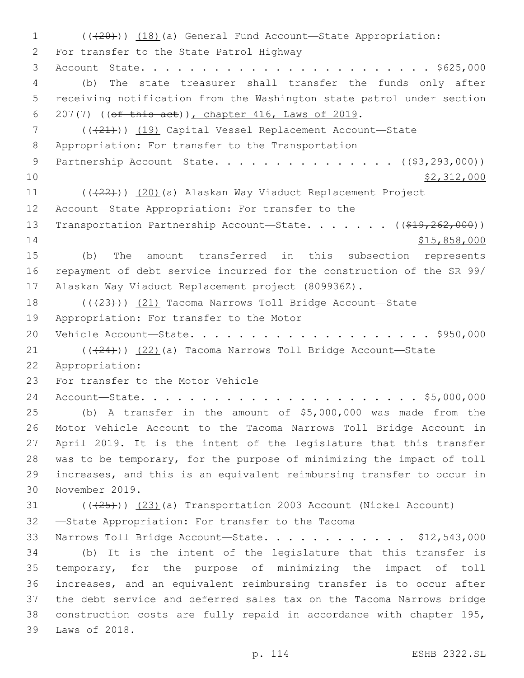1 (((20))) (18)(a) General Fund Account—State Appropriation: 2 For transfer to the State Patrol Highway 3 Account—State. . . . . . . . . . . . . . . . . . . . . . . . \$625,000 4 (b) The state treasurer shall transfer the funds only after 5 receiving notification from the Washington state patrol under section 6 207(7) ( $(\overline{ef} \overline{this} \overline{act})$ ), chapter 416, Laws of 2019. 7 (( $(21)$ )) (19) Capital Vessel Replacement Account-State 8 Appropriation: For transfer to the Transportation 9 Partnership Account—State. . . . . . . . . . . . . . . ((\$3,293,000))  $\frac{10}{2}$   $\frac{12}{312}$ ,000 11 ((+22))) (20)(a) Alaskan Way Viaduct Replacement Project 12 Account-State Appropriation: For transfer to the 13 Transportation Partnership Account—State. . . . . . ((\$19,262,000)) 14 \$15,858,000 15 (b) The amount transferred in this subsection represents 16 repayment of debt service incurred for the construction of the SR 99/ 17 Alaskan Way Viaduct Replacement project (809936Z). 18 (( $(23)$ )) (21) Tacoma Narrows Toll Bridge Account—State 19 Appropriation: For transfer to the Motor 20 Vehicle Account—State. . . . . . . . . . . . . . . . . . . . \$950,000  $(1 - 21)$  (( $(24)$ )) (22)(a) Tacoma Narrows Toll Bridge Account—State Appropriation:22 23 For transfer to the Motor Vehicle 24 Account—State. . . . . . . . . . . . . . . . . . . . . . . \$5,000,000 25 (b) A transfer in the amount of \$5,000,000 was made from the 26 Motor Vehicle Account to the Tacoma Narrows Toll Bridge Account in 27 April 2019. It is the intent of the legislature that this transfer 28 was to be temporary, for the purpose of minimizing the impact of toll 29 increases, and this is an equivalent reimbursing transfer to occur in 30 November 2019. 31 (( $(23)$  (a) Transportation 2003 Account (Nickel Account) 32 -State Appropriation: For transfer to the Tacoma 33 Narrows Toll Bridge Account—State. . . . . . . . . . . . \$12,543,000 34 (b) It is the intent of the legislature that this transfer is 35 temporary, for the purpose of minimizing the impact of toll 36 increases, and an equivalent reimbursing transfer is to occur after 37 the debt service and deferred sales tax on the Tacoma Narrows bridge 38 construction costs are fully repaid in accordance with chapter 195, 39 Laws of 2018.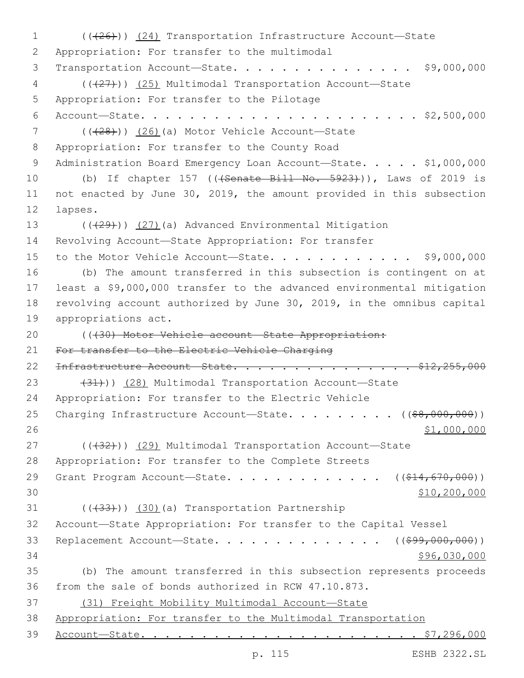1 (((26))) (24) Transportation Infrastructure Account—State 2 Appropriation: For transfer to the multimodal 3 Transportation Account—State. . . . . . . . . . . . . . . \$9,000,000 4 (( $(27)$ )) (25) Multimodal Transportation Account-State 5 Appropriation: For transfer to the Pilotage 6 Account—State. . . . . . . . . . . . . . . . . . . . . . . \$2,500,000  $($  ( $($  $($  $+28$  $)$ ))  $($  $26)$  $($ a) Motor Vehicle Account-State 8 Appropriation: For transfer to the County Road 9 Administration Board Emergency Loan Account-State. . . . . \$1,000,000 10 (b) If chapter 157 (((Senate Bill No. 5923))), Laws of 2019 is 11 not enacted by June 30, 2019, the amount provided in this subsection 12 lapses. 13 (((29))) (27)(a) Advanced Environmental Mitigation 14 Revolving Account—State Appropriation: For transfer 15 to the Motor Vehicle Account—State. . . . . . . . . . . . \$9,000,000 16 (b) The amount transferred in this subsection is contingent on at 17 least a \$9,000,000 transfer to the advanced environmental mitigation 18 revolving account authorized by June 30, 2019, in the omnibus capital 19 appropriations act. 20 ((430) Motor Vehicle account-State Appropriation: 21 For transfer to the Electric Vehicle Charging 22 <del>Infrastructure Account State. . . . . . . . . . . . . . \$12,255,000</del> 23 (31)) (28) Multimodal Transportation Account-State 24 Appropriation: For transfer to the Electric Vehicle 25 Charging Infrastructure Account—State. . . . . . . . ((\$8,000,000))  $26$  \$1,000,000 27 (((32))) (29) Multimodal Transportation Account-State 28 Appropriation: For transfer to the Complete Streets 29 Grant Program Account-State. . . . . . . . . . . . ((\$14,670,000))  $30 \hspace{2.5cm} \text{$} 10,200,000$ 31 (((433))) (30)(a) Transportation Partnership 32 Account—State Appropriation: For transfer to the Capital Vessel 33 Replacement Account—State. . . . . . . . . . . . . . ((\$99,000,000)) 34 \$96,030,000 35 (b) The amount transferred in this subsection represents proceeds 36 from the sale of bonds authorized in RCW 47.10.873. 37 (31) Freight Mobility Multimodal Account—State 38 Appropriation: For transfer to the Multimodal Transportation 39 Account—State. . . . . . . . . . . . . . . . . . . . . . . \$7,296,000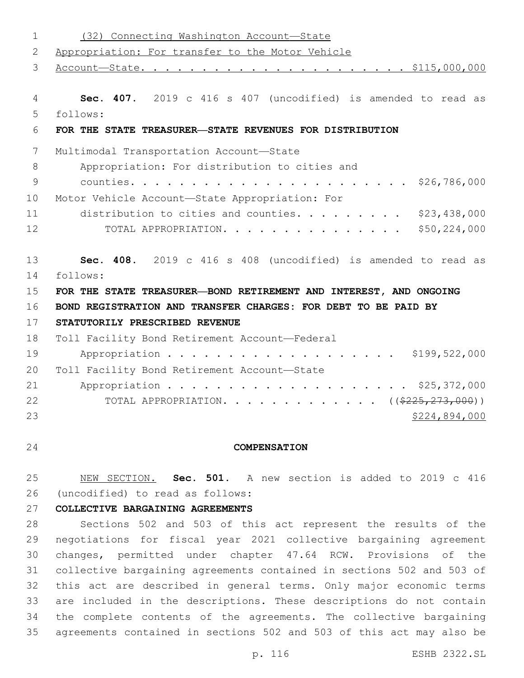| $\mathbf 1$     | (32) Connecting Washington Account-State                          |
|-----------------|-------------------------------------------------------------------|
| 2               | Appropriation: For transfer to the Motor Vehicle                  |
| 3               |                                                                   |
|                 |                                                                   |
| 4               | Sec. 407. 2019 c 416 s 407 (uncodified) is amended to read as     |
| 5               | follows:                                                          |
| 6               | FOR THE STATE TREASURER-STATE REVENUES FOR DISTRIBUTION           |
| $7\phantom{.0}$ | Multimodal Transportation Account-State                           |
| 8               | Appropriation: For distribution to cities and                     |
| $\mathsf 9$     | \$26,786,000                                                      |
| 10              | Motor Vehicle Account-State Appropriation: For                    |
| 11              | distribution to cities and counties. \$23,438,000                 |
| 12              | \$50, 224, 000<br>TOTAL APPROPRIATION.                            |
| 13              | Sec. 408. 2019 c 416 s 408 (uncodified) is amended to read as     |
| 14              | follows:                                                          |
| 15              | FOR THE STATE TREASURER-BOND RETIREMENT AND INTEREST, AND ONGOING |
| 16              | BOND REGISTRATION AND TRANSFER CHARGES: FOR DEBT TO BE PAID BY    |
| 17              | STATUTORILY PRESCRIBED REVENUE                                    |
| 18              | Toll Facility Bond Retirement Account-Federal                     |
| 19              | Appropriation \$199,522,000                                       |
| 20              | Toll Facility Bond Retirement Account-State                       |
| 21              |                                                                   |
| 22              | TOTAL APPROPRIATION. ( $(\frac{2225}{273},000)$ )                 |
| 23              | \$224,894,000                                                     |
|                 |                                                                   |
| 24              | <b>COMPENSATION</b>                                               |

 NEW SECTION. **Sec. 501.** A new section is added to 2019 c 416 (uncodified) to read as follows:

**COLLECTIVE BARGAINING AGREEMENTS**

 Sections 502 and 503 of this act represent the results of the negotiations for fiscal year 2021 collective bargaining agreement changes, permitted under chapter 47.64 RCW. Provisions of the collective bargaining agreements contained in sections 502 and 503 of this act are described in general terms. Only major economic terms are included in the descriptions. These descriptions do not contain the complete contents of the agreements. The collective bargaining agreements contained in sections 502 and 503 of this act may also be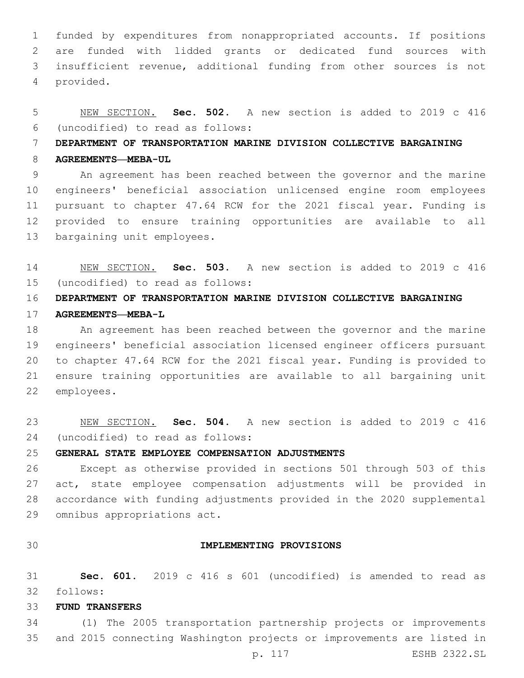funded by expenditures from nonappropriated accounts. If positions are funded with lidded grants or dedicated fund sources with insufficient revenue, additional funding from other sources is not provided.4

# NEW SECTION. **Sec. 502.** A new section is added to 2019 c 416 (uncodified) to read as follows:

### **DEPARTMENT OF TRANSPORTATION MARINE DIVISION COLLECTIVE BARGAINING**

### **AGREEMENTS—MEBA-UL**

 An agreement has been reached between the governor and the marine engineers' beneficial association unlicensed engine room employees pursuant to chapter 47.64 RCW for the 2021 fiscal year. Funding is provided to ensure training opportunities are available to all 13 bargaining unit employees.

 NEW SECTION. **Sec. 503.** A new section is added to 2019 c 416 (uncodified) to read as follows:

# **DEPARTMENT OF TRANSPORTATION MARINE DIVISION COLLECTIVE BARGAINING AGREEMENTS—MEBA-L**

 An agreement has been reached between the governor and the marine engineers' beneficial association licensed engineer officers pursuant to chapter 47.64 RCW for the 2021 fiscal year. Funding is provided to ensure training opportunities are available to all bargaining unit 22 employees.

 NEW SECTION. **Sec. 504.** A new section is added to 2019 c 416 (uncodified) to read as follows:

# **GENERAL STATE EMPLOYEE COMPENSATION ADJUSTMENTS**

 Except as otherwise provided in sections 501 through 503 of this act, state employee compensation adjustments will be provided in accordance with funding adjustments provided in the 2020 supplemental 29 omnibus appropriations act.

#### **IMPLEMENTING PROVISIONS**

 **Sec. 601.** 2019 c 416 s 601 (uncodified) is amended to read as follows:

#### **FUND TRANSFERS**

 (1) The 2005 transportation partnership projects or improvements and 2015 connecting Washington projects or improvements are listed in

p. 117 ESHB 2322.SL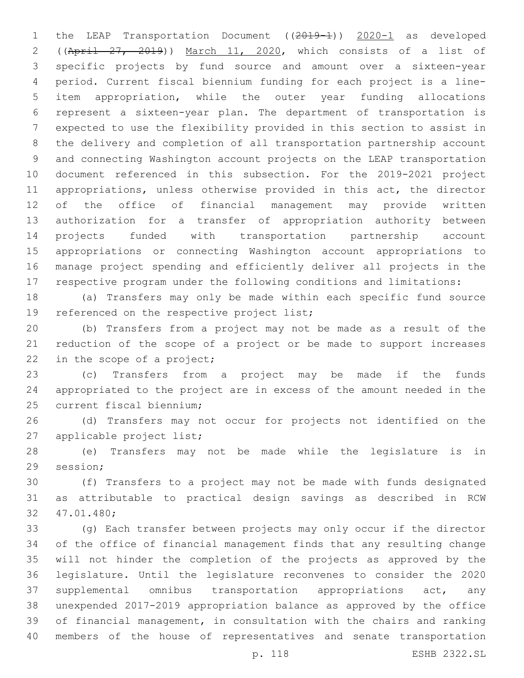1 the LEAP Transportation Document ((2019-1)) 2020-1 as developed ((April 27, 2019)) March 11, 2020, which consists of a list of specific projects by fund source and amount over a sixteen-year period. Current fiscal biennium funding for each project is a line- item appropriation, while the outer year funding allocations represent a sixteen-year plan. The department of transportation is expected to use the flexibility provided in this section to assist in the delivery and completion of all transportation partnership account and connecting Washington account projects on the LEAP transportation document referenced in this subsection. For the 2019-2021 project appropriations, unless otherwise provided in this act, the director of the office of financial management may provide written authorization for a transfer of appropriation authority between projects funded with transportation partnership account appropriations or connecting Washington account appropriations to manage project spending and efficiently deliver all projects in the respective program under the following conditions and limitations:

 (a) Transfers may only be made within each specific fund source 19 referenced on the respective project list;

 (b) Transfers from a project may not be made as a result of the reduction of the scope of a project or be made to support increases 22 in the scope of a project;

 (c) Transfers from a project may be made if the funds appropriated to the project are in excess of the amount needed in the 25 current fiscal biennium;

 (d) Transfers may not occur for projects not identified on the 27 applicable project list;

 (e) Transfers may not be made while the legislature is in 29 session;

 (f) Transfers to a project may not be made with funds designated as attributable to practical design savings as described in RCW 47.01.480;32

 (g) Each transfer between projects may only occur if the director of the office of financial management finds that any resulting change will not hinder the completion of the projects as approved by the legislature. Until the legislature reconvenes to consider the 2020 supplemental omnibus transportation appropriations act, any unexpended 2017-2019 appropriation balance as approved by the office of financial management, in consultation with the chairs and ranking members of the house of representatives and senate transportation

p. 118 ESHB 2322.SL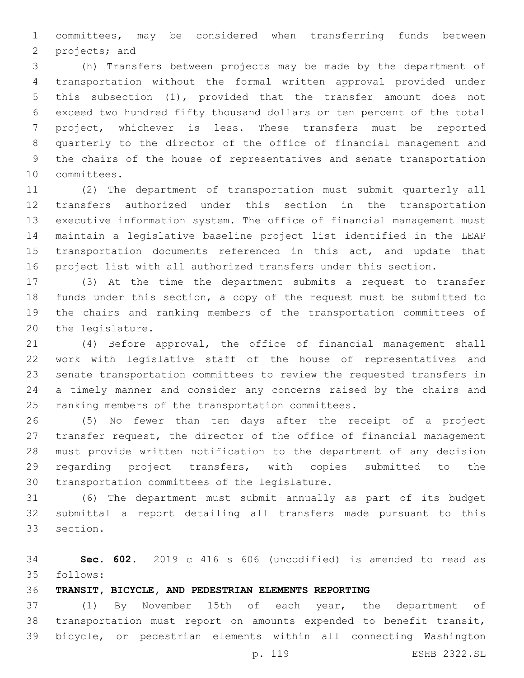committees, may be considered when transferring funds between 2 projects; and

 (h) Transfers between projects may be made by the department of transportation without the formal written approval provided under this subsection (1), provided that the transfer amount does not exceed two hundred fifty thousand dollars or ten percent of the total project, whichever is less. These transfers must be reported quarterly to the director of the office of financial management and the chairs of the house of representatives and senate transportation 10 committees.

 (2) The department of transportation must submit quarterly all transfers authorized under this section in the transportation executive information system. The office of financial management must maintain a legislative baseline project list identified in the LEAP 15 transportation documents referenced in this act, and update that project list with all authorized transfers under this section.

 (3) At the time the department submits a request to transfer funds under this section, a copy of the request must be submitted to the chairs and ranking members of the transportation committees of 20 the legislature.

 (4) Before approval, the office of financial management shall work with legislative staff of the house of representatives and senate transportation committees to review the requested transfers in a timely manner and consider any concerns raised by the chairs and 25 ranking members of the transportation committees.

 (5) No fewer than ten days after the receipt of a project transfer request, the director of the office of financial management must provide written notification to the department of any decision regarding project transfers, with copies submitted to the 30 transportation committees of the legislature.

 (6) The department must submit annually as part of its budget submittal a report detailing all transfers made pursuant to this 33 section.

 **Sec. 602.** 2019 c 416 s 606 (uncodified) is amended to read as follows:

**TRANSIT, BICYCLE, AND PEDESTRIAN ELEMENTS REPORTING**

 (1) By November 15th of each year, the department of transportation must report on amounts expended to benefit transit, bicycle, or pedestrian elements within all connecting Washington

p. 119 ESHB 2322.SL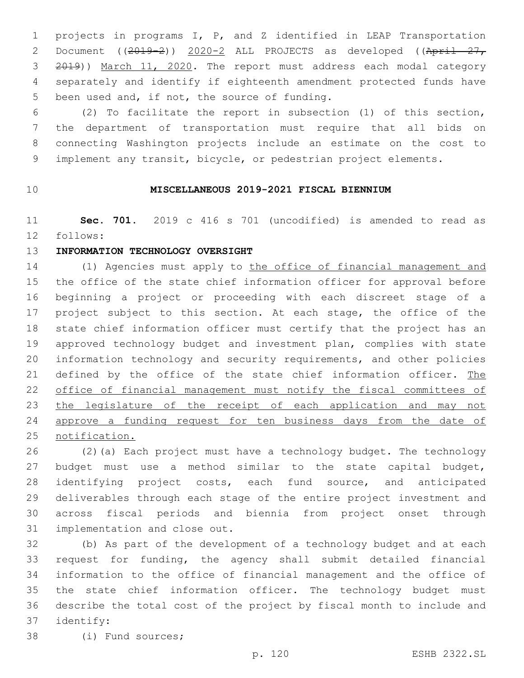projects in programs I, P, and Z identified in LEAP Transportation 2 Document ((2019-2)) 2020-2 ALL PROJECTS as developed ((April 27, 3 2019)) March 11, 2020. The report must address each modal category separately and identify if eighteenth amendment protected funds have 5 been used and, if not, the source of funding.

 (2) To facilitate the report in subsection (1) of this section, the department of transportation must require that all bids on connecting Washington projects include an estimate on the cost to implement any transit, bicycle, or pedestrian project elements.

## **MISCELLANEOUS 2019-2021 FISCAL BIENNIUM**

 **Sec. 701.** 2019 c 416 s 701 (uncodified) is amended to read as 12 follows:

#### **INFORMATION TECHNOLOGY OVERSIGHT**

14 (1) Agencies must apply to the office of financial management and the office of the state chief information officer for approval before beginning a project or proceeding with each discreet stage of a project subject to this section. At each stage, the office of the state chief information officer must certify that the project has an approved technology budget and investment plan, complies with state information technology and security requirements, and other policies 21 defined by the office of the state chief information officer. The office of financial management must notify the fiscal committees of 23 the legislature of the receipt of each application and may not approve a funding request for ten business days from the date of notification.

 (2)(a) Each project must have a technology budget. The technology budget must use a method similar to the state capital budget, identifying project costs, each fund source, and anticipated deliverables through each stage of the entire project investment and across fiscal periods and biennia from project onset through 31 implementation and close out.

 (b) As part of the development of a technology budget and at each request for funding, the agency shall submit detailed financial information to the office of financial management and the office of the state chief information officer. The technology budget must describe the total cost of the project by fiscal month to include and identify:37

38 (i) Fund sources;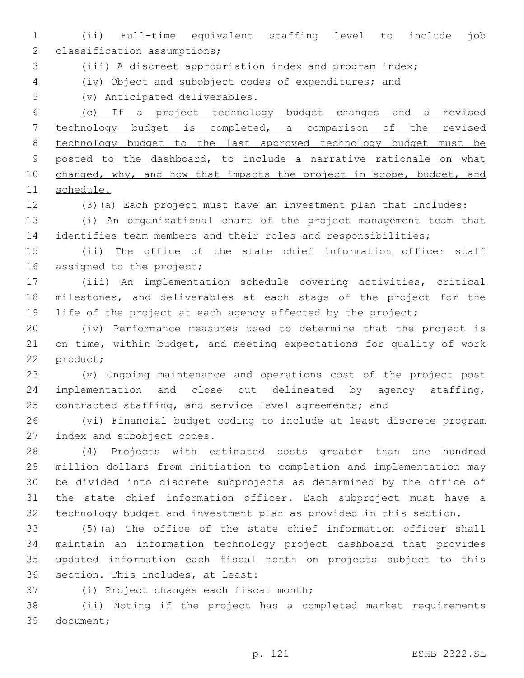(ii) Full-time equivalent staffing level to include job 2 classification assumptions;

(iii) A discreet appropriation index and program index;

(iv) Object and subobject codes of expenditures; and

5 (v) Anticipated deliverables.

 (c) If a project technology budget changes and a revised technology budget is completed, a comparison of the revised technology budget to the last approved technology budget must be 9 posted to the dashboard, to include a narrative rationale on what 10 changed, why, and how that impacts the project in scope, budget, and schedule.

(3)(a) Each project must have an investment plan that includes:

 (i) An organizational chart of the project management team that identifies team members and their roles and responsibilities;

 (ii) The office of the state chief information officer staff 16 assigned to the project;

 (iii) An implementation schedule covering activities, critical milestones, and deliverables at each stage of the project for the 19 life of the project at each agency affected by the project;

 (iv) Performance measures used to determine that the project is on time, within budget, and meeting expectations for quality of work 22 product;

 (v) Ongoing maintenance and operations cost of the project post implementation and close out delineated by agency staffing, 25 contracted staffing, and service level agreements; and

 (vi) Financial budget coding to include at least discrete program 27 index and subobject codes.

 (4) Projects with estimated costs greater than one hundred million dollars from initiation to completion and implementation may be divided into discrete subprojects as determined by the office of the state chief information officer. Each subproject must have a technology budget and investment plan as provided in this section.

 (5)(a) The office of the state chief information officer shall maintain an information technology project dashboard that provides updated information each fiscal month on projects subject to this 36 section. This includes, at least:

37 (i) Project changes each fiscal month;

 (ii) Noting if the project has a completed market requirements 39 document;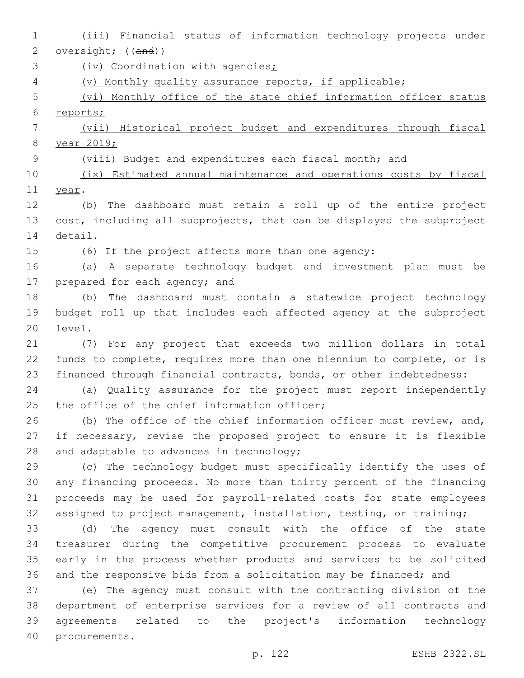- (iii) Financial status of information technology projects under 2 oversight; ((and))
- 3 (iv) Coordination with agencies;
- (v) Monthly quality assurance reports, if applicable;
- (vi) Monthly office of the state chief information officer status reports;

 (vii) Historical project budget and expenditures through fiscal year 2019;

9 (viii) Budget and expenditures each fiscal month; and

 (ix) Estimated annual maintenance and operations costs by fiscal 11 year.

 (b) The dashboard must retain a roll up of the entire project cost, including all subprojects, that can be displayed the subproject 14 detail.

(6) If the project affects more than one agency:

 (a) A separate technology budget and investment plan must be 17 prepared for each agency; and

 (b) The dashboard must contain a statewide project technology budget roll up that includes each affected agency at the subproject 20 level.

 (7) For any project that exceeds two million dollars in total funds to complete, requires more than one biennium to complete, or is financed through financial contracts, bonds, or other indebtedness:

 (a) Quality assurance for the project must report independently 25 the office of the chief information officer;

26 (b) The office of the chief information officer must review, and, if necessary, revise the proposed project to ensure it is flexible 28 and adaptable to advances in technology;

 (c) The technology budget must specifically identify the uses of any financing proceeds. No more than thirty percent of the financing proceeds may be used for payroll-related costs for state employees assigned to project management, installation, testing, or training;

 (d) The agency must consult with the office of the state treasurer during the competitive procurement process to evaluate early in the process whether products and services to be solicited and the responsive bids from a solicitation may be financed; and

 (e) The agency must consult with the contracting division of the department of enterprise services for a review of all contracts and agreements related to the project's information technology 40 procurements.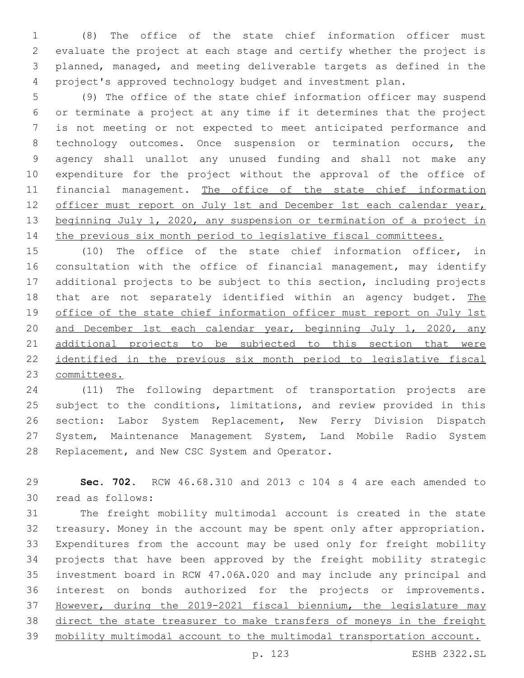(8) The office of the state chief information officer must evaluate the project at each stage and certify whether the project is planned, managed, and meeting deliverable targets as defined in the project's approved technology budget and investment plan.

 (9) The office of the state chief information officer may suspend or terminate a project at any time if it determines that the project is not meeting or not expected to meet anticipated performance and technology outcomes. Once suspension or termination occurs, the agency shall unallot any unused funding and shall not make any expenditure for the project without the approval of the office of financial management. The office of the state chief information 12 officer must report on July 1st and December 1st each calendar year, 13 beginning July 1, 2020, any suspension or termination of a project in 14 the previous six month period to legislative fiscal committees.

 (10) The office of the state chief information officer, in consultation with the office of financial management, may identify additional projects to be subject to this section, including projects 18 that are not separately identified within an agency budget. The office of the state chief information officer must report on July 1st 20 and December 1st each calendar year, beginning July 1, 2020, any 21 additional projects to be subjected to this section that were 22 identified in the previous six month period to legislative fiscal committees.

 (11) The following department of transportation projects are subject to the conditions, limitations, and review provided in this section: Labor System Replacement, New Ferry Division Dispatch System, Maintenance Management System, Land Mobile Radio System 28 Replacement, and New CSC System and Operator.

 **Sec. 702.** RCW 46.68.310 and 2013 c 104 s 4 are each amended to 30 read as follows:

 The freight mobility multimodal account is created in the state treasury. Money in the account may be spent only after appropriation. Expenditures from the account may be used only for freight mobility projects that have been approved by the freight mobility strategic investment board in RCW 47.06A.020 and may include any principal and interest on bonds authorized for the projects or improvements. However, during the 2019-2021 fiscal biennium, the legislature may direct the state treasurer to make transfers of moneys in the freight mobility multimodal account to the multimodal transportation account.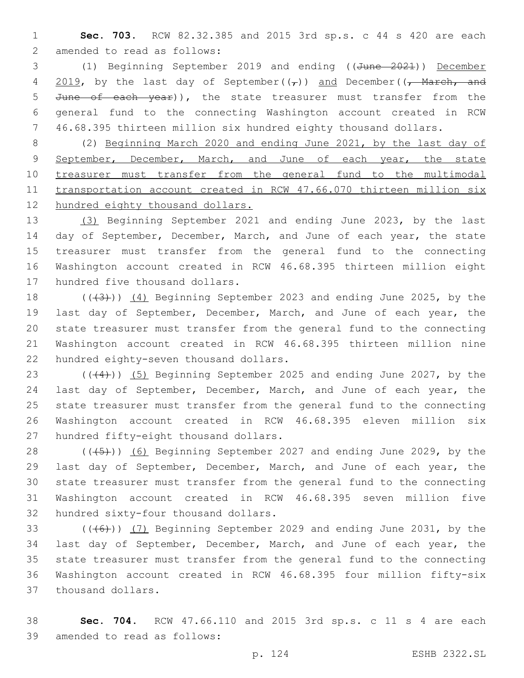1 **Sec. 703.** RCW 82.32.385 and 2015 3rd sp.s. c 44 s 420 are each 2 amended to read as follows:

3 (1) Beginning September 2019 and ending ((June 2021)) December 4 2019, by the last day of September( $(\tau)$ ) and December( $(\tau)$  March, and 5 June of each year)), the state treasurer must transfer from the 6 general fund to the connecting Washington account created in RCW 7 46.68.395 thirteen million six hundred eighty thousand dollars.

8 (2) Beginning March 2020 and ending June 2021, by the last day of 9 September, December, March, and June of each year, the state 10 treasurer must transfer from the general fund to the multimodal 11 transportation account created in RCW 47.66.070 thirteen million six 12 hundred eighty thousand dollars.

13 (3) Beginning September 2021 and ending June 2023, by the last 14 day of September, December, March, and June of each year, the state 15 treasurer must transfer from the general fund to the connecting 16 Washington account created in RCW 46.68.395 thirteen million eight 17 hundred five thousand dollars.

 $((+3+))$   $(4)$  Beginning September 2023 and ending June 2025, by the last day of September, December, March, and June of each year, the state treasurer must transfer from the general fund to the connecting Washington account created in RCW 46.68.395 thirteen million nine 22 hundred eighty-seven thousand dollars.

 $((44))$   $(5)$  Beginning September 2025 and ending June 2027, by the last day of September, December, March, and June of each year, the state treasurer must transfer from the general fund to the connecting Washington account created in RCW 46.68.395 eleven million six 27 hundred fifty-eight thousand dollars.

28 (((45)) (6) Beginning September 2027 and ending June 2029, by the 29 last day of September, December, March, and June of each year, the 30 state treasurer must transfer from the general fund to the connecting 31 Washington account created in RCW 46.68.395 seven million five 32 hundred sixty-four thousand dollars.

33 (((6)) (7) Beginning September 2029 and ending June 2031, by the 34 last day of September, December, March, and June of each year, the 35 state treasurer must transfer from the general fund to the connecting 36 Washington account created in RCW 46.68.395 four million fifty-six 37 thousand dollars.

38 **Sec. 704.** RCW 47.66.110 and 2015 3rd sp.s. c 11 s 4 are each 39 amended to read as follows: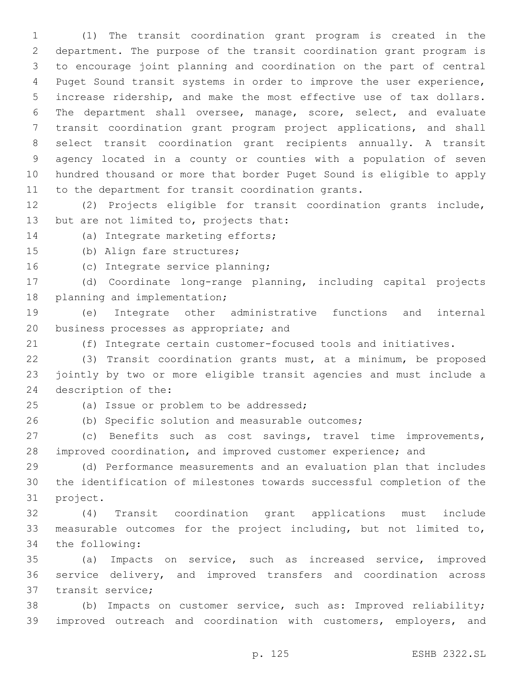(1) The transit coordination grant program is created in the department. The purpose of the transit coordination grant program is to encourage joint planning and coordination on the part of central Puget Sound transit systems in order to improve the user experience, increase ridership, and make the most effective use of tax dollars. The department shall oversee, manage, score, select, and evaluate transit coordination grant program project applications, and shall select transit coordination grant recipients annually. A transit agency located in a county or counties with a population of seven hundred thousand or more that border Puget Sound is eligible to apply to the department for transit coordination grants.

 (2) Projects eligible for transit coordination grants include, 13 but are not limited to, projects that:

14 (a) Integrate marketing efforts;

15 (b) Align fare structures;

16 (c) Integrate service planning;

 (d) Coordinate long-range planning, including capital projects 18 planning and implementation;

 (e) Integrate other administrative functions and internal 20 business processes as appropriate; and

(f) Integrate certain customer-focused tools and initiatives.

 (3) Transit coordination grants must, at a minimum, be proposed jointly by two or more eligible transit agencies and must include a 24 description of the:

25 (a) Issue or problem to be addressed;

(b) Specific solution and measurable outcomes;

 (c) Benefits such as cost savings, travel time improvements, improved coordination, and improved customer experience; and

 (d) Performance measurements and an evaluation plan that includes the identification of milestones towards successful completion of the 31 project.

 (4) Transit coordination grant applications must include measurable outcomes for the project including, but not limited to, 34 the following:

 (a) Impacts on service, such as increased service, improved service delivery, and improved transfers and coordination across 37 transit service:

 (b) Impacts on customer service, such as: Improved reliability; 39 improved outreach and coordination with customers, employers, and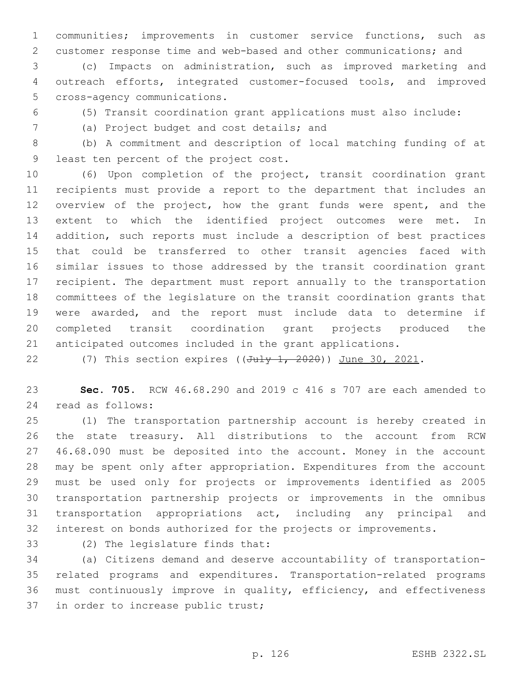communities; improvements in customer service functions, such as customer response time and web-based and other communications; and

 (c) Impacts on administration, such as improved marketing and outreach efforts, integrated customer-focused tools, and improved 5 cross-agency communications.

(5) Transit coordination grant applications must also include:

(a) Project budget and cost details; and7

 (b) A commitment and description of local matching funding of at 9 least ten percent of the project cost.

 (6) Upon completion of the project, transit coordination grant recipients must provide a report to the department that includes an overview of the project, how the grant funds were spent, and the extent to which the identified project outcomes were met. In addition, such reports must include a description of best practices that could be transferred to other transit agencies faced with similar issues to those addressed by the transit coordination grant recipient. The department must report annually to the transportation committees of the legislature on the transit coordination grants that were awarded, and the report must include data to determine if completed transit coordination grant projects produced the anticipated outcomes included in the grant applications.

22 (7) This section expires ( $(Ju\psi + 2020)$ ) June 30, 2021.

 **Sec. 705.** RCW 46.68.290 and 2019 c 416 s 707 are each amended to 24 read as follows:

 (1) The transportation partnership account is hereby created in the state treasury. All distributions to the account from RCW 46.68.090 must be deposited into the account. Money in the account may be spent only after appropriation. Expenditures from the account must be used only for projects or improvements identified as 2005 transportation partnership projects or improvements in the omnibus transportation appropriations act, including any principal and interest on bonds authorized for the projects or improvements.

33 (2) The legislature finds that:

 (a) Citizens demand and deserve accountability of transportation- related programs and expenditures. Transportation-related programs must continuously improve in quality, efficiency, and effectiveness 37 in order to increase public trust;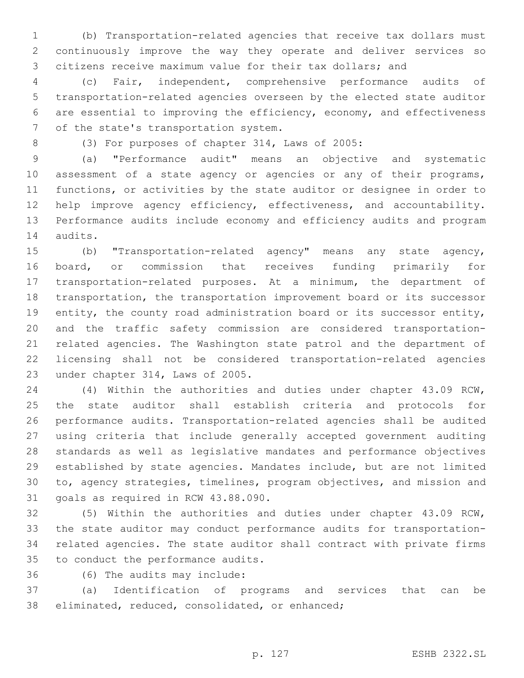(b) Transportation-related agencies that receive tax dollars must continuously improve the way they operate and deliver services so citizens receive maximum value for their tax dollars; and

 (c) Fair, independent, comprehensive performance audits of transportation-related agencies overseen by the elected state auditor are essential to improving the efficiency, economy, and effectiveness 7 of the state's transportation system.

8 (3) For purposes of chapter 314, Laws of 2005:

 (a) "Performance audit" means an objective and systematic 10 assessment of a state agency or agencies or any of their programs, functions, or activities by the state auditor or designee in order to 12 help improve agency efficiency, effectiveness, and accountability. Performance audits include economy and efficiency audits and program 14 audits.

 (b) "Transportation-related agency" means any state agency, board, or commission that receives funding primarily for transportation-related purposes. At a minimum, the department of transportation, the transportation improvement board or its successor entity, the county road administration board or its successor entity, and the traffic safety commission are considered transportation- related agencies. The Washington state patrol and the department of licensing shall not be considered transportation-related agencies 23 under chapter 314, Laws of 2005.

 (4) Within the authorities and duties under chapter 43.09 RCW, the state auditor shall establish criteria and protocols for performance audits. Transportation-related agencies shall be audited using criteria that include generally accepted government auditing standards as well as legislative mandates and performance objectives established by state agencies. Mandates include, but are not limited to, agency strategies, timelines, program objectives, and mission and 31 goals as required in RCW 43.88.090.

 (5) Within the authorities and duties under chapter 43.09 RCW, the state auditor may conduct performance audits for transportation- related agencies. The state auditor shall contract with private firms 35 to conduct the performance audits.

36 (6) The audits may include:

 (a) Identification of programs and services that can be 38 eliminated, reduced, consolidated, or enhanced;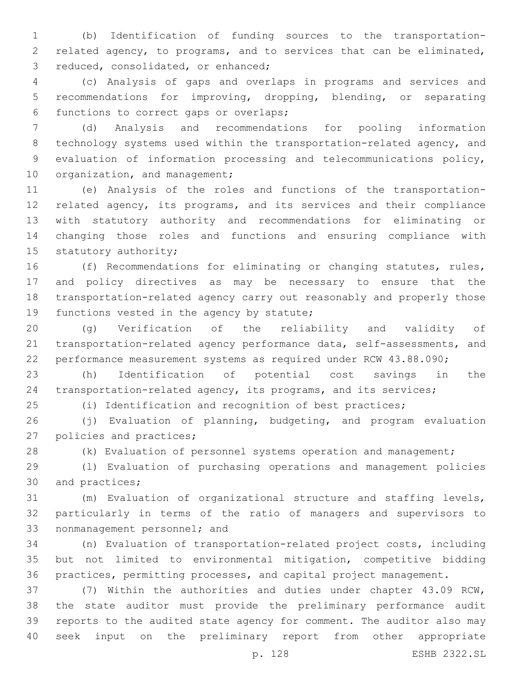(b) Identification of funding sources to the transportation- related agency, to programs, and to services that can be eliminated, 3 reduced, consolidated, or enhanced;

 (c) Analysis of gaps and overlaps in programs and services and recommendations for improving, dropping, blending, or separating 6 functions to correct gaps or overlaps;

 (d) Analysis and recommendations for pooling information technology systems used within the transportation-related agency, and evaluation of information processing and telecommunications policy, 10 organization, and management;

 (e) Analysis of the roles and functions of the transportation- related agency, its programs, and its services and their compliance with statutory authority and recommendations for eliminating or changing those roles and functions and ensuring compliance with 15 statutory authority;

 (f) Recommendations for eliminating or changing statutes, rules, and policy directives as may be necessary to ensure that the transportation-related agency carry out reasonably and properly those 19 functions vested in the agency by statute;

 (g) Verification of the reliability and validity of transportation-related agency performance data, self-assessments, and performance measurement systems as required under RCW 43.88.090;

 (h) Identification of potential cost savings in the transportation-related agency, its programs, and its services;

(i) Identification and recognition of best practices;

 (j) Evaluation of planning, budgeting, and program evaluation 27 policies and practices;

(k) Evaluation of personnel systems operation and management;

 (l) Evaluation of purchasing operations and management policies 30 and practices;

 (m) Evaluation of organizational structure and staffing levels, particularly in terms of the ratio of managers and supervisors to 33 nonmanagement personnel; and

 (n) Evaluation of transportation-related project costs, including but not limited to environmental mitigation, competitive bidding practices, permitting processes, and capital project management.

 (7) Within the authorities and duties under chapter 43.09 RCW, the state auditor must provide the preliminary performance audit reports to the audited state agency for comment. The auditor also may seek input on the preliminary report from other appropriate

p. 128 ESHB 2322.SL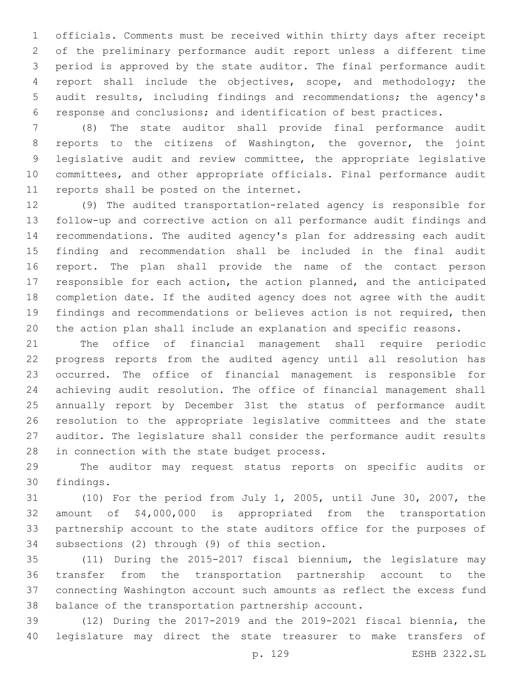officials. Comments must be received within thirty days after receipt of the preliminary performance audit report unless a different time period is approved by the state auditor. The final performance audit report shall include the objectives, scope, and methodology; the audit results, including findings and recommendations; the agency's response and conclusions; and identification of best practices.

 (8) The state auditor shall provide final performance audit reports to the citizens of Washington, the governor, the joint legislative audit and review committee, the appropriate legislative committees, and other appropriate officials. Final performance audit 11 reports shall be posted on the internet.

 (9) The audited transportation-related agency is responsible for follow-up and corrective action on all performance audit findings and recommendations. The audited agency's plan for addressing each audit finding and recommendation shall be included in the final audit report. The plan shall provide the name of the contact person responsible for each action, the action planned, and the anticipated completion date. If the audited agency does not agree with the audit findings and recommendations or believes action is not required, then the action plan shall include an explanation and specific reasons.

 The office of financial management shall require periodic progress reports from the audited agency until all resolution has occurred. The office of financial management is responsible for achieving audit resolution. The office of financial management shall annually report by December 31st the status of performance audit resolution to the appropriate legislative committees and the state auditor. The legislature shall consider the performance audit results 28 in connection with the state budget process.

 The auditor may request status reports on specific audits or 30 findings.

 (10) For the period from July 1, 2005, until June 30, 2007, the amount of \$4,000,000 is appropriated from the transportation partnership account to the state auditors office for the purposes of 34 subsections (2) through (9) of this section.

 (11) During the 2015-2017 fiscal biennium, the legislature may transfer from the transportation partnership account to the connecting Washington account such amounts as reflect the excess fund balance of the transportation partnership account.

 (12) During the 2017-2019 and the 2019-2021 fiscal biennia, the legislature may direct the state treasurer to make transfers of

p. 129 ESHB 2322.SL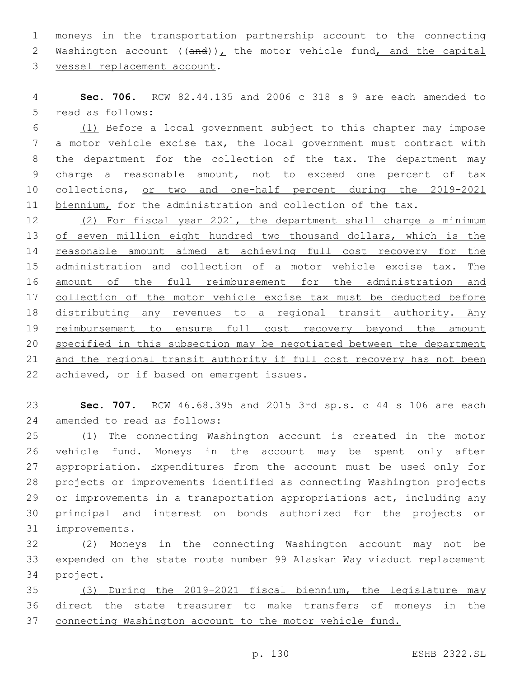moneys in the transportation partnership account to the connecting 2 Washington account  $((and))_L$  the motor vehicle fund, and the capital 3 vessel replacement account.

 **Sec. 706.** RCW 82.44.135 and 2006 c 318 s 9 are each amended to 5 read as follows:

 (1) Before a local government subject to this chapter may impose a motor vehicle excise tax, the local government must contract with the department for the collection of the tax. The department may charge a reasonable amount, not to exceed one percent of tax collections, or two and one-half percent during the 2019-2021 11 biennium, for the administration and collection of the tax.

 (2) For fiscal year 2021, the department shall charge a minimum 13 of seven million eight hundred two thousand dollars, which is the reasonable amount aimed at achieving full cost recovery for the 15 administration and collection of a motor vehicle excise tax. The amount of the full reimbursement for the administration and 17 collection of the motor vehicle excise tax must be deducted before distributing any revenues to a regional transit authority. Any 19 reimbursement to ensure full cost recovery beyond the amount specified in this subsection may be negotiated between the department 21 and the regional transit authority if full cost recovery has not been 22 achieved, or if based on emergent issues.

 **Sec. 707.** RCW 46.68.395 and 2015 3rd sp.s. c 44 s 106 are each 24 amended to read as follows:

 (1) The connecting Washington account is created in the motor vehicle fund. Moneys in the account may be spent only after appropriation. Expenditures from the account must be used only for projects or improvements identified as connecting Washington projects or improvements in a transportation appropriations act, including any principal and interest on bonds authorized for the projects or 31 improvements.

 (2) Moneys in the connecting Washington account may not be expended on the state route number 99 Alaskan Way viaduct replacement 34 project.

 (3) During the 2019-2021 fiscal biennium, the legislature may direct the state treasurer to make transfers of moneys in the connecting Washington account to the motor vehicle fund.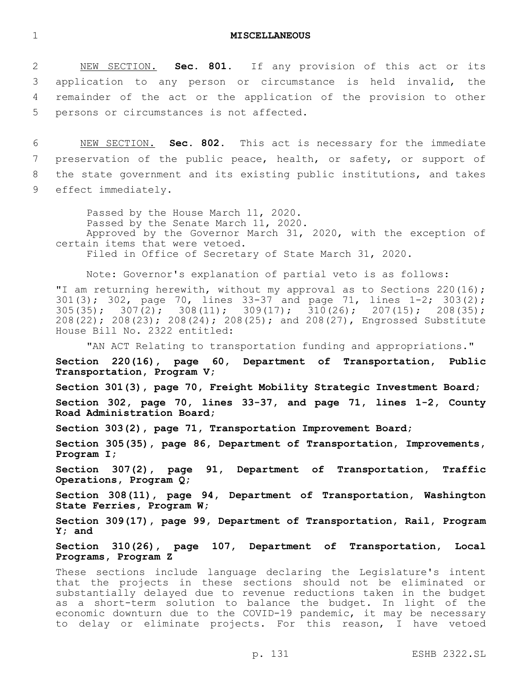1 **MISCELLANEOUS**

 NEW SECTION. **Sec. 801.** If any provision of this act or its application to any person or circumstance is held invalid, the remainder of the act or the application of the provision to other persons or circumstances is not affected.

 NEW SECTION. **Sec. 802.** This act is necessary for the immediate preservation of the public peace, health, or safety, or support of the state government and its existing public institutions, and takes effect immediately.

Passed by the House March 11, 2020. Passed by the Senate March 11, 2020. Approved by the Governor March 31, 2020, with the exception of certain items that were vetoed. Filed in Office of Secretary of State March 31, 2020.

Note: Governor's explanation of partial veto is as follows:

"I am returning herewith, without my approval as to Sections 220(16); 301(3); 302, page 70, lines 33-37 and page 71, lines 1-2; 303(2);  $305(35); 307(2); 308(11); 309(17); 310(26); 207(15); 208(35);$ 208(22); 208(23); 208(24); 208(25); and 208(27), Engrossed Substitute House Bill No. 2322 entitled:

"AN ACT Relating to transportation funding and appropriations."

**Section 220(16), page 60, Department of Transportation, Public Transportation, Program V;**

**Section 301(3), page 70, Freight Mobility Strategic Investment Board; Section 302, page 70, lines 33-37, and page 71, lines 1-2, County Road Administration Board;**

**Section 303(2), page 71, Transportation Improvement Board;**

**Section 305(35), page 86, Department of Transportation, Improvements, Program I;**

**Section 307(2), page 91, Department of Transportation, Traffic Operations, Program Q;**

**Section 308(11), page 94, Department of Transportation, Washington State Ferries, Program W;**

**Section 309(17), page 99, Department of Transportation, Rail, Program Y; and**

**Section 310(26), page 107, Department of Transportation, Local Programs, Program Z**

These sections include language declaring the Legislature's intent that the projects in these sections should not be eliminated or substantially delayed due to revenue reductions taken in the budget as a short-term solution to balance the budget. In light of the economic downturn due to the COVID-19 pandemic, it may be necessary to delay or eliminate projects. For this reason, I have vetoed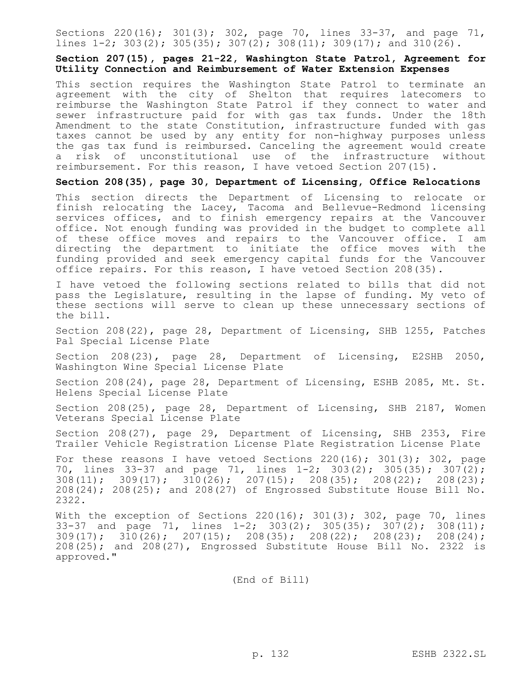Sections 220(16); 301(3); 302, page 70, lines 33-37, and page 71, lines  $1-2$ ;  $303(2)$ ;  $305(35)$ ;  $307(2)$ ;  $308(11)$ ;  $309(17)$ ; and  $310(26)$ .

#### **Section 207(15), pages 21-22, Washington State Patrol, Agreement for Utility Connection and Reimbursement of Water Extension Expenses**

This section requires the Washington State Patrol to terminate an agreement with the city of Shelton that requires latecomers to reimburse the Washington State Patrol if they connect to water and sewer infrastructure paid for with gas tax funds. Under the 18th Amendment to the state Constitution, infrastructure funded with gas taxes cannot be used by any entity for non-highway purposes unless the gas tax fund is reimbursed. Canceling the agreement would create a risk of unconstitutional use of the infrastructure without reimbursement. For this reason, I have vetoed Section 207(15).

#### **Section 208(35), page 30, Department of Licensing, Office Relocations**

This section directs the Department of Licensing to relocate or finish relocating the Lacey, Tacoma and Bellevue-Redmond licensing services offices, and to finish emergency repairs at the Vancouver office. Not enough funding was provided in the budget to complete all of these office moves and repairs to the Vancouver office. I am directing the department to initiate the office moves with the funding provided and seek emergency capital funds for the Vancouver office repairs. For this reason, I have vetoed Section 208(35).

I have vetoed the following sections related to bills that did not pass the Legislature, resulting in the lapse of funding. My veto of these sections will serve to clean up these unnecessary sections of the bill.

Section 208(22), page 28, Department of Licensing, SHB 1255, Patches Pal Special License Plate

Section 208(23), page 28, Department of Licensing, E2SHB 2050, Washington Wine Special License Plate

Section 208(24), page 28, Department of Licensing, ESHB 2085, Mt. St. Helens Special License Plate

Section 208(25), page 28, Department of Licensing, SHB 2187, Women Veterans Special License Plate

Section 208(27), page 29, Department of Licensing, SHB 2353, Fire Trailer Vehicle Registration License Plate Registration License Plate

For these reasons I have vetoed Sections 220(16); 301(3); 302, page 70, lines 33-37 and page 71, lines 1-2; 303(2); 305(35); 307(2); 308(11); 309(17); 310(26); 207(15); 208(35); 208(22); 208(23); 208(24); 208(25); and 208(27) of Engrossed Substitute House Bill No. 2322.

With the exception of Sections  $220(16)$ ;  $301(3)$ ;  $302$ , page 70, lines 33-37 and page 71, lines  $1-2$ ; 303(2); 305(35); 307(2); 308(11);  $309(17)$ ;  $310(26)$ ;  $207(15)$ ;  $208(35)$ ;  $208(22)$ ;  $208(23)$ ;  $208(24)$ ; 208(25); and 208(27), Engrossed Substitute House Bill No. 2322 is approved."

(End of Bill)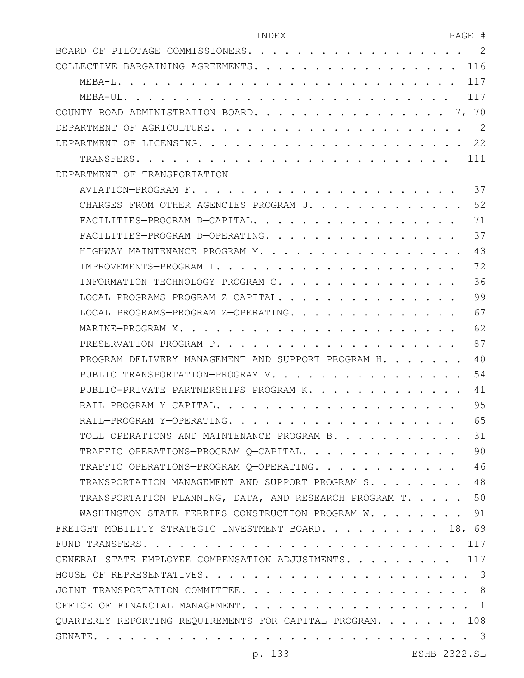| INDEX | הר תח<br>AUL<br>$-$ |  |
|-------|---------------------|--|
|       |                     |  |

| BOARD OF PILOTAGE COMMISSIONERS<br>-2                        |
|--------------------------------------------------------------|
| 116<br>COLLECTIVE BARGAINING AGREEMENTS. .                   |
| 117<br>MEBA-L.                                               |
| 117<br>MEBA-UL. .                                            |
| COUNTY ROAD ADMINISTRATION BOARD.<br>$\cdots$ $\cdots$ 7, 70 |
| -2<br>DEPARTMENT OF AGRICULTURE.                             |
| .22<br>DEPARTMENT OF LICENSING. .<br>.                       |
| TRANSFERS.<br>111                                            |
| DEPARTMENT OF TRANSPORTATION                                 |
| 37                                                           |
| 52<br>CHARGES FROM OTHER AGENCIES-PROGRAM U.                 |
| 71<br>FACILITIES-PROGRAM D-CAPITAL                           |
| 37<br>FACILITIES-PROGRAM D-OPERATING.                        |
| 43<br>HIGHWAY MAINTENANCE-PROGRAM M. .                       |
| 72<br>IMPROVEMENTS-PROGRAM I.                                |
| 36<br>INFORMATION TECHNOLOGY-PROGRAM C.                      |
| 99<br>LOCAL PROGRAMS-PROGRAM Z-CAPITAL.                      |
| 67<br>LOCAL PROGRAMS-PROGRAM Z-OPERATING.                    |
| 62<br>MARINE-PROGRAM X.                                      |
| 87<br>PRESERVATION-PROGRAM P.                                |
| 40<br>PROGRAM DELIVERY MANAGEMENT AND SUPPORT-PROGRAM H.     |
| 54<br>PUBLIC TRANSPORTATION-PROGRAM V. .                     |
| PUBLIC-PRIVATE PARTNERSHIPS-PROGRAM K.<br>41                 |
| 95<br>RAIL-PROGRAM Y-CAPITAL                                 |
| 65<br>RAIL-PROGRAM Y-OPERATING.                              |
| TOLL OPERATIONS AND MAINTENANCE-PROGRAM B.<br>31             |
| 90<br>TRAFFIC OPERATIONS-PROGRAM Q-CAPITAL.                  |
| 46<br>TRAFFIC OPERATIONS-PROGRAM Q-OPERATING.                |
| 48<br>TRANSPORTATION MANAGEMENT AND SUPPORT-PROGRAM S.       |
| 50<br>TRANSPORTATION PLANNING, DATA, AND RESEARCH-PROGRAM T. |
| WASHINGTON STATE FERRIES CONSTRUCTION-PROGRAM W.<br>91       |
| FREIGHT MOBILITY STRATEGIC INVESTMENT BOARD. 18, 69          |
| 117                                                          |
| GENERAL STATE EMPLOYEE COMPENSATION ADJUSTMENTS. 117         |
|                                                              |
|                                                              |
| OFFICE OF FINANCIAL MANAGEMENT. 1                            |
| QUARTERLY REPORTING REQUIREMENTS FOR CAPITAL PROGRAM. 108    |
|                                                              |